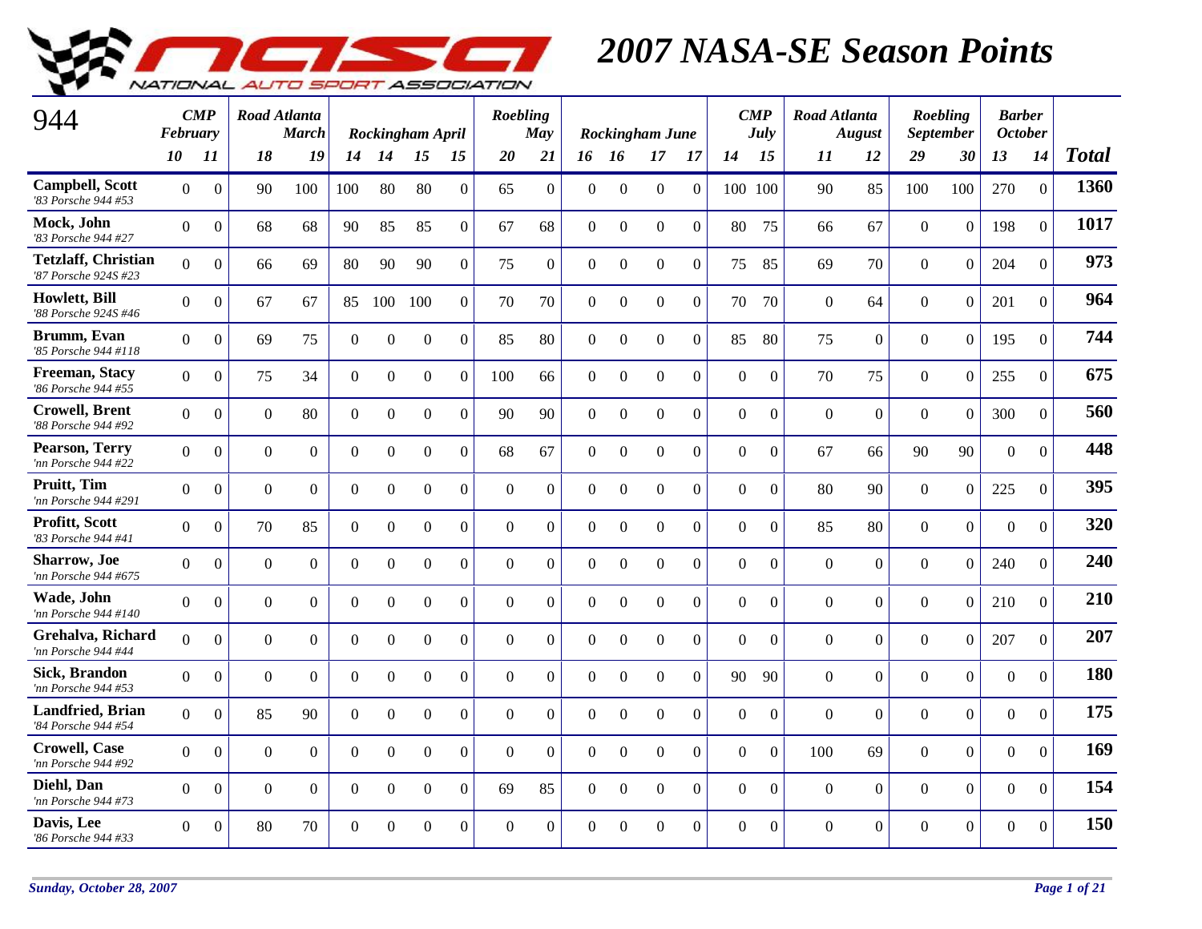

| 944                                                | February       | $\mathbf{CMP}$   | Road Atlanta   | <b>March</b>   |                  |                  | Rockingham April |                | Roebling       | May            |                |                  | <b>Rockingham June</b> |                  |                | $\boldsymbol{CMP}$<br><b>July</b> | <b>Road Atlanta</b> | <b>August</b>    |                | Roebling<br><b>September</b> | <b>Barber</b><br><b>October</b> |                |              |
|----------------------------------------------------|----------------|------------------|----------------|----------------|------------------|------------------|------------------|----------------|----------------|----------------|----------------|------------------|------------------------|------------------|----------------|-----------------------------------|---------------------|------------------|----------------|------------------------------|---------------------------------|----------------|--------------|
|                                                    | 10             | 11               | 18             | 19             | 14               | 14               | 15               | 15             | 20             | 21             |                | 16 16            | 17                     | 17               | 14             | 15                                | 11                  | 12               | 29             | 30                           | 13                              | 14             | <b>Total</b> |
| <b>Campbell, Scott</b><br>'83 Porsche 944 #53      | $\Omega$       | $\Omega$         | 90             | 100            | 100              | 80               | 80               | $\Omega$       | 65             | $\theta$       | $\Omega$       | $\Omega$         | $\Omega$               | $\Omega$         | 100 100        |                                   | 90                  | 85               | 100            | 100                          | 270                             | $\overline{0}$ | 1360         |
| Mock, John<br>'83 Porsche 944 #27                  | $\Omega$       | $\overline{0}$   | 68             | 68             | 90               | 85               | 85               | $\Omega$       | 67             | 68             | $\Omega$       | $\mathbf{0}$     | $\overline{0}$         | $\Omega$         | 80             | 75                                | 66                  | 67               | $\overline{0}$ | $\Omega$                     | 198                             | $\Omega$       | 1017         |
| <b>Tetzlaff, Christian</b><br>'87 Porsche 924S #23 | $\Omega$       | $\boldsymbol{0}$ | 66             | 69             | 80               | 90               | 90               | $\overline{0}$ | 75             | $\overline{0}$ | $\Omega$       | $\boldsymbol{0}$ | $\mathbf{0}$           | $\overline{0}$   | 75             | 85                                | 69                  | 70               | $\Omega$       | $\overline{0}$               | 204                             | $\overline{0}$ | 973          |
| Howlett, Bill<br>'88 Porsche 924S #46              | $\Omega$       | $\boldsymbol{0}$ | 67             | 67             | 85               | 100              | 100              | $\overline{0}$ | 70             | 70             | $\overline{0}$ | $\boldsymbol{0}$ | $\mathbf{0}$           | $\Omega$         | 70             | 70                                | $\Omega$            | 64               | $\overline{0}$ | $\overline{0}$               | 201                             | $\overline{0}$ | 964          |
| Brumm, Evan<br>'85 Porsche 944 #118                | $\Omega$       | $\boldsymbol{0}$ | 69             | 75             | $\boldsymbol{0}$ | $\mathbf{0}$     | $\boldsymbol{0}$ | $\overline{0}$ | 85             | 80             | $\mathbf{0}$   | $\mathbf{0}$     | $\boldsymbol{0}$       | $\boldsymbol{0}$ | 85             | 80                                | 75                  | $\boldsymbol{0}$ | $\overline{0}$ | $\overline{0}$               | 195                             | $\overline{0}$ | 744          |
| Freeman, Stacy<br>'86 Porsche 944 #55              | $\overline{0}$ | $\boldsymbol{0}$ | 75             | 34             | $\mathbf{0}$     | $\boldsymbol{0}$ | $\boldsymbol{0}$ | $\Omega$       | 100            | 66             | $\overline{0}$ | $\boldsymbol{0}$ | $\mathbf{0}$           | $\Omega$         | $\overline{0}$ | $\mathbf{0}$                      | 70                  | 75               | $\overline{0}$ | $\overline{0}$               | 255                             | $\overline{0}$ | 675          |
| <b>Crowell</b> , Brent<br>'88 Porsche 944 #92      | $\overline{0}$ | $\overline{0}$   | $\overline{0}$ | 80             | $\boldsymbol{0}$ | $\overline{0}$   | $\mathbf{0}$     | $\overline{0}$ | 90             | 90             | $\overline{0}$ | $\mathbf{0}$     | $\overline{0}$         | $\overline{0}$   | $\overline{0}$ | $\overline{0}$                    | $\overline{0}$      | $\boldsymbol{0}$ | $\overline{0}$ | $\overline{0}$               | 300                             | $\overline{0}$ | 560          |
| Pearson, Terry<br>'nn Porsche 944 #22              | $\Omega$       | $\Omega$         | $\overline{0}$ | $\Omega$       | $\boldsymbol{0}$ | $\Omega$         | $\boldsymbol{0}$ | $\Omega$       | 68             | 67             | $\Omega$       | $\Omega$         | $\Omega$               | $\Omega$         | $\theta$       | $\mathbf{0}$                      | 67                  | 66               | 90             | 90                           | $\theta$                        | $\overline{0}$ | 448          |
| Pruitt, Tim<br>'nn Porsche 944 #291                | $\Omega$       | $\Omega$         | $\Omega$       | $\Omega$       | $\overline{0}$   | $\Omega$         | $\overline{0}$   | $\Omega$       | $\Omega$       | $\Omega$       | $\Omega$       | $\mathbf{0}$     | $\Omega$               | $\Omega$         | $\Omega$       | $\Omega$                          | 80                  | 90               | $\Omega$       | $\theta$                     | 225                             | $\Omega$       | 395          |
| Profitt, Scott<br>'83 Porsche 944 #41              | $\overline{0}$ | $\Omega$         | 70             | 85             | $\overline{0}$   | $\overline{0}$   | $\overline{0}$   | $\Omega$       | $\Omega$       | $\theta$       | $\Omega$       | $\Omega$         | $\overline{0}$         | $\Omega$         | $\theta$       | $\Omega$                          | 85                  | 80               | $\overline{0}$ | $\overline{0}$               | $\overline{0}$                  | $\overline{0}$ | 320          |
| <b>Sharrow</b> , Joe<br>'nn Porsche 944 #675       | $\Omega$       | $\overline{0}$   | $\overline{0}$ | $\overline{0}$ | $\overline{0}$   | $\overline{0}$   | $\overline{0}$   | $\overline{0}$ | $\overline{0}$ | $\overline{0}$ | $\mathbf{0}$   | $\mathbf{0}$     | $\overline{0}$         | $\overline{0}$   | $\theta$       | $\mathbf{0}$                      | $\overline{0}$      | $\overline{0}$   | $\overline{0}$ | $\overline{0}$               | 240                             | $\overline{0}$ | 240          |
| Wade, John<br>'nn Porsche 944 #140                 | $\Omega$       | $\boldsymbol{0}$ | $\Omega$       | $\theta$       | $\overline{0}$   | $\Omega$         | $\mathbf{0}$     | $\Omega$       | $\Omega$       | $\theta$       | $\Omega$       | $\boldsymbol{0}$ | $\mathbf{0}$           | $\overline{0}$   | $\theta$       | $\Omega$                          | $\theta$            | $\boldsymbol{0}$ | $\overline{0}$ | $\overline{0}$               | 210                             | $\mathbf{0}$   | 210          |
| Grehalva, Richard<br>'nn Porsche 944 #44           | $\overline{0}$ | $\overline{0}$   | $\overline{0}$ | $\overline{0}$ | $\mathbf{0}$     | $\boldsymbol{0}$ | $\boldsymbol{0}$ | $\overline{0}$ | $\mathbf{0}$   | $\overline{0}$ | $\mathbf{0}$   | $\mathbf{0}$     | $\mathbf{0}$           | $\mathbf{0}$     | $\overline{0}$ | $\mathbf{0}$                      | $\mathbf{0}$        | $\overline{0}$   | $\mathbf{0}$   | $\overline{0}$               | 207                             | $\Omega$       | 207          |
| Sick, Brandon<br>'nn Porsche 944 #53               | $\Omega$       | $\boldsymbol{0}$ | $\mathbf{0}$   | $\mathbf{0}$   | $\boldsymbol{0}$ | $\boldsymbol{0}$ | $\boldsymbol{0}$ | $\overline{0}$ | $\mathbf{0}$   | $\overline{0}$ | $\mathbf{0}$   | $\boldsymbol{0}$ | $\mathbf{0}$           | $\overline{0}$   | 90             | 90                                | $\mathbf{0}$        | $\overline{0}$   | $\overline{0}$ | $\boldsymbol{0}$             | $\mathbf{0}$                    | $\theta$       | 180          |
| <b>Landfried</b> , Brian<br>'84 Porsche 944 #54    | $\Omega$       | $\overline{0}$   | 85             | 90             | $\overline{0}$   | $\Omega$         | $\overline{0}$   | $\overline{0}$ | $\overline{0}$ | $\overline{0}$ | $\Omega$       | $\mathbf{0}$     | $\overline{0}$         | $\Omega$         | $\theta$       | $\mathbf{0}$                      | $\overline{0}$      | $\overline{0}$   | $\overline{0}$ | $\overline{0}$               | $\overline{0}$                  | $\overline{0}$ | 175          |
| <b>Crowell</b> , Case<br>'nn Porsche 944 #92       | $\Omega$       | $\Omega$         | $\Omega$       | $\Omega$       | $\Omega$         | $\Omega$         | $\Omega$         | $\Omega$       | $\Omega$       | $\Omega$       | $\Omega$       | $\Omega$         | $\Omega$               | $\Omega$         | $\Omega$       | $\Omega$                          | 100                 | 69               | $\Omega$       | $\theta$                     | $\theta$                        | $\Omega$       | 169          |
| Diehl, Dan<br>'nn Porsche 944 #73                  | $\Omega$       | $\Omega$         | $\overline{0}$ | $\Omega$       | $\Omega$         | $\Omega$         | $\overline{0}$   | $\Omega$       | 69             | 85             | $\Omega$       | $\Omega$         | $\overline{0}$         | $\Omega$         | $\theta$       | $\theta$                          | $\overline{0}$      | $\overline{0}$   | $\overline{0}$ | $\overline{0}$               | $\overline{0}$                  | $\Omega$       | 154          |
| Davis, Lee<br>'86 Porsche 944 #33                  | $\Omega$       | $\overline{0}$   | 80             | 70             | $\Omega$         | $\Omega$         | $\overline{0}$   | $\overline{0}$ | $\Omega$       | $\overline{0}$ | $\Omega$       | $\mathbf{0}$     | $\overline{0}$         | $\overline{0}$   | $\Omega$       | $\mathbf{0}$                      | $\Omega$            | $\overline{0}$   | $\overline{0}$ | $\overline{0}$               | $\overline{0}$                  | $\overline{0}$ | 150          |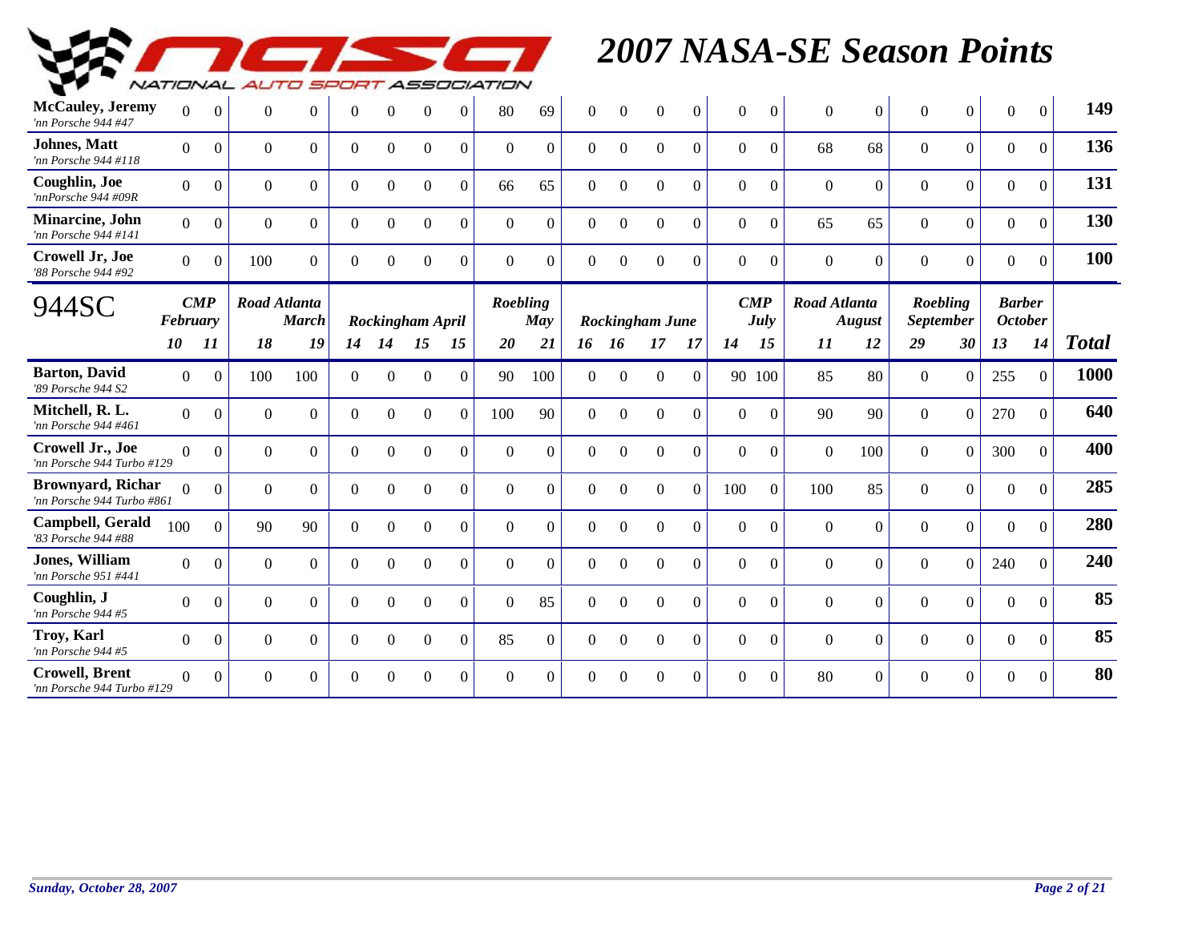

| <b>McCauley</b> , Jeremy<br>'nn Porsche 944 #47        | $\Omega$       | $\mathbf{0}$       | $\mathbf{0}$   | $\overline{0}$                      | $\theta$       | $\Omega$         | $\Omega$         | $\Omega$       | 80       | 69             | $\theta$     | $\Omega$         | $\Omega$               | $\overline{0}$ | $\Omega$           | $\mathbf{0}$   | $\Omega$            | $\boldsymbol{0}$ | $\Omega$                     | $\Omega$       | $\overline{0}$                  | $\Omega$ | 149          |
|--------------------------------------------------------|----------------|--------------------|----------------|-------------------------------------|----------------|------------------|------------------|----------------|----------|----------------|--------------|------------------|------------------------|----------------|--------------------|----------------|---------------------|------------------|------------------------------|----------------|---------------------------------|----------|--------------|
| <b>Johnes</b> , Matt<br>'nn Porsche 944 #118           | $\Omega$       | $\Omega$           | $\Omega$       | $\Omega$                            | $\Omega$       | $\Omega$         | $\Omega$         | $\Omega$       | $\Omega$ | $\Omega$       | $\Omega$     | $\Omega$         | $\Omega$               | $\Omega$       | $\Omega$           | $\overline{0}$ | 68                  | 68               | $\Omega$                     | $\Omega$       | $\overline{0}$                  | $\Omega$ | 136          |
| Coughlin, Joe<br>'nnPorsche 944 #09R                   | $\overline{0}$ | $\theta$           | $\mathbf{0}$   | $\Omega$                            | $\overline{0}$ | $\Omega$         | $\Omega$         | $\Omega$       | 66       | 65             | $\theta$     | $\boldsymbol{0}$ | $\Omega$               | $\Omega$       | $\overline{0}$     | $\mathbf{0}$   | $\Omega$            | $\Omega$         | $\overline{0}$               | $\Omega$       | $\overline{0}$                  | $\Omega$ | 131          |
| Minarcine, John<br>'nn Porsche 944 #141                | $\Omega$       | $\overline{0}$     | $\Omega$       | $\overline{0}$                      | $\overline{0}$ | $\Omega$         | $\mathbf{0}$     | $\overline{0}$ | $\Omega$ | $\Omega$       | $\Omega$     | $\theta$         | $\Omega$               | $\Omega$       | $\overline{0}$     | $\mathbf{0}$   | 65                  | 65               | $\Omega$                     | $\mathbf{0}$   | $\mathbf{0}$                    | $\theta$ | 130          |
| <b>Crowell Jr, Joe</b><br>'88 Porsche 944 #92          | $\Omega$       | $\Omega$           | 100            | $\Omega$                            | $\theta$       | $\Omega$         | $\Omega$         | $\Omega$       | $\Omega$ | $\Omega$       | $\Omega$     | $\Omega$         | $\Omega$               | $\Omega$       | $\Omega$           | $\theta$       | $\Omega$            | $\Omega$         | $\Omega$                     | $\Omega$       | $\overline{0}$                  | $\Omega$ | 100          |
| 944SC                                                  | February       | $\boldsymbol{CMP}$ |                | <b>Road Atlanta</b><br><b>March</b> |                | Rockingham April |                  |                | Roebling | May            |              |                  | <b>Rockingham June</b> |                | $\boldsymbol{CMP}$ | July           | <b>Road Atlanta</b> | August           | Roebling<br><b>September</b> |                | <b>Barber</b><br><b>October</b> |          |              |
|                                                        | 10             | 11                 | 18             | 19                                  | 14             | 14               | 15               | 15             | 20       | 21             | 16           | -16              | 17                     | 17             | 14                 | 15             | 11                  | 12               | 29                           | 30             | 13                              | 14       | <b>Total</b> |
| <b>Barton</b> , David<br>'89 Porsche 944 S2            | $\overline{0}$ | $\Omega$           | 100            | 100                                 | $\Omega$       | $\Omega$         | $\Omega$         | $\Omega$       | 90       | 100            | $\Omega$     | $\Omega$         | $\Omega$               | $\Omega$       | 90 100             |                | 85                  | 80               | $\theta$                     | $\Omega$       | 255                             | $\Omega$ | 1000         |
| Mitchell, R. L.<br>'nn Porsche 944 #461                | $\overline{0}$ | $\boldsymbol{0}$   | $\mathbf{0}$   | $\Omega$                            | $\overline{0}$ | $\mathbf{0}$     | $\mathbf{0}$     | $\Omega$       | 100      | 90             | $\mathbf{0}$ | $\boldsymbol{0}$ | $\mathbf{0}$           | $\Omega$       | $\overline{0}$     | $\mathbf{0}$   | 90                  | 90               | $\overline{0}$               | $\Omega$       | 270                             | $\theta$ | 640          |
| Crowell Jr., Joe<br>'nn Porsche 944 Turbo #129         | $\Omega$       | $\Omega$           | $\Omega$       | $\Omega$                            | $\Omega$       | $\Omega$         | $\Omega$         | $\Omega$       | $\Omega$ | $\Omega$       | $\Omega$     | $\Omega$         | $\Omega$               | $\Omega$       | $\Omega$           | $\Omega$       | $\Omega$            | 100              | $\Omega$                     | $\overline{0}$ | 300                             | $\Omega$ | 400          |
| <b>Brownyard, Richar</b><br>'nn Porsche 944 Turbo #861 | $\Omega$       | $\Omega$           | $\Omega$       | $\Omega$                            | $\theta$       | $\Omega$         | $\Omega$         | $\Omega$       | $\Omega$ | $\Omega$       | $\Omega$     | $\Omega$         | $\Omega$               | $\Omega$       | 100                | $\Omega$       | 100                 | 85               | $\Omega$                     | $\Omega$       | $\overline{0}$                  | $\Omega$ | 285          |
| Campbell, Gerald<br>'83 Porsche 944 #88                | 100            | $\boldsymbol{0}$   | 90             | 90                                  | $\overline{0}$ | $\theta$         | $\boldsymbol{0}$ | $\Omega$       | $\Omega$ | $\overline{0}$ | $\theta$     | $\Omega$         | $\overline{0}$         | $\Omega$       | $\overline{0}$     | $\mathbf{0}$   | $\theta$            | $\boldsymbol{0}$ | $\overline{0}$               | $\mathbf{0}$   | $\mathbf{0}$                    | $\Omega$ | 280          |
| <b>Jones, William</b><br>'nn Porsche 951 #441          | $\Omega$       | $\Omega$           | $\Omega$       | $\theta$                            | $\Omega$       | $\Omega$         | $\Omega$         | $\Omega$       | $\Omega$ | $\Omega$       | $\theta$     | $\Omega$         | $\Omega$               | $\Omega$       | $\overline{0}$     | $\overline{0}$ | $\Omega$            | $\overline{0}$   | $\theta$                     | $\mathbf{0}$   | 240                             | $\Omega$ | 240          |
| Coughlin, J<br>'nn Porsche 944 #5                      | $\Omega$       | $\Omega$           | $\Omega$       | $\Omega$                            | $\theta$       | $\Omega$         | $\Omega$         | $\Omega$       | $\Omega$ | 85             | $\Omega$     | $\Omega$         | $\Omega$               | $\Omega$       | $\Omega$           | $\Omega$       | $\Omega$            | $\Omega$         | $\Omega$                     | $\Omega$       | $\overline{0}$                  | $\Omega$ | 85           |
| Troy, Karl<br>'nn Porsche 944 #5                       | $\Omega$       | $\overline{0}$     | $\overline{0}$ | $\overline{0}$                      | $\overline{0}$ | $\Omega$         | $\mathbf{0}$     | $\overline{0}$ | 85       | $\overline{0}$ | $\theta$     | $\theta$         | $\Omega$               | $\Omega$       | $\overline{0}$     | $\mathbf{0}$   | $\Omega$            | $\overline{0}$   | $\overline{0}$               | $\mathbf{0}$   | $\overline{0}$                  | $\theta$ | 85           |
| <b>Crowell</b> , Brent<br>'nn Porsche 944 Turbo #129   | $\Omega$       | $\Omega$           | $\Omega$       | $\Omega$                            | $\Omega$       | $\Omega$         | $\Omega$         | $\Omega$       | $\Omega$ | $\Omega$       | $\Omega$     | $\Omega$         | $\Omega$               | $\Omega$       | $\Omega$           | $\Omega$       | 80                  | $\Omega$         | $\Omega$                     | $\Omega$       | $\overline{0}$                  | $\Omega$ | 80           |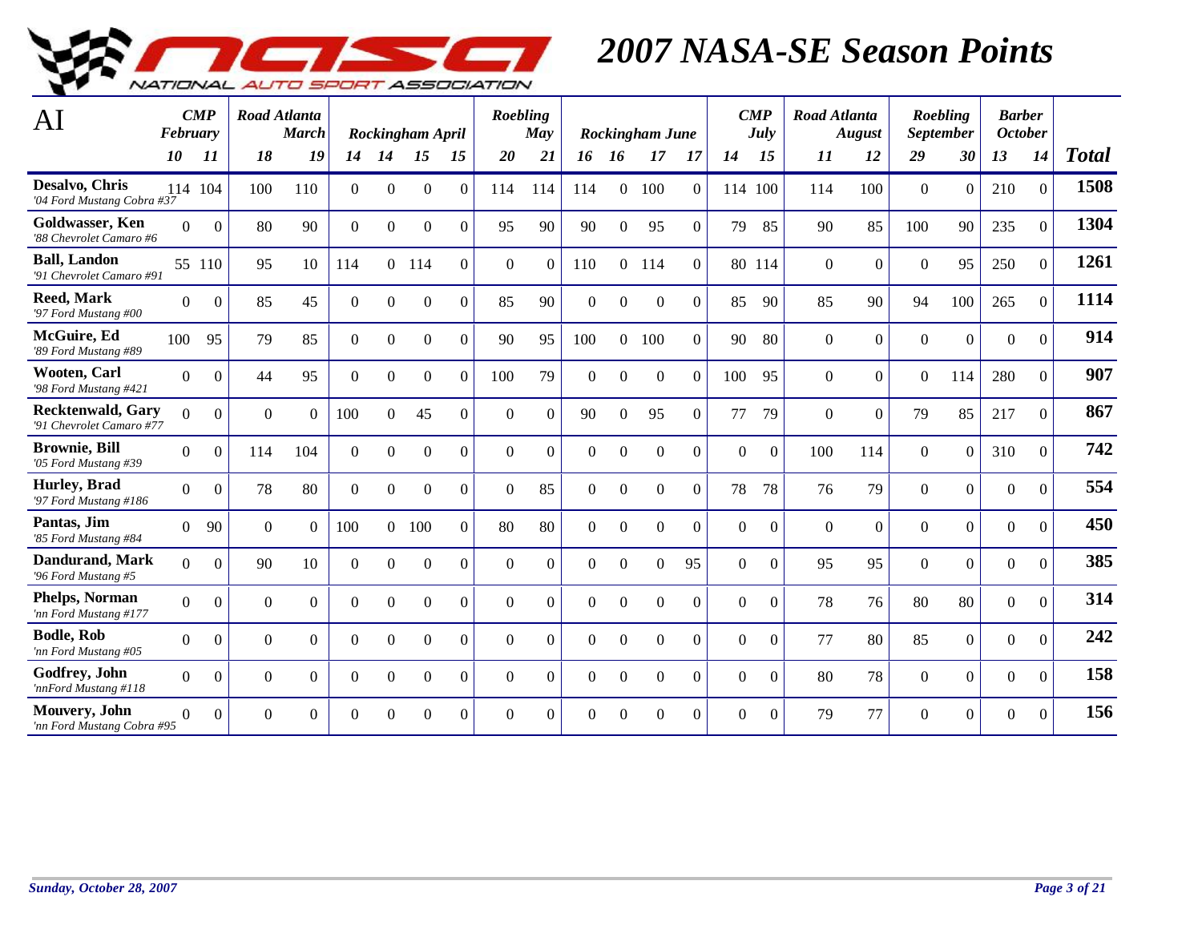

| AI                                                   | February       | $\boldsymbol{CMP}$ | Road Atlanta | <b>March</b> |                |          | Rockingham April |                | Roebling     | May            |                |                  | Rockingham June |                  |                | $\boldsymbol{CMP}$<br>July | Road Atlanta | <b>August</b>    |                  | Roebling<br><b>September</b> | <b>Barber</b><br><b>October</b> |                |              |
|------------------------------------------------------|----------------|--------------------|--------------|--------------|----------------|----------|------------------|----------------|--------------|----------------|----------------|------------------|-----------------|------------------|----------------|----------------------------|--------------|------------------|------------------|------------------------------|---------------------------------|----------------|--------------|
|                                                      | 10             | 11                 | 18           | 19           | 14             | 14       | 15               | 15             | 20           | 21             | 16             | 16               | 17              | -17              | 14             | 15                         | 11           | 12               | 29               | 30                           | 13                              | 14             | <b>Total</b> |
| Desalvo, Chris<br>'04 Ford Mustang Cobra #37         | 114 104        |                    | 100          | 110          | $\overline{0}$ | $\Omega$ | $\theta$         | $\Omega$       | 114          | 114            | 114            | $\Omega$         | 100             | $\Omega$         |                | 114 100                    | 114          | 100              | $\overline{0}$   | $\mathbf{0}$                 | 210                             | $\overline{0}$ | 1508         |
| Goldwasser, Ken<br>'88 Chevrolet Camaro #6           | $\Omega$       | $\theta$           | 80           | 90           | $\overline{0}$ | 0        | $\Omega$         | $\Omega$       | 95           | 90             | 90             | $\Omega$         | 95              | $\Omega$         | 79             | 85                         | 90           | 85               | 100              | 90                           | 235                             | $\Omega$       | 1304         |
| <b>Ball, Landon</b><br>'91 Chevrolet Camaro #91      |                | 55 110             | 95           | 10           | 114            |          | $0$ 114          | $\Omega$       | $\Omega$     | $\overline{0}$ | 110            |                  | 0 114           | $\Omega$         |                | 80 114                     | $\theta$     | $\overline{0}$   | $\boldsymbol{0}$ | 95                           | 250                             | $\Omega$       | 1261         |
| <b>Reed, Mark</b><br>'97 Ford Mustang #00            | $\theta$       | $\Omega$           | 85           | 45           | $\overline{0}$ | $\Omega$ | $\overline{0}$   | $\Omega$       | 85           | 90             | $\overline{0}$ | $\boldsymbol{0}$ | $\overline{0}$  | $\Omega$         | 85             | 90                         | 85           | 90               | 94               | 100                          | 265                             | $\Omega$       | 1114         |
| McGuire, Ed<br>'89 Ford Mustang #89                  | 100            | 95                 | 79           | 85           | $\overline{0}$ | $\Omega$ | $\overline{0}$   | $\Omega$       | 90           | 95             | 100            |                  | 0 100           | $\overline{0}$   | 90             | 80                         | $\theta$     | $\overline{0}$   | $\Omega$         | $\overline{0}$               | $\mathbf{0}$                    | $\Omega$       | 914          |
| Wooten, Carl<br>'98 Ford Mustang #421                | $\Omega$       | $\boldsymbol{0}$   | 44           | 95           | $\overline{0}$ | $\Omega$ | $\Omega$         | $\Omega$       | 100          | 79             | $\theta$       | $\Omega$         | $\Omega$        | $\Omega$         | 100            | 95                         | $\Omega$     | $\overline{0}$   | $\overline{0}$   | 114                          | 280                             | $\Omega$       | 907          |
| <b>Recktenwald, Gary</b><br>'91 Chevrolet Camaro #77 | $\Omega$       | $\Omega$           | $\Omega$     | $\Omega$     | 100            | $\Omega$ | 45               | $\Omega$       | $\Omega$     | $\Omega$       | 90             | $\Omega$         | 95              | $\Omega$         | 77             | 79                         | $\Omega$     | $\Omega$         | 79               | 85                           | 217                             | $\Omega$       | 867          |
| <b>Brownie</b> , <b>Bill</b><br>'05 Ford Mustang #39 | $\Omega$       | $\boldsymbol{0}$   | 114          | 104          | $\overline{0}$ | $\Omega$ | $\Omega$         | $\Omega$       | $\Omega$     | $\Omega$       | $\Omega$       | $\Omega$         | $\overline{0}$  | $\Omega$         | $\overline{0}$ | $\mathbf{0}$               | 100          | 114              | $\Omega$         | $\mathbf{0}$                 | 310                             | $\Omega$       | 742          |
| Hurley, Brad<br>'97 Ford Mustang #186                | $\overline{0}$ | $\boldsymbol{0}$   | 78           | 80           | $\overline{0}$ | $\Omega$ | $\overline{0}$   | $\overline{0}$ | $\mathbf{0}$ | 85             | $\mathbf{0}$   | $\mathbf{0}$     | $\overline{0}$  | $\overline{0}$   | 78             | 78                         | 76           | 79               | $\overline{0}$   | $\overline{0}$               | $\mathbf{0}$                    | $\Omega$       | 554          |
| Pantas, Jim<br>'85 Ford Mustang #84                  | $\Omega$       | 90                 | $\theta$     | $\theta$     | 100            |          | 0 100            | $\Omega$       | 80           | 80             | $\Omega$       | $\mathbf{0}$     | $\overline{0}$  | $\boldsymbol{0}$ | $\Omega$       | $\Omega$                   | $\Omega$     | $\boldsymbol{0}$ | $\Omega$         | $\mathbf{0}$                 | $\mathbf{0}$                    | $\mathbf{0}$   | 450          |
| <b>Dandurand, Mark</b><br>'96 Ford Mustang #5        | $\Omega$       | $\Omega$           | 90           | 10           | $\Omega$       | $\Omega$ | $\Omega$         | $\Omega$       | $\Omega$     | $\Omega$       | $\Omega$       | $\Omega$         | $\Omega$        | 95               | $\Omega$       | $\theta$                   | 95           | 95               | $\Omega$         | $\overline{0}$               | $\Omega$                        | $\Omega$       | 385          |
| <b>Phelps, Norman</b><br>'nn Ford Mustang #177       | $\Omega$       | $\Omega$           | $\Omega$     | $\Omega$     | $\Omega$       | $\Omega$ | $\Omega$         | $\Omega$       | $\Omega$     | $\Omega$       | $\Omega$       | $\Omega$         | $\Omega$        | $\Omega$         | $\Omega$       | $\Omega$                   | 78           | 76               | 80               | 80                           | $\Omega$                        | $\Omega$       | 314          |
| <b>Bodle, Rob</b><br>'nn Ford Mustang #05            | $\Omega$       | $\Omega$           | $\theta$     | $\theta$     | $\Omega$       | $\Omega$ | $\Omega$         | $\Omega$       | $\Omega$     | $\theta$       | $\Omega$       | $\Omega$         | $\Omega$        | $\Omega$         | $\Omega$       | $\theta$                   | 77           | 80               | 85               | $\Omega$                     | $\Omega$                        | $\Omega$       | 242          |
| Godfrey, John<br>'nnFord Mustang #118                | $\theta$       | $\Omega$           | $\mathbf{0}$ | $\theta$     | $\Omega$       | $\Omega$ | $\Omega$         | $\Omega$       | $\Omega$     | $\overline{0}$ | $\theta$       | $\mathbf{0}$     | $\overline{0}$  | $\Omega$         | $\theta$       | $\theta$                   | 80           | 78               | $\overline{0}$   | $\overline{0}$               | $\mathbf{0}$                    | $\Omega$       | 158          |
| Mouvery, John<br>'nn Ford Mustang Cobra #95          | $\Omega$       | $\Omega$           | $\Omega$     | $\Omega$     | $\Omega$       | $\Omega$ | $\theta$         | $\Omega$       | $\Omega$     | $\Omega$       | $\Omega$       | $\Omega$         | $\Omega$        | $\Omega$         | $\Omega$       | $\Omega$                   | 79           | 77               | $\Omega$         | $\Omega$                     | $\Omega$                        | $\Omega$       | 156          |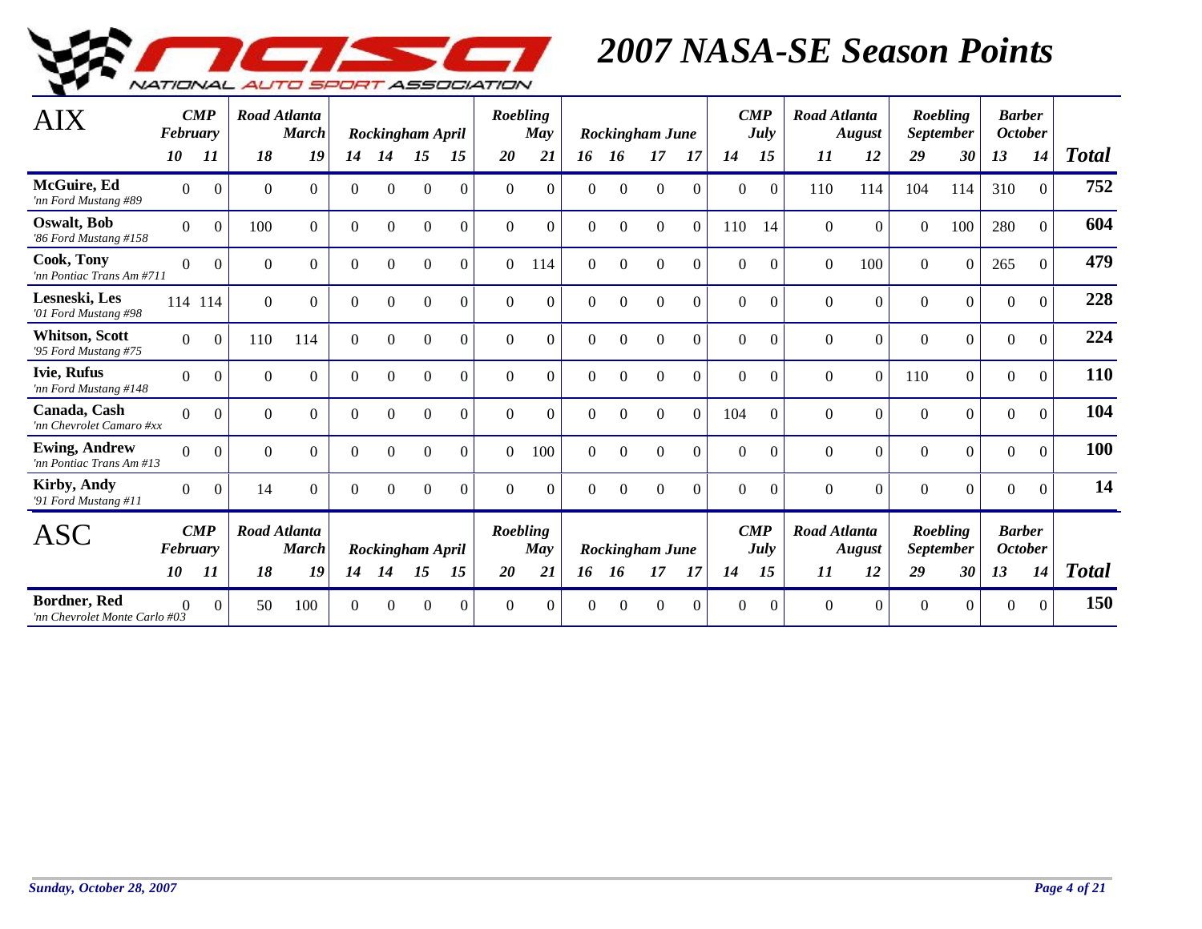

| <b>AIX</b>                                           | February | $\boldsymbol{CMP}$ |              | Road Atlanta<br><b>March</b>        |                |          | Rockingham April |          | Roebling | May      |                |                | <b>Rockingham June</b> |                | $\boldsymbol{CMP}$ | July     | <b>Road Atlanta</b> | <b>August</b>  |                | Roebling<br>September        | <b>Barber</b><br><b>October</b> |              |              |
|------------------------------------------------------|----------|--------------------|--------------|-------------------------------------|----------------|----------|------------------|----------|----------|----------|----------------|----------------|------------------------|----------------|--------------------|----------|---------------------|----------------|----------------|------------------------------|---------------------------------|--------------|--------------|
|                                                      | 10       | 11                 | 18           | 19                                  | 14             | 14       | 15               | 15       | 20       | 21       | 16             | 16             | 17                     | 17             | 14                 | 15       | 11                  | 12             | 29             | 30                           | 13                              | 14           | <b>Total</b> |
| McGuire, Ed<br>'nn Ford Mustang #89                  | $\Omega$ | $\Omega$           | $\mathbf{0}$ | $\Omega$                            | $\Omega$       | $\Omega$ | $\Omega$         | $\Omega$ | $\Omega$ | $\Omega$ | $\Omega$       | $\Omega$       | $\Omega$               | $\Omega$       | $\Omega$           | $\Omega$ | 110                 | 114            | 104            | 114                          | 310                             | $\Omega$     | 752          |
| <b>Oswalt</b> , Bob<br>'86 Ford Mustang #158         | $\theta$ | $\Omega$           | 100          | $\Omega$                            | $\Omega$       | $\Omega$ | $\Omega$         | $\Omega$ | $\theta$ | $\theta$ | $\Omega$       | $\Omega$       | $\Omega$               | $\Omega$       | 110                | 14       | $\theta$            | $\Omega$       | $\theta$       | 100                          | 280                             | $\Omega$     | 604          |
| Cook, Tony<br>'nn Pontiac Trans Am #711              | $\theta$ | $\boldsymbol{0}$   | $\mathbf{0}$ | $\overline{0}$                      | $\overline{0}$ | $\Omega$ | $\theta$         | $\Omega$ | $\theta$ | 114      | $\overline{0}$ | $\overline{0}$ | $\mathbf{0}$           | $\overline{0}$ | $\overline{0}$     | $\Omega$ | $\overline{0}$      | 100            | $\mathbf{0}$   | $\Omega$                     | 265                             | $\mathbf{0}$ | 479          |
| Lesneski, Les<br>'01 Ford Mustang #98                |          | 114 114            | $\Omega$     | $\Omega$                            | $\Omega$       | $\Omega$ | $\theta$         | $\Omega$ | $\Omega$ | $\theta$ | $\Omega$       | $\Omega$       | $\Omega$               | $\Omega$       | $\Omega$           | $\Omega$ | $\Omega$            | $\overline{0}$ | $\overline{0}$ | $\overline{0}$               | $\boldsymbol{0}$                | $\Omega$     | 228          |
| <b>Whitson, Scott</b><br>'95 Ford Mustang #75        | $\Omega$ | $\Omega$           | 110          | 114                                 | $\Omega$       | $\theta$ | $\theta$         | $\Omega$ | $\theta$ | $\theta$ | $\theta$       | $\theta$       | $\theta$               | $\Omega$       | $\Omega$           | $\Omega$ | $\Omega$            | $\Omega$       | $\Omega$       | $\overline{0}$               | $\boldsymbol{0}$                | $\theta$     | 224          |
| <b>Ivie, Rufus</b><br>'nn Ford Mustang #148          | $\Omega$ | $\Omega$           | $\Omega$     | $\Omega$                            | $\Omega$       | $\Omega$ | $\Omega$         | $\Omega$ | $\Omega$ | $\theta$ | $\theta$       | $\Omega$       | $\Omega$               | $\Omega$       | $\Omega$           | $\Omega$ | $\Omega$            | $\Omega$       | 110            | $\overline{0}$               | $\theta$                        | $\theta$     | 110          |
| Canada, Cash<br>'nn Chevrolet Camaro #xx             | $\Omega$ | $\Omega$           | $\Omega$     | $\Omega$                            | $\Omega$       | $\Omega$ | $\Omega$         | $\theta$ | $\Omega$ | $\Omega$ | $\Omega$       | $\Omega$       | $\Omega$               | $\Omega$       | 104                | $\Omega$ | $\Omega$            | $\overline{0}$ | $\Omega$       | $\overline{0}$               | $\theta$                        | $\Omega$     | 104          |
| <b>Ewing, Andrew</b><br>'nn Pontiac Trans Am #13     | $\theta$ | $\Omega$           | $\mathbf{0}$ | $\Omega$                            | $\Omega$       | $\Omega$ | $\theta$         | $\theta$ | $\Omega$ | 100      | $\overline{0}$ | $\Omega$       | $\overline{0}$         | $\theta$       | $\theta$           | $\Omega$ | $\Omega$            | $\overline{0}$ | $\overline{0}$ | $\overline{0}$               | $\boldsymbol{0}$                | $\mathbf{0}$ | 100          |
| <b>Kirby, Andy</b><br>'91 Ford Mustang #11           | $\Omega$ | $\Omega$           | 14           | 0                                   | $\Omega$       | $\Omega$ | $\Omega$         | $\Omega$ | $\Omega$ | $\Omega$ | $\Omega$       | $\Omega$       | $\Omega$               | $\Omega$       | $\Omega$           | $\Omega$ | $\Omega$            | $\overline{0}$ | $\Omega$       | $\Omega$                     | $\theta$                        | $\Omega$     | 14           |
| <b>ASC</b>                                           | February | $\boldsymbol{CMP}$ |              | <b>Road Atlanta</b><br><b>March</b> |                |          | Rockingham April |          | Roebling | May      |                |                | Rockingham June        |                | $\boldsymbol{CMP}$ | July     | <b>Road Atlanta</b> | <b>August</b>  |                | Roebling<br><i>September</i> | <b>Barber</b><br><b>October</b> |              |              |
|                                                      | 10       | 11                 | 18           | 19                                  | 14             | 14       | 15               | 15       | 20       | 21       | 16             | <b>16</b>      | 17                     | 17             | 14                 | 15       | 11                  | 12             | 29             | 30                           | 13                              | 14           | <b>Total</b> |
| <b>Bordner, Red</b><br>'nn Chevrolet Monte Carlo #03 | $\Omega$ | $\Omega$           | 50           | 100                                 | 0              | $\Omega$ | $\sqrt{ }$       | $\Omega$ | $\Omega$ | $\Omega$ | $\Omega$       | $\Omega$       | $\Omega$               | $\Omega$       | $\Omega$           | $\Omega$ | $\Omega$            | $\overline{0}$ | $\Omega$       | $\Omega$                     | $\overline{0}$                  | $\Omega$     | 150          |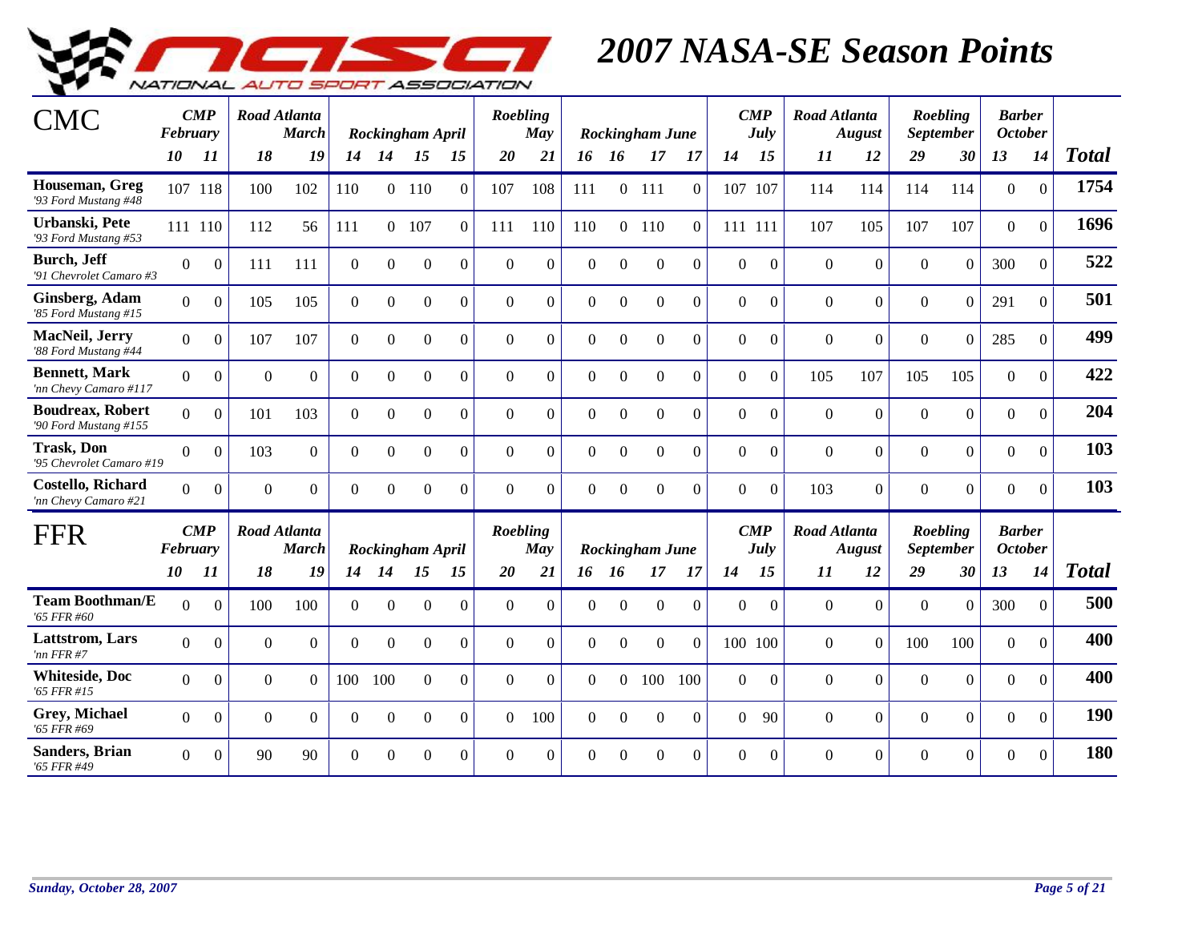

| CMC                                              | February       | $\boldsymbol{CMP}$ |                | <b>Road Atlanta</b><br><b>March</b> |                |          | Rockingham April |                | Roebling | May      |          |                | <b>Rockingham June</b> |          |                | $\boldsymbol{CMP}$<br>July | <b>Road Atlanta</b> | <b>August</b>  |                | <b>Roebling</b><br><b>September</b> | <b>Barber</b><br><b>October</b> |              |              |
|--------------------------------------------------|----------------|--------------------|----------------|-------------------------------------|----------------|----------|------------------|----------------|----------|----------|----------|----------------|------------------------|----------|----------------|----------------------------|---------------------|----------------|----------------|-------------------------------------|---------------------------------|--------------|--------------|
|                                                  | 10             | 11                 | 18             | 19                                  | 14             | 14       | 15               | 15             | 20       | 21       | 16       | - 16           | 17                     | 17       | 14             | 15                         | 11                  | 12             | 29             | 30                                  | 13                              | 14           | <b>Total</b> |
| Houseman, Greg<br>'93 Ford Mustang #48           |                | 107 118            | 100            | 102                                 | 110            |          | $0$ 110          | $\Omega$       | 107      | 108      | 111      |                | $0$ 111                | $\Omega$ | 107            | 107                        | 114                 | 114            | 114            | 114                                 | $\overline{0}$                  | $\Omega$     | 1754         |
| Urbanski, Pete<br>'93 Ford Mustang #53           |                | 111 110            | 112            | 56                                  | 111            |          | 0 107            | $\Omega$       | 111      | 110      | 110      |                | $0$ 110                | $\Omega$ | 111 111        |                            | 107                 | 105            | 107            | 107                                 | $\overline{0}$                  | $\mathbf{0}$ | 1696         |
| <b>Burch</b> , Jeff<br>'91 Chevrolet Camaro #3   | $\Omega$       | $\Omega$           | 111            | 111                                 | $\overline{0}$ | $\Omega$ | $\Omega$         | $\overline{0}$ | $\Omega$ | $\Omega$ | $\theta$ | $\Omega$       | $\Omega$               | $\Omega$ | $\Omega$       | $\overline{0}$             | $\Omega$            | $\overline{0}$ | $\Omega$       | $\mathbf{0}$                        | 300                             | $\mathbf{0}$ | 522          |
| Ginsberg, Adam<br>'85 Ford Mustang #15           | $\Omega$       | $\Omega$           | 105            | 105                                 | $\mathbf{0}$   | $\theta$ | $\overline{0}$   | $\overline{0}$ | $\Omega$ | $\Omega$ | $\Omega$ | $\Omega$       | $\overline{0}$         | $\Omega$ | $\overline{0}$ | $\overline{0}$             | $\mathbf{0}$        | $\Omega$       | $\overline{0}$ | $\Omega$                            | 291                             | $\theta$     | 501          |
| MacNeil, Jerry<br>'88 Ford Mustang #44           | $\Omega$       | $\Omega$           | 107            | 107                                 | $\overline{0}$ | $\theta$ | $\Omega$         | $\Omega$       | $\Omega$ | $\Omega$ | $\Omega$ | $\Omega$       | $\Omega$               | $\Omega$ | $\Omega$       | $\theta$                   | $\Omega$            | $\Omega$       | $\Omega$       | $\Omega$                            | 285                             | $\Omega$     | 499          |
| <b>Bennett</b> , Mark<br>'nn Chevy Camaro #117   | $\overline{0}$ | $\Omega$           | $\overline{0}$ | $\Omega$                            | $\Omega$       | $\Omega$ | $\Omega$         | $\overline{0}$ | $\Omega$ | $\Omega$ | $\Omega$ | $\overline{0}$ | $\overline{0}$         | $\Omega$ | $\overline{0}$ | $\mathbf{0}$               | 105                 | 107            | 105            | 105                                 | $\overline{0}$                  | $\Omega$     | 422          |
| <b>Boudreax, Robert</b><br>'90 Ford Mustang #155 | $\theta$       | $\Omega$           | 101            | 103                                 | $\overline{0}$ | $\Omega$ | $\Omega$         | $\Omega$       | $\Omega$ | $\Omega$ | $\Omega$ | $\Omega$       | $\Omega$               | $\Omega$ | $\Omega$       | $\theta$                   | $\Omega$            | $\Omega$       | $\Omega$       | $\overline{0}$                      | $\Omega$                        | $\Omega$     | 204          |
| <b>Trask, Don</b><br>'95 Chevrolet Camaro #19    | $\Omega$       | $\Omega$           | 103            | $\Omega$                            | $\overline{0}$ | $\Omega$ | $\Omega$         | $\Omega$       | $\Omega$ | $\Omega$ | $\Omega$ | $\Omega$       | $\Omega$               | $\Omega$ | $\Omega$       | $\overline{0}$             | $\Omega$            | $\Omega$       | $\Omega$       | $\Omega$                            | $\overline{0}$                  | $\Omega$     | 103          |
| <b>Costello, Richard</b><br>'nn Chevy Camaro #21 | $\Omega$       | $\Omega$           | $\Omega$       | $\Omega$                            | $\theta$       | $\Omega$ | $\Omega$         | $\Omega$       | $\Omega$ | $\theta$ | $\theta$ | $\Omega$       | $\Omega$               | $\Omega$ | $\Omega$       | $\overline{0}$             | 103                 | $\Omega$       | $\Omega$       | $\Omega$                            | $\Omega$                        | $\Omega$     | 103          |
| FFR                                              | February       | $\boldsymbol{CMP}$ |                | <b>Road Atlanta</b><br><b>March</b> |                |          | Rockingham April |                | Roebling | May      |          |                | <b>Rockingham June</b> |          |                | $\boldsymbol{CMP}$<br>July | <b>Road Atlanta</b> | <b>August</b>  |                | Roebling<br><b>September</b>        | <b>Barber</b><br><b>October</b> |              |              |
|                                                  | 10             | 11                 | 18             | 19                                  | 14             | 14       | 15               | 15             | 20       | 21       | 16 16    |                | 17                     | -17      | 14             | 15                         | 11                  | 12             | 29             | 30                                  | 13                              | 14           | <b>Total</b> |
| <b>Team Boothman/E</b><br>'65 FFR #60            | $\Omega$       | $\Omega$           | 100            | 100                                 | $\overline{0}$ | $\Omega$ | $\Omega$         | $\Omega$       | $\theta$ | $\theta$ | $\theta$ | $\Omega$       | $\mathbf{0}$           | $\Omega$ | $\Omega$       | $\Omega$                   | $\theta$            | $\Omega$       | $\Omega$       | $\Omega$                            | 300                             | $\Omega$     | 500          |
| Lattstrom, Lars<br>'nn FFR#7                     | $\Omega$       | $\Omega$           | $\Omega$       | $\theta$                            | $\theta$       | $\Omega$ | $\boldsymbol{0}$ | $\Omega$       | $\theta$ | $\theta$ | $\theta$ | $\Omega$       | $\mathbf{0}$           | $\Omega$ | 100 100        |                            | $\theta$            | $\theta$       | 100            | 100                                 | $\overline{0}$                  | $\Omega$     | 400          |
| <b>Whiteside</b> , Doc<br>'65 FFR #15            | $\Omega$       | $\Omega$           | $\theta$       | $\theta$                            | 100            | 100      | $\boldsymbol{0}$ | $\Omega$       | $\theta$ | $\theta$ | $\Omega$ | $\Omega$       | 100                    | 100      | $\Omega$       | $\boldsymbol{0}$           | $\theta$            | $\Omega$       | $\Omega$       | $\Omega$                            | $\overline{0}$                  | $\Omega$     | 400          |
| Grey, Michael<br>'65 FFR #69                     | $\Omega$       | $\Omega$           | $\Omega$       | $\Omega$                            | $\Omega$       | $\Omega$ | $\Omega$         | $\Omega$       | $\theta$ | 100      | $\Omega$ | $\Omega$       | $\Omega$               | $\Omega$ | $\Omega$       | 90                         | $\theta$            | $\Omega$       | $\Omega$       | $\overline{0}$                      | $\overline{0}$                  | $\Omega$     | 190          |
| <b>Sanders</b> , Brian<br>'65 FFR #49            | $\Omega$       | $\theta$           | 90             | 90                                  | $\Omega$       | $\Omega$ | $\Omega$         | $\Omega$       | $\Omega$ | $\Omega$ | $\theta$ | $\Omega$       | $\Omega$               | $\Omega$ | $\Omega$       | $\overline{0}$             | $\Omega$            | $\Omega$       | $\Omega$       | $\Omega$                            | $\Omega$                        | $\theta$     | 180          |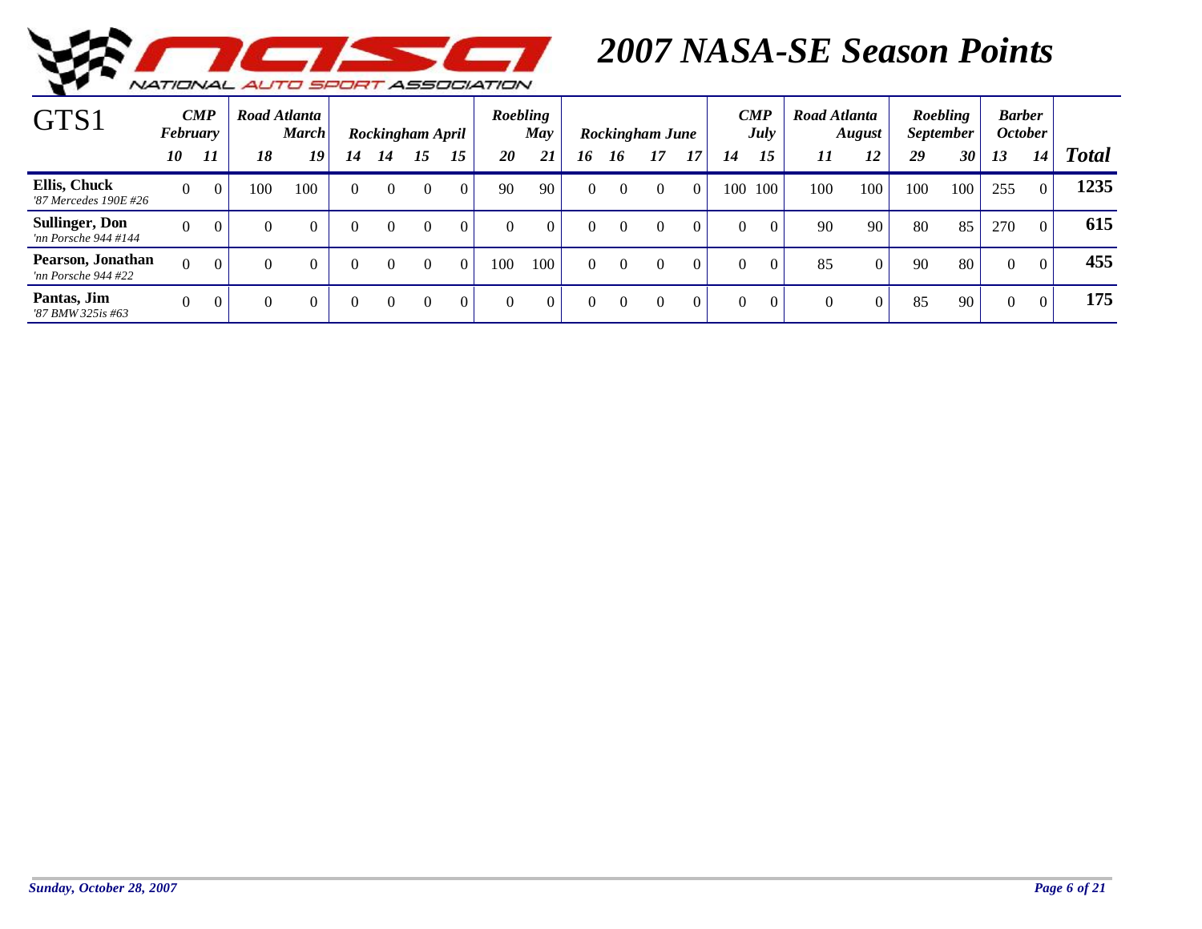

| $\mathrm{GTS}1$                               | February | $\boldsymbol{CMP}$ |              | Road Atlanta<br><b>March</b> |          |          | Rockingham April |          | Roebling  | May      |          |          | Rockingham June |          |          | $\boldsymbol{CMP}$<br>July | Road Atlanta | <b>August</b> |     | <b>Roebling</b><br><i>September</i> |          | <b>Barber</b><br><b>October</b> |              |
|-----------------------------------------------|----------|--------------------|--------------|------------------------------|----------|----------|------------------|----------|-----------|----------|----------|----------|-----------------|----------|----------|----------------------------|--------------|---------------|-----|-------------------------------------|----------|---------------------------------|--------------|
|                                               | 10       | 11                 | 18           | 19                           | 14       | 14       | 15               | 15       | <b>20</b> | 21       | 16       | 16       | 17              | 17       | 14       | 15                         | 11           | 12            | 29  | 30                                  | 13       | 14                              | <b>Total</b> |
| Ellis, Chuck<br>'87 Mercedes 190E #26         | $\theta$ | $\overline{0}$     | 100          | 100                          | $\Omega$ | 0        | $\overline{0}$   | $\Omega$ | 90        | 90       | $\theta$ |          | $\Omega$        | $\Omega$ | 100      | 100                        | 100          | 100           | 100 | 100                                 | 255      | $\theta$                        | 1235         |
| <b>Sullinger, Don</b><br>'nn Porsche 944 #144 | $\theta$ | $\overline{0}$     | $\mathbf{0}$ | $\Omega$                     | $\Omega$ | $\Omega$ | $\Omega$         | $\Omega$ | $\Omega$  | $\theta$ | $\Omega$ | $\Omega$ | $\Omega$        | $\Omega$ | $\Omega$ | $\Omega$                   | 90           | 90            | 80  | 85                                  | 270      | $\Omega$                        | 615          |
| Pearson, Jonathan<br>'nn Porsche 944 #22      | $\Omega$ | $\Omega$           | $\theta$     |                              | $\Omega$ | $\Omega$ | $\Omega$         | $\Omega$ | 100       | 100      | $\Omega$ | $\Omega$ | $\Omega$        | $\Omega$ | $\Omega$ | $\Omega$                   | 85           | $\Omega$      | 90  | 80                                  | $\theta$ | $\Omega$                        | 455          |
| Pantas, Jim<br>'87 BMW 325is #63              | $\Omega$ | $\overline{0}$     | $\Omega$     |                              | 0        | $\theta$ | $\Omega$         | $\theta$ | $\Omega$  | $\Omega$ | $\theta$ | $\Omega$ | $\Omega$        |          | $\Omega$ | $\Omega$                   | $\Omega$     | $\Omega$      | 85  | 90                                  | $\theta$ | $\overline{0}$                  | 175          |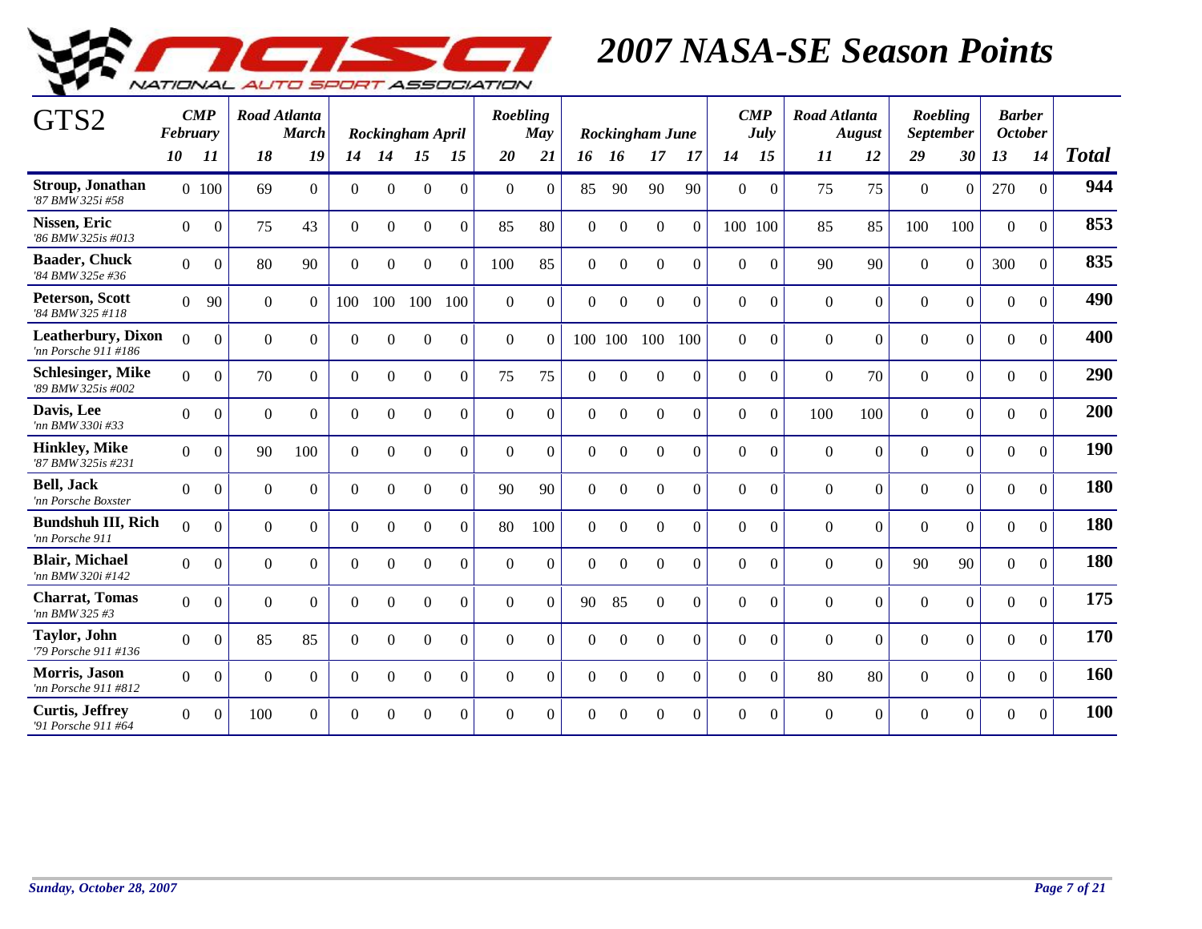

| GTS2                                               | February       | $\boldsymbol{CMP}$ |              | Road Atlanta<br><b>March</b> |                |                | Rockingham April |                | Roebling       | May      |              |                | Rockingham June  |                |                | $\boldsymbol{CMP}$<br>July | <b>Road Atlanta</b> | <b>August</b>    |                  | Roebling<br><b>September</b> | <b>Barber</b><br><b>October</b> |                |              |
|----------------------------------------------------|----------------|--------------------|--------------|------------------------------|----------------|----------------|------------------|----------------|----------------|----------|--------------|----------------|------------------|----------------|----------------|----------------------------|---------------------|------------------|------------------|------------------------------|---------------------------------|----------------|--------------|
|                                                    | <i>10</i>      | 11                 | 18           | 19                           | 14             | 14             | 15               | 15             | 20             | 21       | 16           | <b>16</b>      | 17               | <b>17</b>      | 14             | 15                         | 11                  | 12               | 29               | 30                           | 13                              | 14             | <b>Total</b> |
| Stroup, Jonathan<br>'87 BMW 325i #58               |                | 0.100              | 69           | $\Omega$                     | $\overline{0}$ | $\Omega$       | $\boldsymbol{0}$ | $\Omega$       | $\Omega$       | $\theta$ | 85           | 90             | 90               | 90             | $\overline{0}$ | $\theta$                   | 75                  | 75               | $\mathbf{0}$     | $\mathbf{0}$                 | 270                             | $\overline{0}$ | 944          |
| Nissen, Eric<br>'86 BMW 325is #013                 | $\Omega$       | $\Omega$           | 75           | 43                           | $\overline{0}$ | $\Omega$       | $\Omega$         | $\Omega$       | 85             | 80       | $\Omega$     | $\Omega$       | $\Omega$         | $\Omega$       | 100 100        |                            | 85                  | 85               | 100              | 100                          | $\theta$                        | $\mathbf{0}$   | 853          |
| <b>Baader, Chuck</b><br>'84 BMW 325e #36           | $\Omega$       | $\boldsymbol{0}$   | 80           | 90                           | $\overline{0}$ | $\Omega$       | $\mathbf{0}$     | $\overline{0}$ | 100            | 85       | $\mathbf{0}$ | $\mathbf{0}$   | $\mathbf{0}$     | $\Omega$       | $\overline{0}$ | $\boldsymbol{0}$           | 90                  | 90               | $\boldsymbol{0}$ | $\mathbf{0}$                 | 300                             | $\mathbf{0}$   | 835          |
| Peterson, Scott<br>'84 BMW 325 #118                | $\overline{0}$ | 90                 | $\mathbf{0}$ | $\theta$                     | 100            | 100            | 100              | 100            | $\overline{0}$ | $\theta$ | $\mathbf{0}$ | $\overline{0}$ | $\boldsymbol{0}$ | $\theta$       | $\overline{0}$ | $\theta$                   | $\theta$            | $\boldsymbol{0}$ | $\overline{0}$   | $\mathbf{0}$                 | $\boldsymbol{0}$                | $\Omega$       | 490          |
| <b>Leatherbury</b> , Dixon<br>'nn Porsche 911 #186 | $\Omega$       | $\Omega$           | $\Omega$     | $\Omega$                     | $\overline{0}$ | $\theta$       | $\overline{0}$   | $\Omega$       | $\Omega$       | $\Omega$ |              | 100 100        | 100              | 100            | $\Omega$       | $\boldsymbol{0}$           | $\Omega$            | $\boldsymbol{0}$ | $\Omega$         | $\boldsymbol{0}$             | $\boldsymbol{0}$                | $\mathbf{0}$   | 400          |
| <b>Schlesinger</b> , Mike<br>'89 BMW 325is #002    | $\Omega$       | $\Omega$           | 70           | $\theta$                     | $\mathbf{0}$   | $\overline{0}$ | $\Omega$         | $\Omega$       | 75             | 75       | $\Omega$     | $\Omega$       | $\Omega$         | $\theta$       | $\theta$       | $\mathbf{0}$               | $\overline{0}$      | 70               | $\overline{0}$   | $\overline{0}$               | $\mathbf{0}$                    | $\mathbf{0}$   | 290          |
| Davis, Lee<br>'nn BMW 330i #33                     | $\Omega$       | $\Omega$           | $\Omega$     | $\Omega$                     | $\theta$       | $\Omega$       | $\Omega$         | $\Omega$       | $\Omega$       | $\Omega$ | $\Omega$     | $\Omega$       | $\Omega$         | $\Omega$       | $\Omega$       | $\theta$                   | 100                 | 100              | $\Omega$         | $\Omega$                     | $\theta$                        | $\Omega$       | 200          |
| <b>Hinkley</b> , Mike<br>'87 BMW 325is #231        | $\Omega$       | $\mathbf{0}$       | 90           | 100                          | $\overline{0}$ | $\Omega$       | $\boldsymbol{0}$ | $\Omega$       | $\Omega$       | $\theta$ | $\Omega$     | $\Omega$       | $\Omega$         | $\theta$       | $\overline{0}$ | $\mathbf{0}$               | $\Omega$            | $\overline{0}$   | $\overline{0}$   | $\overline{0}$               | $\boldsymbol{0}$                | $\overline{0}$ | 190          |
| <b>Bell</b> , Jack<br>'nn Porsche Boxster          | $\overline{0}$ | $\Omega$           | $\mathbf{0}$ | $\Omega$                     | $\overline{0}$ | $\overline{0}$ | $\overline{0}$   | $\overline{0}$ | 90             | 90       | $\mathbf{0}$ | $\mathbf{0}$   | $\mathbf{0}$     | $\overline{0}$ | $\overline{0}$ | $\boldsymbol{0}$           | $\overline{0}$      | $\overline{0}$   | $\overline{0}$   | $\overline{0}$               | $\boldsymbol{0}$                | $\Omega$       | 180          |
| <b>Bundshuh III, Rich</b><br>'nn Porsche 911       | $\Omega$       | $\Omega$           | $\theta$     | $\theta$                     | $\overline{0}$ | $\Omega$       | $\boldsymbol{0}$ | $\Omega$       | 80             | 100      | $\Omega$     | $\mathbf{0}$   | $\Omega$         | $\theta$       | $\theta$       | $\theta$                   | $\Omega$            | $\boldsymbol{0}$ | $\Omega$         | $\mathbf{0}$                 | $\boldsymbol{0}$                | $\mathbf{0}$   | 180          |
| <b>Blair, Michael</b><br>'nn BMW 320i #142         | $\Omega$       | $\Omega$           | $\Omega$     | $\Omega$                     | $\theta$       | $\Omega$       | $\Omega$         | $\Omega$       | $\Omega$       | $\theta$ | $\Omega$     | $\Omega$       | $\Omega$         | $\theta$       | $\Omega$       | $\theta$                   | $\Omega$            | $\overline{0}$   | 90               | 90                           | $\theta$                        | $\Omega$       | 180          |
| <b>Charrat</b> , Tomas<br>'nn BMW 325 #3           | $\Omega$       | $\Omega$           | $\Omega$     | $\Omega$                     | $\Omega$       | $\Omega$       | $\Omega$         | $\Omega$       | $\Omega$       | $\Omega$ | 90           | 85             | $\Omega$         | $\Omega$       | $\Omega$       | $\Omega$                   | $\Omega$            | $\Omega$         | $\Omega$         | $\Omega$                     | $\Omega$                        | $\Omega$       | 175          |
| <b>Taylor</b> , John<br>'79 Porsche 911 #136       | $\Omega$       | $\overline{0}$     | 85           | 85                           | $\Omega$       | $\Omega$       | $\Omega$         | $\Omega$       | $\theta$       | $\theta$ | $\Omega$     | $\Omega$       | $\Omega$         | $\theta$       | $\Omega$       | $\theta$                   | $\Omega$            | $\overline{0}$   | $\Omega$         | $\overline{0}$               | $\theta$                        | $\Omega$       | 170          |
| Morris, Jason<br>'nn Porsche 911 #812              | $\theta$       | $\Omega$           | $\mathbf{0}$ | $\Omega$                     | $\theta$       | $\Omega$       | $\Omega$         | $\Omega$       | $\theta$       | $\Omega$ | $\theta$     | $\mathbf{0}$   | $\Omega$         | $\theta$       | $\theta$       | $\theta$                   | 80                  | 80               | $\overline{0}$   | $\overline{0}$               | $\mathbf{0}$                    | $\Omega$       | 160          |
| <b>Curtis, Jeffrey</b><br>'91 Porsche 911 #64      | $\Omega$       | $\Omega$           | 100          | $\Omega$                     | $\Omega$       | $\Omega$       | $\Omega$         | $\Omega$       | $\Omega$       | $\Omega$ | $\Omega$     | $\Omega$       | $\Omega$         | $\Omega$       | $\Omega$       | $\Omega$                   | $\Omega$            | $\Omega$         | $\Omega$         | $\Omega$                     | $\theta$                        | $\theta$       | 100          |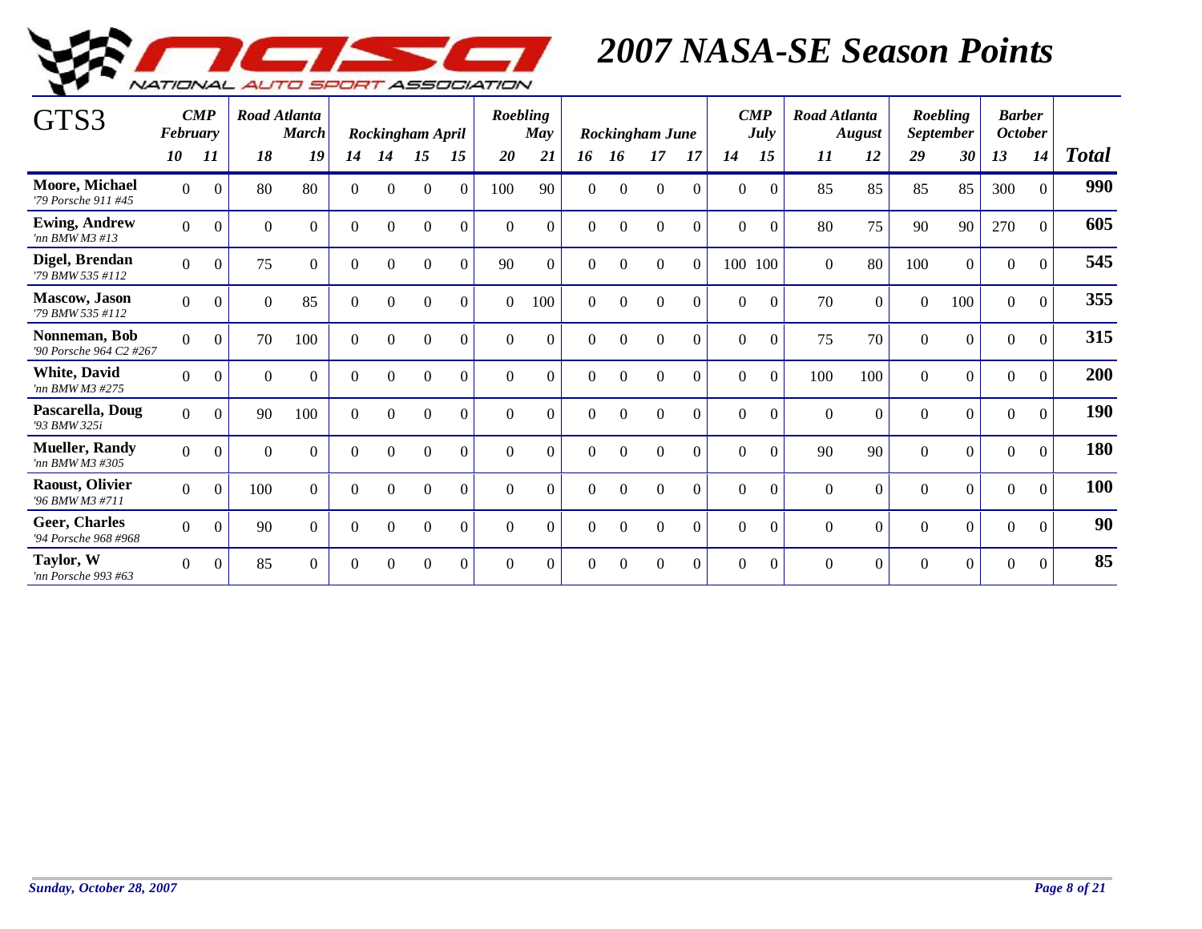

| GTS3                                         | February       | $\boldsymbol{CMP}$ |                  | Road Atlanta<br><b>March</b> |              |          | Rockingham April |          | Roebling | May            |                |                | Rockingham June |          |          | $\boldsymbol{CMP}$<br>July | Road Atlanta | <b>August</b>  |          | Roebling<br><b>September</b> | <b>Barber</b><br><b>October</b> |                |              |
|----------------------------------------------|----------------|--------------------|------------------|------------------------------|--------------|----------|------------------|----------|----------|----------------|----------------|----------------|-----------------|----------|----------|----------------------------|--------------|----------------|----------|------------------------------|---------------------------------|----------------|--------------|
|                                              | 10             | 11                 | 18               | 19                           | 14           | 14       | 15               | 15       | 20       | 21             | 16             | 16             | 17              | 17       | 14       | 15                         | 11           | 12             | 29       | 30                           | 13                              | 14             | <b>Total</b> |
| Moore, Michael<br>'79 Porsche 911 #45        | $\overline{0}$ | $\overline{0}$     | 80               | 80                           | $\Omega$     | $\Omega$ | $\Omega$         | $\Omega$ | 100      | 90             | $\overline{0}$ | $\overline{0}$ | $\overline{0}$  | $\theta$ | $\Omega$ | $\Omega$                   | 85           | 85             | 85       | 85                           | 300                             | $\Omega$       | 990          |
| <b>Ewing, Andrew</b><br>'nn $BMWM3$ #13      | $\Omega$       | $\boldsymbol{0}$   | $\boldsymbol{0}$ | $\Omega$                     | $\Omega$     | $\theta$ | $\mathbf{0}$     | $\Omega$ | $\Omega$ | $\overline{0}$ | $\Omega$       | $\Omega$       | $\Omega$        | $\Omega$ | $\Omega$ | $\Omega$                   | 80           | 75             | 90       | 90                           | 270                             | $\overline{0}$ | 605          |
| Digel, Brendan<br>'79 BMW 535 #112           | $\overline{0}$ | $\mathbf{0}$       | 75               | $\overline{0}$               | $\mathbf{0}$ | $\Omega$ | $\theta$         | $\theta$ | 90       | $\overline{0}$ | $\Omega$       | $\Omega$       | $\Omega$        | $\Omega$ | 100 100  |                            | $\Omega$     | 80             | 100      | $\boldsymbol{0}$             | $\mathbf{0}$                    | $\Omega$       | 545          |
| <b>Mascow</b> , Jason<br>'79 BMW 535 #112    | $\overline{0}$ | $\mathbf{0}$       | $\theta$         | 85                           | $\Omega$     | $\Omega$ | $\Omega$         | $\Omega$ | $\Omega$ | 100            | $\Omega$       | $\Omega$       | $\Omega$        | $\Omega$ | $\Omega$ | $\Omega$                   | 70           | $\overline{0}$ | $\Omega$ | 100                          | $\mathbf{0}$                    | $\Omega$       | 355          |
| Nonneman, Bob<br>'90 Porsche 964 C2 #267     | $\Omega$       | $\Omega$           | 70               | 100                          | $\Omega$     | $\Omega$ | $\Omega$         | $\Omega$ | $\Omega$ | $\Omega$       | $\Omega$       | $\Omega$       | $\Omega$        | $\Omega$ | $\Omega$ | $\Omega$                   | 75           | 70             | $\Omega$ | $\Omega$                     | $\theta$                        | $\Omega$       | 315          |
| <b>White, David</b><br>'nn BMW M3 #275       | $\Omega$       | $\overline{0}$     | $\Omega$         | $\Omega$                     | $\Omega$     | $\Omega$ | $\Omega$         | $\Omega$ | $\Omega$ | $\Omega$       | $\Omega$       | $\Omega$       | $\Omega$        | $\Omega$ | $\Omega$ | $\Omega$                   | 100          | 100            | $\Omega$ | $\theta$                     | $\theta$                        | $\Omega$       | 200          |
| Pascarella, Doug<br>'93 BMW 325i             | $\Omega$       | $\theta$           | 90               | 100                          | $\Omega$     | $\Omega$ | $\Omega$         | $\Omega$ | $\Omega$ | $\theta$       | $\theta$       | $\Omega$       | $\theta$        | $\Omega$ | $\Omega$ | $\Omega$                   | $\Omega$     | $\Omega$       | $\Omega$ | $\Omega$                     | $\boldsymbol{0}$                | $\Omega$       | 190          |
| <b>Mueller, Randy</b><br>'nn BMW M3 #305     | $\Omega$       | $\overline{0}$     | $\mathbf{0}$     | $\Omega$                     | $\Omega$     | $\Omega$ | $\Omega$         | $\Omega$ | $\Omega$ | $\theta$       | $\Omega$       | $\Omega$       | $\theta$        | $\Omega$ | $\Omega$ | $\Omega$                   | 90           | 90             | $\Omega$ | $\mathbf{0}$                 | $\overline{0}$                  | $\Omega$       | 180          |
| <b>Raoust, Olivier</b><br>'96 BMW M3 #711    | $\overline{0}$ | $\mathbf{0}$       | 100              | $\Omega$                     | $\Omega$     | $\Omega$ | $\Omega$         | $\Omega$ | $\theta$ | $\theta$       | $\Omega$       | $\theta$       | $\Omega$        | $\Omega$ | $\Omega$ | $\Omega$                   | $\Omega$     | $\overline{0}$ | $\Omega$ | $\mathbf{0}$                 | $\boldsymbol{0}$                | $\Omega$       | 100          |
| <b>Geer. Charles</b><br>'94 Porsche 968 #968 | $\overline{0}$ | $\mathbf{0}$       | 90               | $\Omega$                     | $\Omega$     | $\Omega$ | $\Omega$         | $\Omega$ | $\Omega$ | $\overline{0}$ | $\Omega$       | $\Omega$       | $\bigcap$       | $\Omega$ | $\Omega$ | $\Omega$                   | $\Omega$     | $\Omega$       | $\Omega$ | $\Omega$                     | $\mathbf{0}$                    | $\Omega$       | 90           |
| Taylor, W<br>'nn Porsche 993 #63             | $\Omega$       | $\Omega$           | 85               | $\Omega$                     | $\Omega$     | $\Omega$ | $\Omega$         | $\Omega$ | $\Omega$ | $\Omega$       | $\Omega$       | $\Omega$       | $\Omega$        | $\Omega$ | $\Omega$ | $\Omega$                   | $\Omega$     | $\Omega$       | $\Omega$ | $\Omega$                     | $\mathbf{0}$                    | $\Omega$       | 85           |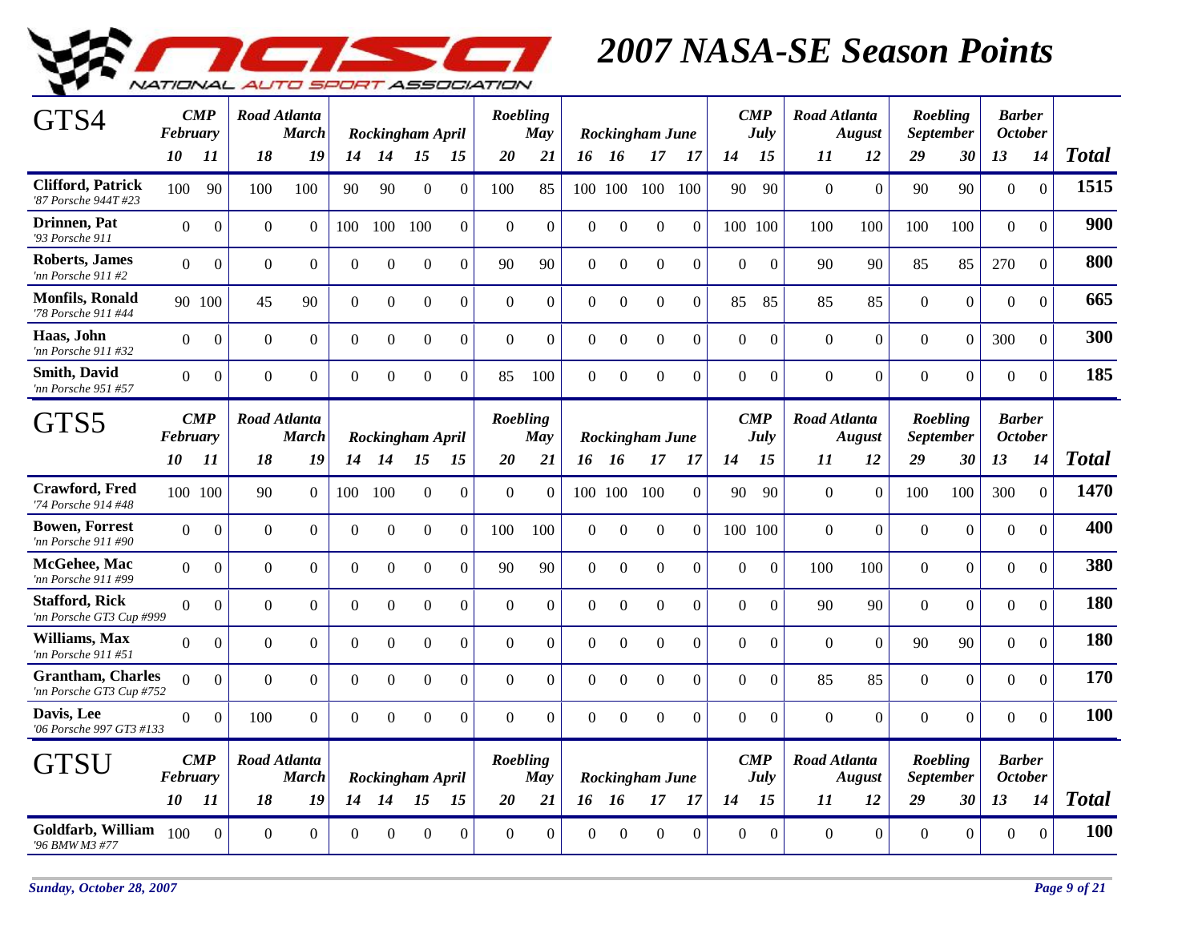

| GTS4                                                 | February        | $\boldsymbol{CMP}$ |                | Road Atlanta<br><b>March</b>        |                | Rockingham April |                  |                | Roebling       | <b>May</b>     |                |                  | <b>Rockingham June</b> |                  |                | $\boldsymbol{CMP}$<br>July | Road Atlanta        | <b>August</b>  |                | Roebling<br><b>September</b> | <b>Barber</b><br><b>October</b> |                |              |
|------------------------------------------------------|-----------------|--------------------|----------------|-------------------------------------|----------------|------------------|------------------|----------------|----------------|----------------|----------------|------------------|------------------------|------------------|----------------|----------------------------|---------------------|----------------|----------------|------------------------------|---------------------------------|----------------|--------------|
|                                                      | 10              | 11                 | 18             | 19                                  |                | 14 14            | 15               | 15             | 20             | 21             |                | 16 16            | 17                     | -17              | 14             | 15                         | 11                  | 12             | 29             | 30                           | 13                              | 14             | <b>Total</b> |
| <b>Clifford, Patrick</b><br>'87 Porsche 944T #23     | 100             | 90                 | 100            | 100                                 | 90             | 90               | $\Omega$         | $\Omega$       | 100            | 85             |                | 100 100          | 100                    | 100              | 90             | 90                         | $\theta$            | $\overline{0}$ | 90             | 90                           | $\mathbf{0}$                    | $\mathbf{0}$   | 1515         |
| Drinnen, Pat<br>'93 Porsche 911                      | $\overline{0}$  | $\overline{0}$     | $\mathbf{0}$   | $\overline{0}$                      | 100            | 100              | 100              | $\Omega$       | $\mathbf{0}$   | $\theta$       | $\mathbf{0}$   | $\mathbf{0}$     | $\Omega$               | $\Omega$         |                | 100 100                    | 100                 | 100            | 100            | 100                          | $\mathbf{0}$                    | $\mathbf{0}$   | 900          |
| <b>Roberts, James</b><br>'nn Porsche 911 #2          | $\overline{0}$  | $\boldsymbol{0}$   | $\mathbf{0}$   | $\overline{0}$                      | $\overline{0}$ | $\Omega$         | $\mathbf{0}$     | $\overline{0}$ | 90             | 90             | $\mathbf{0}$   | $\mathbf{0}$     | $\mathbf{0}$           | $\boldsymbol{0}$ | $\overline{0}$ | $\boldsymbol{0}$           | 90                  | 90             | 85             | 85                           | 270                             | $\overline{0}$ | 800          |
| <b>Monfils, Ronald</b><br>'78 Porsche 911 #44        |                 | 90 100             | 45             | 90                                  | $\overline{0}$ | $\overline{0}$   | $\overline{0}$   | $\overline{0}$ | $\overline{0}$ | $\overline{0}$ | $\overline{0}$ | $\boldsymbol{0}$ | $\mathbf{0}$           | $\boldsymbol{0}$ | 85             | 85                         | 85                  | 85             | $\overline{0}$ | $\overline{0}$               | $\mathbf{0}$                    | $\overline{0}$ | 665          |
| Haas, John<br>'nn Porsche 911 #32                    | $\overline{0}$  | $\boldsymbol{0}$   | $\mathbf{0}$   | $\mathbf{0}$                        | $\overline{0}$ | $\mathbf{0}$     | $\overline{0}$   | $\overline{0}$ | $\mathbf{0}$   | $\theta$       | $\overline{0}$ | $\boldsymbol{0}$ | $\mathbf{0}$           | $\overline{0}$   | $\overline{0}$ | $\mathbf{0}$               | $\overline{0}$      | $\overline{0}$ | $\Omega$       | $\overline{0}$               | 300                             | $\Omega$       | 300          |
| <b>Smith, David</b><br>'nn Porsche 951 #57           | $\Omega$        | $\boldsymbol{0}$   | $\mathbf{0}$   | $\overline{0}$                      | $\overline{0}$ | $\theta$         | $\mathbf{0}$     | $\overline{0}$ | 85             | 100            | $\overline{0}$ | $\mathbf{0}$     | $\mathbf{0}$           | $\overline{0}$   | $\overline{0}$ | $\mathbf{0}$               | $\mathbf{0}$        | $\overline{0}$ | $\mathbf{0}$   | $\overline{0}$               | $\boldsymbol{0}$                | $\Omega$       | 185          |
| GTS5                                                 | <b>February</b> | $\boldsymbol{CMP}$ |                | <b>Road Atlanta</b><br><b>March</b> |                | Rockingham April |                  |                | Roebling       | May            |                |                  | <b>Rockingham June</b> |                  |                | $\boldsymbol{CMP}$<br>July | <b>Road Atlanta</b> | <b>August</b>  |                | Roebling<br><b>September</b> | <b>Barber</b><br><b>October</b> |                |              |
|                                                      | 10              | 11                 | 18             | 19                                  | 14             | 14               | 15               | 15             | 20             | 21             |                | 16 16            | 17                     | 17               | 14             | 15                         | 11                  | 12             | 29             | 30                           | 13                              | 14             | <b>Total</b> |
| <b>Crawford, Fred</b><br>'74 Porsche 914 #48         |                 | 100 100            | 90             | $\Omega$                            | 100            | 100              | $\Omega$         | $\Omega$       | $\Omega$       | $\Omega$       |                | 100 100          | 100                    | $\Omega$         | 90             | 90                         | $\Omega$            | $\overline{0}$ | 100            | 100                          | 300                             | $\Omega$       | 1470         |
| <b>Bowen, Forrest</b><br>'nn Porsche 911 #90         | $\Omega$        | $\mathbf{0}$       | $\mathbf{0}$   | $\overline{0}$                      | $\overline{0}$ | $\Omega$         | $\overline{0}$   | $\Omega$       | 100            | 100            | $\mathbf{0}$   | $\Omega$         | $\Omega$               | $\Omega$         |                | 100 100                    | $\overline{0}$      | $\overline{0}$ | $\overline{0}$ | $\overline{0}$               | $\mathbf{0}$                    | $\overline{0}$ | 400          |
| McGehee, Mac<br>'nn Porsche 911 #99                  | $\Omega$        | $\boldsymbol{0}$   | $\mathbf{0}$   | $\overline{0}$                      | $\overline{0}$ | $\boldsymbol{0}$ | $\mathbf{0}$     | $\overline{0}$ | 90             | 90             | $\overline{0}$ | $\mathbf{0}$     | $\boldsymbol{0}$       | $\boldsymbol{0}$ | $\overline{0}$ | $\boldsymbol{0}$           | 100                 | 100            | $\overline{0}$ | $\overline{0}$               | $\boldsymbol{0}$                | $\Omega$       | 380          |
| <b>Stafford, Rick</b><br>'nn Porsche GT3 Cup #999    | $\Omega$        | $\theta$           | $\mathbf{0}$   | $\Omega$                            | $\theta$       | $\overline{0}$   | $\boldsymbol{0}$ | $\overline{0}$ | $\Omega$       | $\theta$       | $\Omega$       | $\mathbf{0}$     | $\mathbf{0}$           | $\Omega$         | $\Omega$       | $\mathbf{0}$               | 90                  | 90             | $\overline{0}$ | $\overline{0}$               | $\mathbf{0}$                    | $\mathbf{0}$   | 180          |
| Williams, Max<br>'nn Porsche 911 #51                 | $\Omega$        | $\overline{0}$     | $\mathbf{0}$   | $\overline{0}$                      | $\overline{0}$ | $\boldsymbol{0}$ | $\overline{0}$   | $\overline{0}$ | $\mathbf{0}$   | $\overline{0}$ | $\overline{0}$ | $\boldsymbol{0}$ | $\boldsymbol{0}$       | $\overline{0}$   | $\overline{0}$ | $\mathbf{0}$               | $\theta$            | $\overline{0}$ | 90             | 90                           | $\boldsymbol{0}$                | $\mathbf{0}$   | 180          |
| <b>Grantham, Charles</b><br>'nn Porsche GT3 Cup #752 | $\Omega$        | $\overline{0}$     | $\overline{0}$ | $\overline{0}$                      | $\overline{0}$ | $\mathbf{0}$     | $\overline{0}$   | $\overline{0}$ | $\overline{0}$ | $\overline{0}$ | $\mathbf{0}$   | $\overline{0}$   | $\overline{0}$         | $\overline{0}$   | $\overline{0}$ | $\mathbf{0}$               | 85                  | 85             | $\overline{0}$ | $\overline{0}$               | $\boldsymbol{0}$                | $\Omega$       | 170          |
| Davis, Lee<br>'06 Porsche 997 GT3 #133               | $\Omega$        | $\overline{0}$     | 100            | $\Omega$                            | $\Omega$       | $\Omega$         | $\mathbf{0}$     | $\overline{0}$ | $\Omega$       | $\Omega$       | $\Omega$       | $\Omega$         | $\Omega$               | $\Omega$         | $\Omega$       | $\mathbf{0}$               | $\Omega$            | $\overline{0}$ | $\overline{0}$ | $\overline{0}$               | $\boldsymbol{0}$                | $\mathbf{0}$   | 100          |
| GTSU                                                 | <b>February</b> | $\boldsymbol{CMP}$ |                | <b>Road Atlanta</b><br><b>March</b> |                | Rockingham April |                  |                | Roebling       | May            |                |                  | Rockingham June        |                  |                | $\boldsymbol{CMP}$<br>July | Road Atlanta        | <b>August</b>  |                | Roebling<br><b>September</b> | <b>Barber</b><br><b>October</b> |                |              |
|                                                      | 10              | 11                 | 18             | 19                                  | 14             | 14               | 15               | 15             | 20             | 21             |                | 16 16            | 17                     | 17               | 14             | 15                         | 11                  | 12             | 29             | 30                           | 13                              | 14             | <b>Total</b> |
| Goldfarb, William<br>'96 BMW M3 #77                  | 100             | $\overline{0}$     | $\mathbf{0}$   | $\mathbf{0}$                        | $\Omega$       | $\Omega$         | $\theta$         | $\Omega$       | $\Omega$       | $\theta$       | $\theta$       | $\Omega$         | $\Omega$               | $\Omega$         | $\Omega$       | $\Omega$                   | $\Omega$            | $\overline{0}$ | $\overline{0}$ | $\overline{0}$               | $\boldsymbol{0}$                | $\mathbf{0}$   | 100          |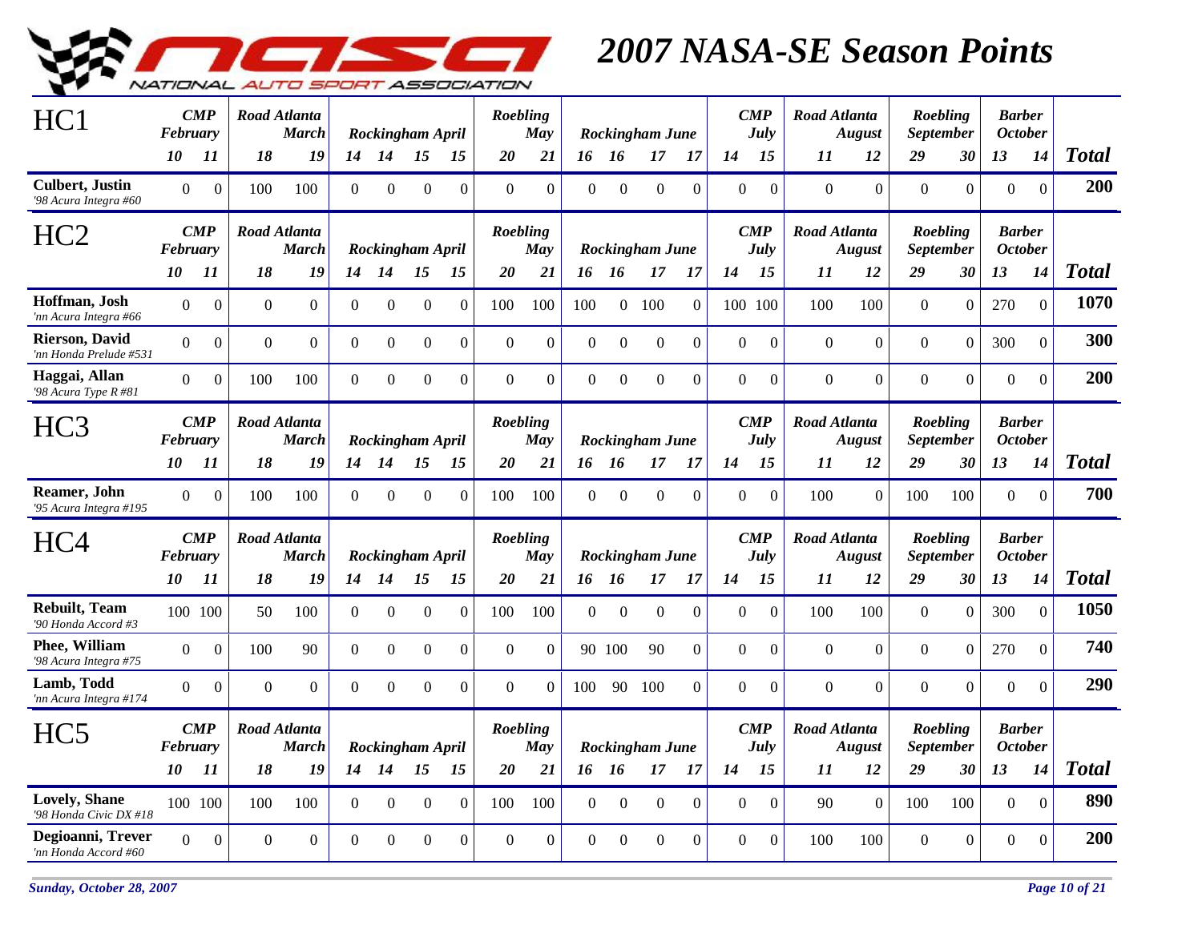

| HC <sub>1</sub>                                  | February       | $\boldsymbol{CMP}$ |                  | Road Atlanta<br><b>March</b>        |                |                  | Rockingham April |                  | Roebling     | <b>May</b>   |                  |                  | <b>Rockingham June</b> |                |                | $\boldsymbol{CMP}$<br><b>July</b> | Road Atlanta        | <b>August</b>    |                  | Roebling<br><b>September</b> |                  | <b>Barber</b><br><b>October</b> |              |
|--------------------------------------------------|----------------|--------------------|------------------|-------------------------------------|----------------|------------------|------------------|------------------|--------------|--------------|------------------|------------------|------------------------|----------------|----------------|-----------------------------------|---------------------|------------------|------------------|------------------------------|------------------|---------------------------------|--------------|
|                                                  | 10             | 11                 | 18               | 19                                  | 14             | 14               | <i>15</i>        | 15               | 20           | 21           |                  | 16 16            | 17                     | -17            | 14             | 15                                | 11                  | 12               | 29               | 30                           | 13               | 14                              | <b>Total</b> |
| <b>Culbert</b> , Justin<br>'98 Acura Integra #60 | $\overline{0}$ | $\overline{0}$     | 100              | 100                                 | $\Omega$       | $\Omega$         | $\Omega$         | $\Omega$         | $\Omega$     | $\Omega$     | $\theta$         | $\Omega$         | $\theta$               | $\Omega$       | $\Omega$       | $\mathbf{0}$                      | $\Omega$            | $\Omega$         | $\Omega$         | $\overline{0}$               | $\boldsymbol{0}$ | $\overline{0}$                  | 200          |
| HC <sub>2</sub>                                  | February       | $\bf CMP$          |                  | <b>Road Atlanta</b><br><b>March</b> |                |                  | Rockingham April |                  | Roebling     | May          |                  |                  | <b>Rockingham June</b> |                |                | $\boldsymbol{CMP}$<br>July        | Road Atlanta        | <b>August</b>    |                  | Roebling<br><b>September</b> | <b>October</b>   | <b>Barber</b>                   |              |
|                                                  | 10             | -11                | 18               | 19                                  |                | 14 14            | 15               | 15               | 20           | 21           |                  | 16 16            | 17                     | -17            | 14             | 15                                | 11                  | 12               | 29               | 30                           | 13               | 14                              | <b>Total</b> |
| Hoffman, Josh<br>'nn Acura Integra #66           | $\Omega$       | $\boldsymbol{0}$   | $\boldsymbol{0}$ | $\overline{0}$                      | $\overline{0}$ | $\overline{0}$   | $\boldsymbol{0}$ | $\overline{0}$   | 100          | 100          | 100              |                  | $0$ 100                | $\overline{0}$ |                | 100 100                           | 100                 | 100              | $\boldsymbol{0}$ | $\overline{0}$               | 270              | $\mathbf{0}$                    | 1070         |
| <b>Rierson, David</b><br>'nn Honda Prelude #531  | $\overline{0}$ | $\overline{0}$     | $\mathbf{0}$     | $\boldsymbol{0}$                    | $\overline{0}$ | $\boldsymbol{0}$ | $\mathbf{0}$     | $\Omega$         | $\Omega$     | $\mathbf{0}$ | $\Omega$         | $\mathbf{0}$     | $\boldsymbol{0}$       | $\Omega$       | $\Omega$       | $\mathbf{0}$                      | $\mathbf{0}$        | $\overline{0}$   | $\Omega$         | $\overline{0}$               | 300              | $\overline{0}$                  | 300          |
| Haggai, Allan<br>'98 Acura Type $R$ #81          | $\overline{0}$ | $\boldsymbol{0}$   | 100              | 100                                 | $\overline{0}$ | $\Omega$         | $\mathbf{0}$     | $\mathbf{0}$     | $\mathbf{0}$ | $\mathbf{0}$ | $\boldsymbol{0}$ | $\boldsymbol{0}$ | $\boldsymbol{0}$       | $\Omega$       | $\overline{0}$ | $\Omega$                          | $\mathbf{0}$        | $\overline{0}$   | $\overline{0}$   | $\overline{0}$               | $\boldsymbol{0}$ | $\Omega$                        | 200          |
| HC <sub>3</sub>                                  | February       | $\boldsymbol{CMP}$ |                  | Road Atlanta<br><b>March</b>        |                |                  | Rockingham April |                  | Roebling     | <b>May</b>   |                  |                  | <b>Rockingham June</b> |                |                | $\boldsymbol{CMP}$<br><b>July</b> | Road Atlanta        | <b>August</b>    |                  | Roebling<br><b>September</b> |                  | <b>Barber</b><br><b>October</b> |              |
|                                                  | 10             | -11                | 18               | 19                                  | 14             | 14               | 15               | 15               | 20           | 21           |                  | 16 16            | 17                     | -17            | 14             | 15                                | 11                  | 12               | 29               | 30                           | 13               | 14                              | <b>Total</b> |
| Reamer, John<br>'95 Acura Integra #195           | $\overline{0}$ | $\Omega$           | 100              | 100                                 | $\Omega$       | $\Omega$         | $\Omega$         | $\Omega$         | 100          | 100          | $\theta$         | $\Omega$         | $\theta$               | $\Omega$       | $\theta$       | $\mathbf{0}$                      | 100                 | $\Omega$         | 100              | 100                          | $\Omega$         | $\mathbf{0}$                    | 700          |
| HC <sub>4</sub>                                  | February       | $\boldsymbol{CMP}$ |                  | <b>Road Atlanta</b><br><b>March</b> |                |                  | Rockingham April |                  | Roebling     | May          |                  |                  | Rockingham June        |                |                | $\boldsymbol{CMP}$<br>July        | <b>Road Atlanta</b> | <b>August</b>    |                  | Roebling<br><b>September</b> | <b>Barber</b>    | <b>October</b>                  |              |
|                                                  | 10             | 11                 | 18               | 19                                  | 14             | 14               | 15               | 15               | 20           | 21           |                  | 16 16            | 17                     | 17             | 14             | 15                                | 11                  | 12               | 29               | 30                           | 13               | 14                              | <b>Total</b> |
| <b>Rebuilt</b> , Team<br>'90 Honda Accord #3     |                | 100 100            | 50               | 100                                 | $\overline{0}$ | $\overline{0}$   | $\boldsymbol{0}$ | $\overline{0}$   | 100          | 100          | $\overline{0}$   | $\overline{0}$   | $\boldsymbol{0}$       | $\overline{0}$ | $\Omega$       | $\boldsymbol{0}$                  | 100                 | 100              | $\overline{0}$   | $\overline{0}$               | 300              | $\overline{0}$                  | 1050         |
| Phee, William<br>'98 Acura Integra #75           | $\Omega$       | $\boldsymbol{0}$   | 100              | 90                                  | $\overline{0}$ | $\boldsymbol{0}$ | $\Omega$         | $\Omega$         | $\Omega$     | $\Omega$     |                  | 90 100           | 90                     | $\Omega$       | $\theta$       | $\mathbf{0}$                      | $\Omega$            | $\overline{0}$   | $\overline{0}$   | $\overline{0}$               | 270              | $\overline{0}$                  | 740          |
| Lamb, Todd<br>'nn Acura Integra #174             | $\overline{0}$ | $\boldsymbol{0}$   | $\boldsymbol{0}$ | $\boldsymbol{0}$                    | $\overline{0}$ | $\overline{0}$   | $\mathbf{0}$     | $\boldsymbol{0}$ | $\mathbf{0}$ | $\Omega$     | 100              | 90               | 100                    | $\Omega$       | $\overline{0}$ | $\mathbf{0}$                      | $\mathbf{0}$        | $\boldsymbol{0}$ | $\overline{0}$   | $\boldsymbol{0}$             | $\boldsymbol{0}$ | $\Omega$                        | 290          |
| HC <sub>5</sub>                                  | February       | $\boldsymbol{CMP}$ |                  | Road Atlanta<br><b>March</b>        |                |                  | Rockingham April |                  | Roebling     | <b>May</b>   |                  |                  | <b>Rockingham June</b> |                |                | $\boldsymbol{CMP}$<br><b>July</b> | Road Atlanta        | <b>August</b>    |                  | Roebling<br><b>September</b> |                  | <b>Barber</b><br><b>October</b> |              |
|                                                  | 10             | 11                 | 18               | 19                                  | 14             | 14               | 15               | 15               | 20           | 21           |                  | 16 16            | 17                     | 17             | 14             | 15                                | 11                  | 12               | 29               | 30                           | 13               | 14                              | <b>Total</b> |
| <b>Lovely, Shane</b><br>'98 Honda Civic DX #18   |                | 100 100            | 100              | 100                                 | $\Omega$       | $\overline{0}$   | $\theta$         | $\Omega$         | 100          | 100          | $\theta$         | $\Omega$         | $\theta$               | $\theta$       | $\Omega$       | $\boldsymbol{0}$                  | 90                  | $\Omega$         | 100              | 100                          | $\mathbf{0}$     | $\Omega$                        | 890          |
| Degioanni, Trever<br>'nn Honda Accord #60        | $\Omega$       | $\boldsymbol{0}$   | $\boldsymbol{0}$ | $\boldsymbol{0}$                    | $\Omega$       | $\Omega$         | $\Omega$         | $\Omega$         | $\Omega$     | $\Omega$     | $\Omega$         | $\Omega$         | $\Omega$               | $\Omega$       | $\Omega$       | $\Omega$                          | 100                 | 100              | $\overline{0}$   | $\boldsymbol{0}$             | $\mathbf{0}$     | $\Omega$                        | 200          |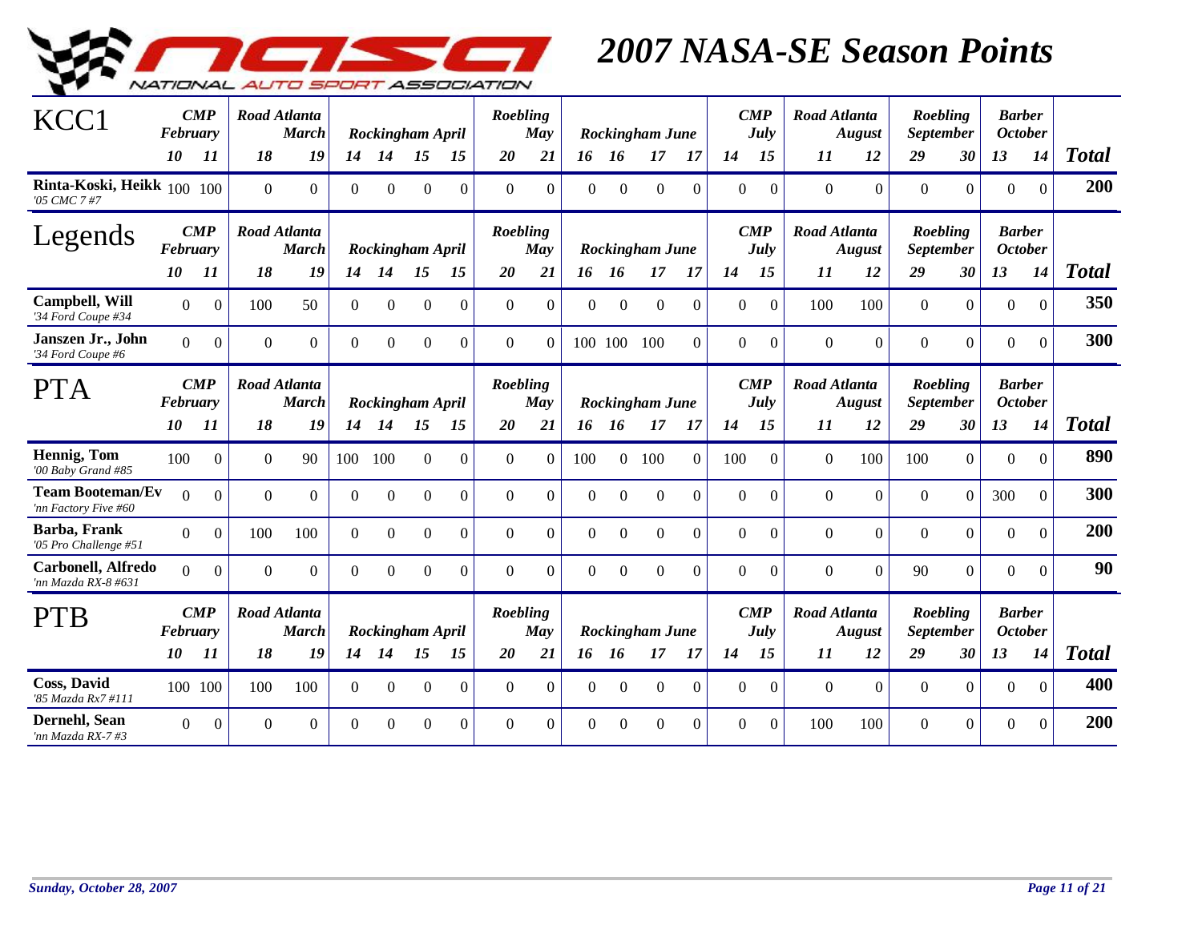

| KCC1                                             | February<br>10 | $\boldsymbol{CMP}$<br>11 | 18           | <b>Road Atlanta</b><br><b>March</b><br>19 | 14             | Rockingham April<br>14 | 15               | 15             | Roebling<br>20 | May<br>21 |                  | 16 16            | <b>Rockingham June</b><br>17 | -17      | 14       | $\boldsymbol{CMP}$<br>July<br>15 | <b>Road Atlanta</b><br>11 | <b>August</b><br>12 | Roebling<br><b>September</b><br>29 | 30               | <b>Barber</b><br><b>October</b><br>13 | 14               | <b>Total</b> |
|--------------------------------------------------|----------------|--------------------------|--------------|-------------------------------------------|----------------|------------------------|------------------|----------------|----------------|-----------|------------------|------------------|------------------------------|----------|----------|----------------------------------|---------------------------|---------------------|------------------------------------|------------------|---------------------------------------|------------------|--------------|
| Rinta-Koski, Heikk 100 100<br>'05 CMC 7 #7       |                |                          | $\mathbf{0}$ | $\overline{0}$                            | $\Omega$       | $\theta$               | $\boldsymbol{0}$ | $\Omega$       | $\overline{0}$ | $\theta$  | $\Omega$         | $\boldsymbol{0}$ | $\boldsymbol{0}$             | $\Omega$ | $\theta$ | $\theta$                         | $\overline{0}$            | $\overline{0}$      | $\overline{0}$                     | $\overline{0}$   | $\mathbf{0}$                          | $\overline{0}$   | 200          |
| Legends                                          | February       | $\boldsymbol{CMP}$       |              | <b>Road Atlanta</b><br><b>March</b>       |                | Rockingham April       |                  |                | Roebling       | May       |                  |                  | Rockingham June              |          |          | $\boldsymbol{CMP}$<br>July       | Road Atlanta              | August              | Roebling<br><b>September</b>       |                  | <b>Barber</b><br><b>October</b>       |                  |              |
|                                                  | 10             | 11                       | 18           | 19                                        | 14             | 14                     | 15               | 15             | 20             | 21        |                  | 16 16            | 17                           | -17      | 14       | 15                               | 11                        | 12                  | 29                                 | 30               | 13                                    | 14               | <b>Total</b> |
| <b>Campbell, Will</b><br>'34 Ford Coupe #34      | $\Omega$       | $\Omega$                 | 100          | 50                                        | $\overline{0}$ | $\Omega$               | $\boldsymbol{0}$ | $\Omega$       | $\Omega$       | $\theta$  | $\Omega$         | $\boldsymbol{0}$ | $\mathbf{0}$                 | $\theta$ | $\Omega$ | $\theta$                         | 100                       | 100                 | $\overline{0}$                     | $\overline{0}$   | $\boldsymbol{0}$                      | $\overline{0}$   | 350          |
| Janszen Jr., John<br>'34 Ford Coupe #6           | $\Omega$       | $\boldsymbol{0}$         | $\Omega$     | $\overline{0}$                            | $\overline{0}$ | $\mathbf{0}$           | $\boldsymbol{0}$ | $\Omega$       | $\Omega$       | $\Omega$  |                  | 100 100          | 100                          | $\Omega$ | $\Omega$ | $\boldsymbol{0}$                 | $\Omega$                  | $\boldsymbol{0}$    | $\mathbf{0}$                       | $\boldsymbol{0}$ | $\boldsymbol{0}$                      | $\theta$         | 300          |
| <b>PTA</b>                                       | February       | $\boldsymbol{CMP}$       |              | <b>Road Atlanta</b><br><b>March</b>       |                | Rockingham April       |                  |                | Roebling       | May       |                  |                  | Rockingham June              |          |          | $\boldsymbol{CMP}$<br>July       | <b>Road Atlanta</b>       | <b>August</b>       | Roebling<br><b>September</b>       |                  | <b>Barber</b><br><b>October</b>       |                  |              |
|                                                  | <i>10</i>      | 11                       | 18           | 19                                        | 14             | 14                     | 15               | 15             | 20             | 21        |                  | 16 16            | 17                           | -17      | 14       | 15                               | 11                        | 12                  | 29                                 | 30               | 13                                    | 14               | <b>Total</b> |
| Hennig, Tom<br>'00 Baby Grand #85                | 100            | $\boldsymbol{0}$         | $\mathbf{0}$ | 90                                        | 100            | 100                    | $\boldsymbol{0}$ | $\overline{0}$ | $\mathbf{0}$   | $\theta$  | 100              | $\overline{0}$   | 100                          | $\Omega$ | 100      | $\theta$                         | $\overline{0}$            | 100                 | 100                                | $\mathbf{0}$     | $\boldsymbol{0}$                      | $\boldsymbol{0}$ | 890          |
| <b>Team Booteman/Ev</b><br>'nn Factory Five #60  | $\Omega$       | $\Omega$                 | $\mathbf{0}$ | $\mathbf{0}$                              | $\overline{0}$ | $\mathbf{0}$           | $\boldsymbol{0}$ | $\Omega$       | $\mathbf{0}$   | $\theta$  | $\boldsymbol{0}$ | $\boldsymbol{0}$ | $\mathbf{0}$                 | $\Omega$ | $\theta$ | $\theta$                         | $\overline{0}$            | $\mathbf{0}$        | $\boldsymbol{0}$                   | $\Omega$         | 300                                   | $\theta$         | 300          |
| Barba, Frank<br>'05 Pro Challenge #51            | $\Omega$       | $\mathbf{0}$             | 100          | 100                                       | $\Omega$       | $\theta$               | $\Omega$         | $\Omega$       | $\Omega$       | $\theta$  | $\Omega$         | $\Omega$         | $\overline{0}$               | $\theta$ | $\theta$ | $\Omega$                         | $\Omega$                  | $\mathbf{0}$        | $\Omega$                           | $\overline{0}$   | $\overline{0}$                        | $\Omega$         | 200          |
| <b>Carbonell, Alfredo</b><br>'nn Mazda RX-8 #631 | $\Omega$       | $\theta$                 | $\Omega$     | $\Omega$                                  | $\theta$       | $\theta$               | $\Omega$         | $\Omega$       | $\Omega$       | $\theta$  | $\Omega$         | $\Omega$         | $\Omega$                     | $\Omega$ | $\Omega$ | $\theta$                         | $\Omega$                  | $\overline{0}$      | 90                                 | $\overline{0}$   | $\boldsymbol{0}$                      | $\Omega$         | 90           |
| <b>PTB</b>                                       | February       | $\boldsymbol{CMP}$       |              | <b>Road Atlanta</b><br><b>March</b>       |                | Rockingham April       |                  |                | Roebling       | May       |                  |                  | Rockingham June              |          |          | $\boldsymbol{CMP}$<br>July       | <b>Road Atlanta</b>       | August              | Roebling<br><b>September</b>       |                  | <b>Barber</b><br><b>October</b>       |                  |              |
|                                                  | 10             | 11                       | 18           | 19                                        | 14             | 14                     | 15               | 15             | 20             | 21        | 16               | <b>16</b>        | 17                           | 17       | 14       | 15                               | 11                        | 12                  | 29                                 | 30               | 13                                    | 14               | <b>Total</b> |
| <b>Coss, David</b><br>'85 Mazda Rx7 #111         |                | 100 100                  | 100          | 100                                       | $\overline{0}$ | $\Omega$               | $\theta$         | $\Omega$       | $\overline{0}$ | $\theta$  | $\overline{0}$   | $\overline{0}$   | $\theta$                     | $\theta$ | $\Omega$ | $\theta$                         | $\theta$                  | $\Omega$            | $\overline{0}$                     | $\overline{0}$   | $\boldsymbol{0}$                      | $\mathbf{0}$     | 400          |
| Dernehl, Sean<br>'nn Mazda RX-7 #3               | $\Omega$       | $\theta$                 | $\Omega$     | $\Omega$                                  | $\Omega$       | $\Omega$               | $\Omega$         | $\Omega$       | $\Omega$       | $\Omega$  | $\Omega$         | $\Omega$         | $\Omega$                     | $\Omega$ | $\Omega$ | $\Omega$                         | 100                       | 100                 | $\Omega$                           | $\Omega$         | $\theta$                              | $\theta$         | 200          |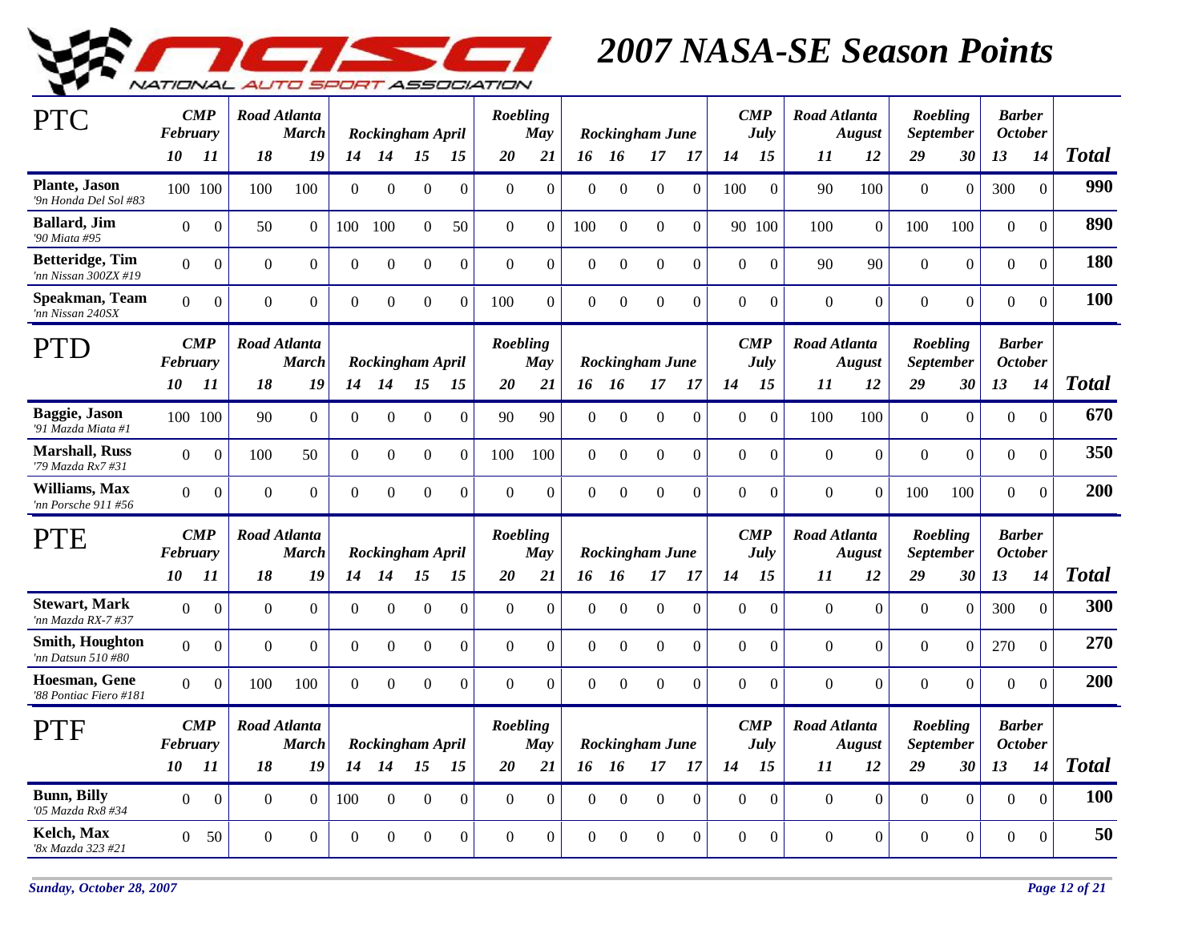

| <b>PTC</b>                                      | February       | $\boldsymbol{CMP}$ |              | Road Atlanta<br><b>March</b>        |                | Rockingham April |                  |                | Roebling        | <b>May</b>     |                  |                  | Rockingham June        |          |                | $\boldsymbol{CMP}$<br>July        | Road Atlanta        | <b>August</b>    |                  | Roebling<br><b>September</b>        | <b>Barber</b><br><b>October</b> |                |              |
|-------------------------------------------------|----------------|--------------------|--------------|-------------------------------------|----------------|------------------|------------------|----------------|-----------------|----------------|------------------|------------------|------------------------|----------|----------------|-----------------------------------|---------------------|------------------|------------------|-------------------------------------|---------------------------------|----------------|--------------|
|                                                 | 10             | 11                 | 18           | 19                                  |                | 14 14            | 15               | 15             | 20              | 21             |                  | 16 16            | 17                     | 17       | 14             | 15                                | 11                  | 12               | 29               | 30                                  | 13                              | 14             | <b>Total</b> |
| <b>Plante</b> , Jason<br>'9n Honda Del Sol #83  | 100 100        |                    | 100          | 100                                 | $\overline{0}$ | $\overline{0}$   | $\Omega$         | $\Omega$       | $\Omega$        | $\Omega$       | $\theta$         | $\Omega$         | $\mathbf{0}$           | $\Omega$ | 100            | $\mathbf{0}$                      | 90                  | 100              | $\overline{0}$   | $\overline{0}$                      | 300                             | $\overline{0}$ | 990          |
| <b>Ballard</b> , Jim<br>'90 Miata #95           | $\overline{0}$ | $\boldsymbol{0}$   | 50           | $\Omega$                            | 100            | 100              | $\Omega$         | 50             | $\Omega$        | $\Omega$       | 100              | $\Omega$         | $\Omega$               | $\theta$ |                | 90 100                            | 100                 | $\overline{0}$   | 100              | 100                                 | $\overline{0}$                  | $\overline{0}$ | 890          |
| <b>Betteridge</b> , Tim<br>'nn Nissan 300ZX #19 | $\overline{0}$ | $\boldsymbol{0}$   | $\Omega$     | $\overline{0}$                      | $\overline{0}$ | $\boldsymbol{0}$ | $\Omega$         | $\Omega$       | $\Omega$        | $\Omega$       | $\mathbf{0}$     | $\boldsymbol{0}$ | $\boldsymbol{0}$       | $\Omega$ | $\Omega$       | $\boldsymbol{0}$                  | 90                  | 90               | $\boldsymbol{0}$ | $\boldsymbol{0}$                    | $\boldsymbol{0}$                | $\overline{0}$ | 180          |
| Speakman, Team<br>'nn Nissan 240SX              | $\Omega$       | $\overline{0}$     | $\Omega$     | $\boldsymbol{0}$                    | $\overline{0}$ | $\Omega$         | $\Omega$         | $\Omega$       | 100             | $\Omega$       | $\mathbf{0}$     | $\Omega$         | $\Omega$               | $\Omega$ | $\Omega$       | $\Omega$                          | $\theta$            | $\overline{0}$   | $\boldsymbol{0}$ | $\boldsymbol{0}$                    | $\overline{0}$                  | $\Omega$       | 100          |
| PTD                                             | February       | $\mathbf{CMP}$     |              | <b>Road Atlanta</b><br><b>March</b> |                | Rockingham April |                  |                | Roebling        | May            |                  |                  | Rockingham June        |          |                | $\boldsymbol{CMP}$<br><b>July</b> | <b>Road Atlanta</b> | <b>August</b>    |                  | <b>Roebling</b><br><b>September</b> | <b>Barber</b><br><b>October</b> |                |              |
|                                                 | 10             | 11                 | 18           | 19                                  | 14             | 14               | 15               | 15             | 20              | 21             |                  | 16 16            | 17                     | 17       | 14             | 15                                | 11                  | 12               | 29               | 30                                  | 13                              | 14             | <b>Total</b> |
| Baggie, Jason<br>'91 Mazda Miata #1             |                | 100 100            | 90           | $\mathbf{0}$                        | $\overline{0}$ | $\overline{0}$   | $\boldsymbol{0}$ | $\overline{0}$ | 90              | 90             | $\overline{0}$   | $\boldsymbol{0}$ | $\boldsymbol{0}$       | $\theta$ | $\Omega$       | $\mathbf{0}$                      | 100                 | 100              | $\mathbf{0}$     | $\overline{0}$                      | $\mathbf{0}$                    | $\mathbf{0}$   | 670          |
| <b>Marshall, Russ</b><br>'79 Mazda Rx7 #31      | $\Omega$       | $\overline{0}$     | 100          | 50                                  | $\Omega$       | $\Omega$         | $\overline{0}$   | $\Omega$       | 100             | 100            | $\Omega$         | $\Omega$         | $\mathbf{0}$           | $\Omega$ | $\Omega$       | $\overline{0}$                    | $\Omega$            | $\mathbf{0}$     | $\overline{0}$   | $\overline{0}$                      | $\theta$                        | $\Omega$       | 350          |
| Williams, Max<br>'nn Porsche 911 #56            | $\overline{0}$ | $\boldsymbol{0}$   | $\mathbf{0}$ | $\boldsymbol{0}$                    | $\overline{0}$ | $\overline{0}$   | $\overline{0}$   | $\overline{0}$ | $\Omega$        | $\overline{0}$ | $\theta$         | $\theta$         | $\mathbf{0}$           | $\Omega$ | $\overline{0}$ | $\boldsymbol{0}$                  | $\mathbf{0}$        | $\overline{0}$   | 100              | 100                                 | $\mathbf{0}$                    | $\mathbf{0}$   | 200          |
| <b>PTE</b>                                      | February       | $\boldsymbol{CMP}$ |              | Road Atlanta<br><b>March</b>        |                | Rockingham April |                  |                | <b>Roebling</b> | <b>May</b>     |                  |                  | Rockingham June        |          |                | $\boldsymbol{CMP}$<br>July        | <b>Road Atlanta</b> | <b>August</b>    |                  | <b>Roebling</b><br><b>September</b> | <b>Barber</b><br><b>October</b> |                |              |
|                                                 | 10             | 11                 | 18           | 19                                  | 14             | 14               | 15               | 15             | 20              | 21             |                  | 16 16            | 17                     | 17       | 14             | 15                                | 11                  | 12               | 29               | 30                                  | 13                              | 14             | <b>Total</b> |
| <b>Stewart, Mark</b><br>'nn Mazda RX-7 #37      | $\overline{0}$ | $\overline{0}$     | $\mathbf{0}$ | $\overline{0}$                      | $\overline{0}$ | $\Omega$         | $\overline{0}$   | $\Omega$       | $\overline{0}$  | $\Omega$       | $\theta$         | $\theta$         | $\overline{0}$         | $\theta$ | $\Omega$       | $\mathbf{0}$                      | $\theta$            | $\boldsymbol{0}$ | $\overline{0}$   | $\overline{0}$                      | 300                             | $\overline{0}$ | 300          |
| Smith, Houghton<br>'nn Datsun 510 #80           | $\overline{0}$ | $\overline{0}$     | $\mathbf{0}$ | $\mathbf{0}$                        | $\overline{0}$ | $\overline{0}$   | $\boldsymbol{0}$ | $\Omega$       | $\overline{0}$  | $\Omega$       | $\mathbf{0}$     | $\boldsymbol{0}$ | $\boldsymbol{0}$       | $\Omega$ | $\overline{0}$ | $\mathbf{0}$                      | $\overline{0}$      | $\overline{0}$   | $\boldsymbol{0}$ | $\overline{0}$                      | 270                             | $\mathbf{0}$   | 270          |
| <b>Hoesman, Gene</b><br>'88 Pontiac Fiero #181  | $\overline{0}$ | $\overline{0}$     | 100          | 100                                 | $\overline{0}$ | $\Omega$         | $\boldsymbol{0}$ | $\Omega$       | $\Omega$        | $\Omega$       | $\boldsymbol{0}$ | $\Omega$         | $\boldsymbol{0}$       | $\Omega$ | $\overline{0}$ | $\mathbf{0}$                      | $\overline{0}$      | $\overline{0}$   | $\boldsymbol{0}$ | $\boldsymbol{0}$                    | $\mathbf{0}$                    | $\mathbf{0}$   | 200          |
| PTF                                             | February       | $\boldsymbol{CMP}$ |              | <b>Road Atlanta</b><br><b>March</b> |                | Rockingham April |                  |                | Roebling        | <b>May</b>     |                  |                  | <b>Rockingham June</b> |          |                | $\boldsymbol{CMP}$<br>July        | <b>Road Atlanta</b> | <b>August</b>    |                  | Roebling<br><b>September</b>        | <b>Barber</b><br><b>October</b> |                |              |
|                                                 | 10             | 11                 | 18           | 19                                  | 14             | 14               | 15               | 15             | 20              | 21             |                  | 16 16            | 17                     | 17       | 14             | 15                                | 11                  | 12               | 29               | 30                                  | 13                              | 14             | <b>Total</b> |
| <b>Bunn</b> , Billy<br>'05 Mazda Rx8 #34        | $\Omega$       | $\overline{0}$     | $\Omega$     | $\theta$                            | 100            | $\Omega$         | $\Omega$         | $\theta$       | $\Omega$        | $\Omega$       | $\Omega$         | $\theta$         | $\Omega$               | $\theta$ | $\Omega$       | $\mathbf{0}$                      | $\theta$            | $\overline{0}$   | $\overline{0}$   | $\overline{0}$                      | $\theta$                        | $\mathbf{0}$   | 100          |
| Kelch. Max<br>'8x Mazda 323 #21                 | $\Omega$       | 50                 | $\Omega$     | $\Omega$                            | $\Omega$       | $\Omega$         | $\theta$         | $\Omega$       | $\Omega$        | $\Omega$       | $\Omega$         | $\Omega$         | $\Omega$               | $\Omega$ | $\Omega$       | $\theta$                          | $\Omega$            | $\overline{0}$   | $\overline{0}$   | $\overline{0}$                      | $\overline{0}$                  | $\mathbf{0}$   | 50           |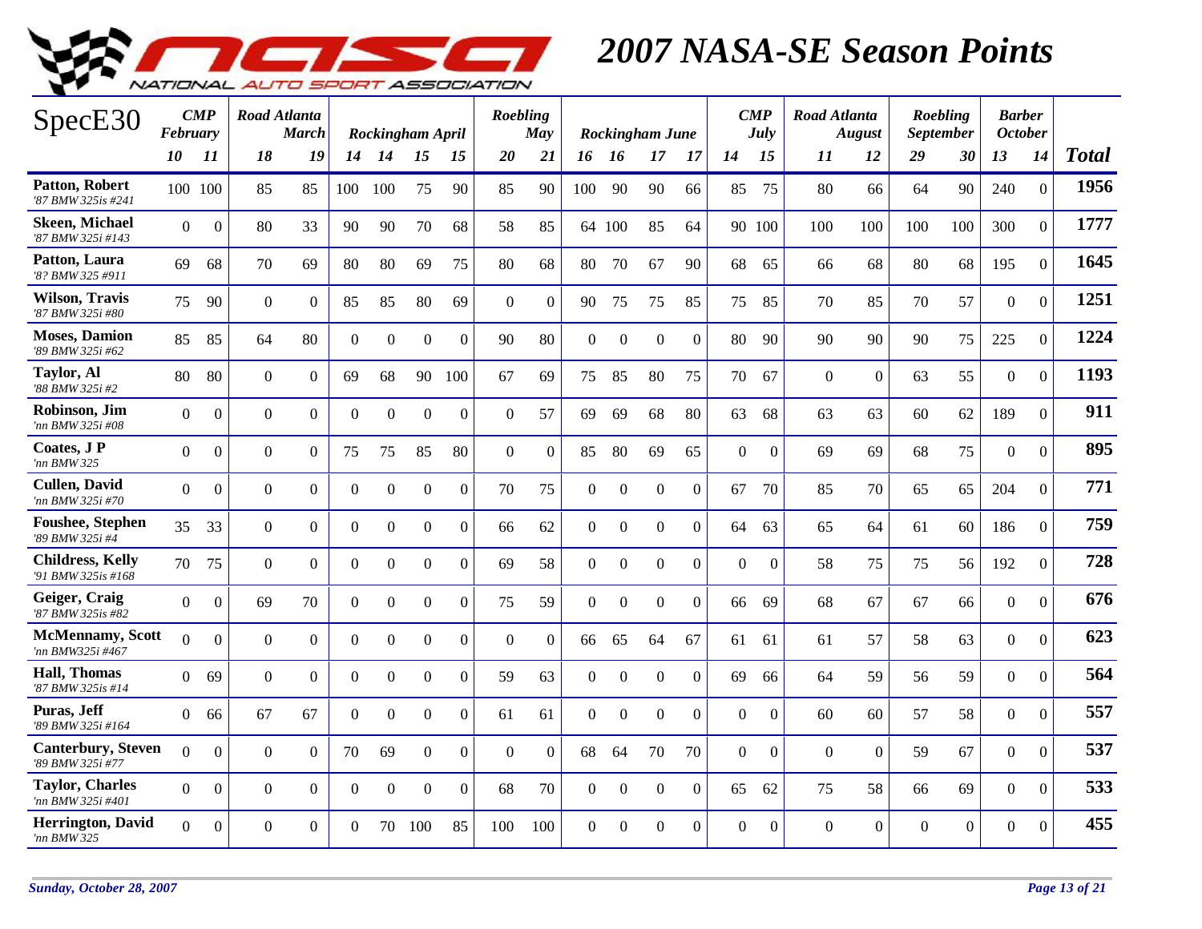

| SpecE30                                        | <b>February</b> | $\boldsymbol{CMP}$ | Road Atlanta   | <b>March</b>   |                | Rockingham April |                  |                | Roebling       | May          |                |                | Rockingham June  |                  |                | $\boldsymbol{CMP}$<br>July | Road Atlanta | <b>August</b>  |          | Roebling<br><b>September</b> | <b>Barber</b><br><b>October</b> |                  |              |
|------------------------------------------------|-----------------|--------------------|----------------|----------------|----------------|------------------|------------------|----------------|----------------|--------------|----------------|----------------|------------------|------------------|----------------|----------------------------|--------------|----------------|----------|------------------------------|---------------------------------|------------------|--------------|
|                                                | 10              | 11                 | 18             | 19             | 14             | <b>14</b>        | 15               | 15             | <b>20</b>      | <b>21</b>    | 16 16          |                | 17               | 17               | 14             | 15                         | 11           | 12             | 29       | 30                           | 13                              | 14               | <b>Total</b> |
| <b>Patton, Robert</b><br>'87 BMW 325is #241    | 100 100         |                    | 85             | 85             | 100            | 100              | 75               | 90             | 85             | 90           | 100            | 90             | 90               | 66               | 85             | 75                         | 80           | 66             | 64       | 90                           | 240                             | $\mathbf{0}$     | 1956         |
| <b>Skeen, Michael</b><br>'87 BMW 325i #143     | $\Omega$        | $\overline{0}$     | 80             | 33             | 90             | 90               | 70               | 68             | 58             | 85           |                | 64 100         | 85               | 64               |                | 90 100                     | 100          | 100            | 100      | 100                          | 300                             | $\theta$         | 1777         |
| Patton, Laura<br>'8? BMW 325 #911              | 69              | 68                 | 70             | 69             | 80             | 80               | 69               | 75             | 80             | 68           | 80             | 70             | 67               | 90               | 68             | 65                         | 66           | 68             | 80       | 68                           | 195                             | $\overline{0}$   | 1645         |
| <b>Wilson, Travis</b><br>'87 BMW 325i #80      | 75              | 90                 | $\overline{0}$ | $\overline{0}$ | 85             | 85               | 80               | 69             | $\overline{0}$ | $\mathbf{0}$ | 90             | 75             | 75               | 85               | 75             | 85                         | 70           | 85             | 70       | 57                           | $\overline{0}$                  | $\overline{0}$   | 1251         |
| <b>Moses</b> , Damion<br>'89 BMW 325i #62      | 85              | 85                 | 64             | 80             | $\overline{0}$ | $\boldsymbol{0}$ | $\overline{0}$   | $\Omega$       | 90             | 80           | $\mathbf{0}$   | $\overline{0}$ | $\overline{0}$   | $\overline{0}$   | 80             | 90                         | 90           | 90             | 90       | 75                           | 225                             | $\mathbf{0}$     | 1224         |
| <b>Taylor, Al</b><br>'88 BMW 325i #2           | 80              | 80                 | $\overline{0}$ | $\Omega$       | 69             | 68               | 90               | 100            | 67             | 69           | 75             | 85             | 80               | 75               | 70             | 67                         | $\Omega$     | $\overline{0}$ | 63       | 55                           | $\mathbf{0}$                    | $\Omega$         | 1193         |
| Robinson. Jim<br>'nn BMW 325i #08              | $\Omega$        | $\boldsymbol{0}$   | $\Omega$       | $\Omega$       | $\overline{0}$ | $\Omega$         | $\overline{0}$   | $\Omega$       | $\Omega$       | 57           | 69             | 69             | 68               | 80               | 63             | 68                         | 63           | 63             | 60       | 62                           | 189                             | $\overline{0}$   | 911          |
| Coates, J P<br>'nn BMW 325                     | $\Omega$        | $\Omega$           | $\Omega$       | $\Omega$       | 75             | 75               | 85               | 80             | $\Omega$       | $\Omega$     | 85             | 80             | 69               | 65               | $\Omega$       | $\mathbf{0}$               | 69           | 69             | 68       | 75                           | $\Omega$                        | $\Omega$         | 895          |
| <b>Cullen, David</b><br>'nn BMW 325i #70       | $\overline{0}$  | $\Omega$           | $\Omega$       | $\overline{0}$ | $\overline{0}$ | $\Omega$         | $\mathbf{0}$     | $\Omega$       | 70             | 75           | $\mathbf{0}$   | $\overline{0}$ | $\boldsymbol{0}$ | $\overline{0}$   | 67             | 70                         | 85           | 70             | 65       | 65                           | 204                             | $\overline{0}$   | 771          |
| <b>Foushee, Stephen</b><br>'89 BMW 325i #4     | 35              | 33                 | $\overline{0}$ | $\Omega$       | $\overline{0}$ | $\Omega$         | $\overline{0}$   | $\Omega$       | 66             | 62           | $\overline{0}$ | $\overline{0}$ | $\mathbf{0}$     | $\overline{0}$   | 64             | 63                         | 65           | 64             | 61       | 60                           | 186                             | $\overline{0}$   | 759          |
| <b>Childress, Kelly</b><br>'91 BMW 325is #168  | 70              | 75                 | $\Omega$       | $\mathbf{0}$   | $\overline{0}$ | $\Omega$         | $\boldsymbol{0}$ | $\overline{0}$ | 69             | 58           | $\Omega$       | $\mathbf{0}$   | $\boldsymbol{0}$ | $\boldsymbol{0}$ | $\overline{0}$ | $\mathbf{0}$               | 58           | 75             | 75       | 56                           | 192                             | $\boldsymbol{0}$ | 728          |
| Geiger, Craig<br>'87 BMW 325is #82             | $\Omega$        | $\boldsymbol{0}$   | 69             | 70             | $\overline{0}$ | $\overline{0}$   | $\mathbf{0}$     | $\Omega$       | 75             | 59           | $\overline{0}$ | $\overline{0}$ | $\boldsymbol{0}$ | $\Omega$         | 66             | 69                         | 68           | 67             | 67       | 66                           | $\mathbf{0}$                    | $\mathbf{0}$     | 676          |
| <b>McMennamy</b> , Scott<br>'nn BMW325i #467   | $\Omega$        | $\boldsymbol{0}$   | $\Omega$       | $\Omega$       | $\overline{0}$ | $\overline{0}$   | $\boldsymbol{0}$ | $\overline{0}$ | $\mathbf{0}$   | $\mathbf{0}$ | 66             | 65             | 64               | 67               | 61             | 61                         | 61           | 57             | 58       | 63                           | $\mathbf{0}$                    | $\mathbf{0}$     | 623          |
| <b>Hall, Thomas</b><br>'87 BMW 325is #14       | $\Omega$        | 69                 | $\Omega$       | $\Omega$       | $\overline{0}$ | $\Omega$         | $\boldsymbol{0}$ | $\Omega$       | 59             | 63           | $\mathbf{0}$   | $\mathbf{0}$   | $\boldsymbol{0}$ | $\Omega$         | 69             | 66                         | 64           | 59             | 56       | 59                           | $\overline{0}$                  | $\theta$         | 564          |
| Puras, Jeff<br>'89 BMW 325i #164               | $\Omega$        | 66                 | 67             | 67             | $\overline{0}$ | $\Omega$         | $\mathbf{0}$     | $\Omega$       | 61             | 61           | $\overline{0}$ | $\mathbf{0}$   | $\mathbf{0}$     | $\Omega$         | $\Omega$       | $\theta$                   | 60           | 60             | 57       | 58                           | $\overline{0}$                  | $\Omega$         | 557          |
| <b>Canterbury</b> , Steven<br>'89 BMW 325i #77 | $\Omega$        | $\overline{0}$     | $\overline{0}$ | $\Omega$       | 70             | 69               | $\mathbf{0}$     | $\Omega$       | $\overline{0}$ | $\mathbf{0}$ | 68             | 64             | 70               | 70               | $\overline{0}$ | $\Omega$                   | $\Omega$     | $\theta$       | 59       | 67                           | $\overline{0}$                  | $\Omega$         | 537          |
| Tavlor, Charles<br>'nn BMW 325i #401           | $\Omega$        | $\boldsymbol{0}$   | $\Omega$       | $\Omega$       | $\overline{0}$ | $\Omega$         | $\Omega$         | $\Omega$       | 68             | 70           | $\mathbf{0}$   | $\Omega$       | $\Omega$         | $\mathbf{0}$     | 65             | 62                         | 75           | 58             | 66       | 69                           | $\overline{0}$                  | $\Omega$         | 533          |
| Herrington, David<br>'nn BMW 325               | $\Omega$        | $\overline{0}$     | $\Omega$       | $\Omega$       | $\Omega$       | 70               | 100              | 85             | 100            | 100          | $\Omega$       | $\Omega$       | $\mathbf{0}$     | $\mathbf{0}$     | $\Omega$       | $\mathbf{0}$               | $\Omega$     | $\overline{0}$ | $\Omega$ | $\overline{0}$               | $\overline{0}$                  | $\overline{0}$   | 455          |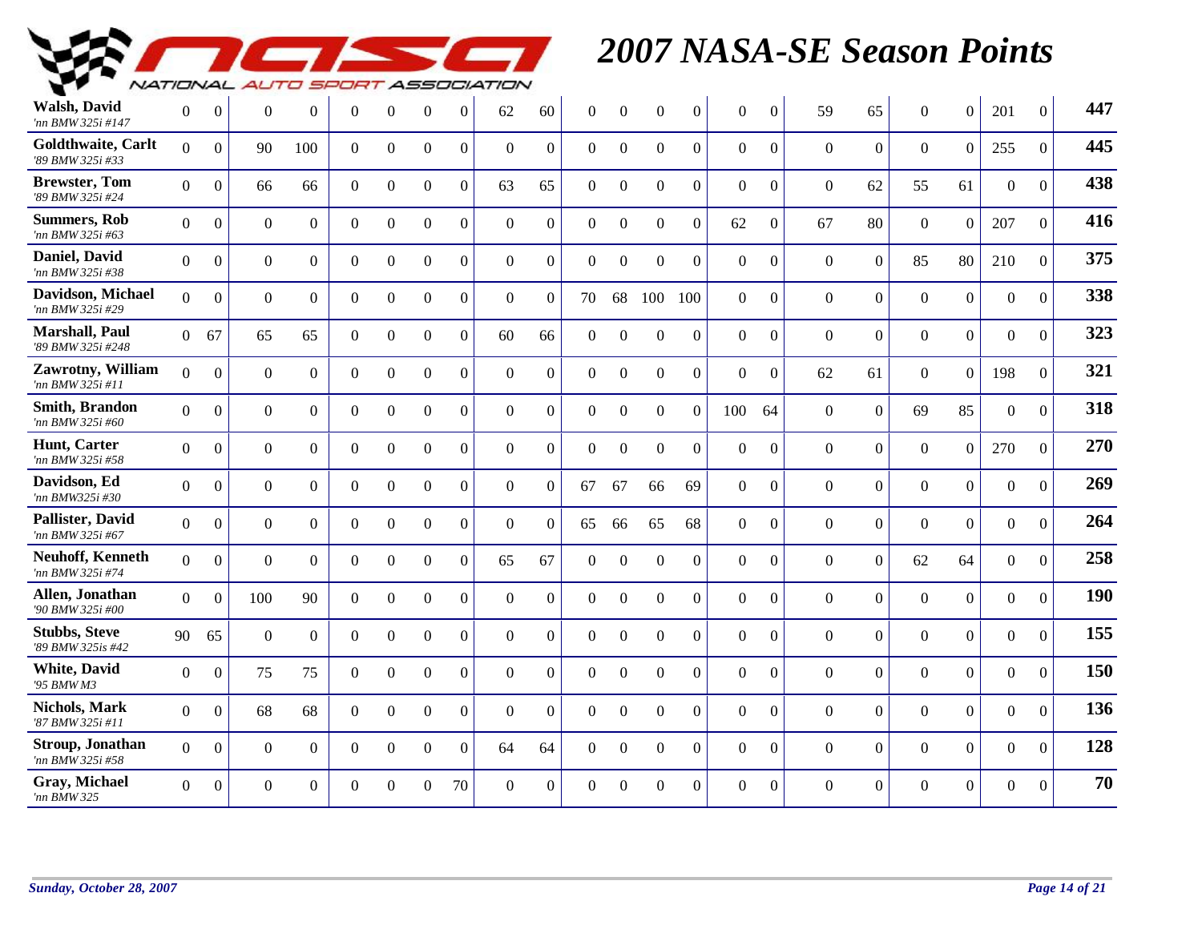

| <b>Walsh, David</b><br>'nn BMW 325i #147     | $\Omega$       | $\overline{0}$   | $\Omega$       | $\Omega$       | $\overline{0}$ | $\theta$         | $\overline{0}$   | $\Omega$       | 62             | 60             | $\Omega$       | $\Omega$         | $\Omega$         | $\Omega$       | $\Omega$       | $\Omega$         | 59             | 65             | $\Omega$       | $\overline{0}$   | 201            | $\Omega$       | 447 |
|----------------------------------------------|----------------|------------------|----------------|----------------|----------------|------------------|------------------|----------------|----------------|----------------|----------------|------------------|------------------|----------------|----------------|------------------|----------------|----------------|----------------|------------------|----------------|----------------|-----|
| Goldthwaite, Carlt<br>'89 BMW 325i #33       | $\Omega$       | $\overline{0}$   | 90             | 100            | $\theta$       | $\overline{0}$   | $\boldsymbol{0}$ | $\overline{0}$ | $\Omega$       | $\Omega$       | $\overline{0}$ | $\overline{0}$   | $\mathbf{0}$     | $\Omega$       | $\overline{0}$ | $\overline{0}$   | $\overline{0}$ | $\overline{0}$ | $\overline{0}$ | $\overline{0}$   | 255            | $\mathbf{0}$   | 445 |
| <b>Brewster, Tom</b><br>'89 BMW 325i #24     | $\overline{0}$ | $\boldsymbol{0}$ | 66             | 66             | $\overline{0}$ | $\boldsymbol{0}$ | $\mathbf{0}$     | $\overline{0}$ | 63             | 65             | $\mathbf{0}$   | $\boldsymbol{0}$ | $\overline{0}$   | $\theta$       | $\overline{0}$ | $\overline{0}$   | $\mathbf{0}$   | 62             | 55             | 61               | $\mathbf{0}$   | $\theta$       | 438 |
| <b>Summers, Rob</b><br>'nn BMW 325i #63      | $\overline{0}$ | $\overline{0}$   | $\overline{0}$ | $\overline{0}$ | $\overline{0}$ | $\boldsymbol{0}$ | $\mathbf{0}$     | $\overline{0}$ | $\overline{0}$ | $\overline{0}$ | $\overline{0}$ | $\mathbf{0}$     | $\boldsymbol{0}$ | $\overline{0}$ | 62             | $\overline{0}$   | 67             | 80             | $\overline{0}$ | $\overline{0}$   | 207            | $\Omega$       | 416 |
| Daniel, David<br>'nn BMW 325i #38            | $\overline{0}$ | $\boldsymbol{0}$ | $\mathbf{0}$   | $\overline{0}$ | $\overline{0}$ | $\overline{0}$   | $\boldsymbol{0}$ | $\overline{0}$ | $\overline{0}$ | $\overline{0}$ | $\mathbf{0}$   | $\boldsymbol{0}$ | $\boldsymbol{0}$ | $\overline{0}$ | $\overline{0}$ | $\overline{0}$   | $\mathbf{0}$   | $\Omega$       | 85             | 80               | 210            | $\theta$       | 375 |
| <b>Davidson, Michael</b><br>'nn BMW 325i #29 | $\overline{0}$ | $\mathbf{0}$     | $\overline{0}$ | $\theta$       | $\overline{0}$ | $\overline{0}$   | $\boldsymbol{0}$ | $\overline{0}$ | $\overline{0}$ | $\overline{0}$ | 70             | 68               | 100              | 100            | $\overline{0}$ | $\overline{0}$   | $\overline{0}$ | $\overline{0}$ | $\overline{0}$ | $\overline{0}$   | $\overline{0}$ | $\mathbf{0}$   | 338 |
| Marshall, Paul<br>'89 BMW 325i #248          |                | 0 67             | 65             | 65             | $\overline{0}$ | $\overline{0}$   | $\boldsymbol{0}$ | $\overline{0}$ | 60             | 66             | $\overline{0}$ | $\overline{0}$   | $\mathbf{0}$     | $\overline{0}$ | $\overline{0}$ | $\overline{0}$   | $\overline{0}$ | $\overline{0}$ | $\overline{0}$ | $\overline{0}$   | $\overline{0}$ | $\Omega$       | 323 |
| Zawrotny, William<br>'nn BMW 325i #11        | $\Omega$       | $\boldsymbol{0}$ | $\mathbf{0}$   | $\overline{0}$ | $\overline{0}$ | $\overline{0}$   | $\boldsymbol{0}$ | $\overline{0}$ | $\mathbf{0}$   | $\overline{0}$ | $\mathbf{0}$   | $\boldsymbol{0}$ | $\overline{0}$   | $\overline{0}$ | $\overline{0}$ | $\overline{0}$   | 62             | 61             | $\overline{0}$ | $\boldsymbol{0}$ | 198            | $\theta$       | 321 |
| <b>Smith, Brandon</b><br>'nn BMW 325i #60    | $\Omega$       | $\boldsymbol{0}$ | $\overline{0}$ | $\overline{0}$ | $\overline{0}$ | $\overline{0}$   | $\boldsymbol{0}$ | $\overline{0}$ | $\overline{0}$ | $\overline{0}$ | $\mathbf{0}$   | $\boldsymbol{0}$ | $\boldsymbol{0}$ | $\Omega$       | 100            | 64               | $\mathbf{0}$   | $\overline{0}$ | 69             | 85               | $\overline{0}$ | $\overline{0}$ | 318 |
| Hunt, Carter<br>'nn BMW 325i #58             | $\Omega$       | $\Omega$         | $\Omega$       | $\overline{0}$ | $\overline{0}$ | $\overline{0}$   | $\mathbf{0}$     | $\overline{0}$ | $\Omega$       | $\overline{0}$ | $\overline{0}$ | $\Omega$         | $\mathbf{0}$     | $\Omega$       | $\overline{0}$ | $\overline{0}$   | $\overline{0}$ | $\overline{0}$ | $\Omega$       | $\overline{0}$   | 270            | $\Omega$       | 270 |
| Davidson, Ed<br>'nn BMW325i #30              | $\Omega$       | $\Omega$         | $\Omega$       | $\theta$       | $\overline{0}$ | $\Omega$         | $\boldsymbol{0}$ | $\overline{0}$ | $\Omega$       | $\Omega$       | 67             | 67               | 66               | 69             | $\Omega$       | $\boldsymbol{0}$ | $\Omega$       | $\Omega$       | $\Omega$       | $\overline{0}$   | $\Omega$       | $\mathbf{0}$   | 269 |
| Pallister, David<br>'nn BMW 325i #67         | $\Omega$       | $\overline{0}$   | $\overline{0}$ | $\overline{0}$ | $\overline{0}$ | $\Omega$         | $\mathbf{0}$     | $\overline{0}$ | $\Omega$       | $\Omega$       | 65             | 66               | 65               | 68             | $\overline{0}$ | $\mathbf{0}$     | $\Omega$       | $\overline{0}$ | $\Omega$       | $\overline{0}$   | $\overline{0}$ | $\Omega$       | 264 |
| <b>Neuhoff, Kenneth</b><br>'nn BMW 325i #74  | $\Omega$       | $\Omega$         | $\overline{0}$ | $\theta$       | $\overline{0}$ | $\overline{0}$   | $\mathbf{0}$     | $\overline{0}$ | 65             | 67             | $\mathbf{0}$   | $\Omega$         | $\Omega$         | $\Omega$       | $\overline{0}$ | $\mathbf{0}$     | $\Omega$       | $\Omega$       | 62             | 64               | $\overline{0}$ | $\theta$       | 258 |
| Allen, Jonathan<br>'90 BMW 325i #00          | $\theta$       | $\Omega$         | 100            | 90             | $\theta$       | $\mathbf{0}$     | $\mathbf{0}$     | $\overline{0}$ | $\Omega$       | $\overline{0}$ | $\overline{0}$ | $\overline{0}$   | $\mathbf{0}$     | $\Omega$       | $\overline{0}$ | $\mathbf{0}$     | $\overline{0}$ | $\Omega$       | $\Omega$       | $\overline{0}$   | $\overline{0}$ | $\Omega$       | 190 |
| <b>Stubbs, Steve</b><br>'89 BMW 325is #42    | 90             | 65               | $\overline{0}$ | $\overline{0}$ | $\overline{0}$ | $\mathbf{0}$     | $\overline{0}$   | $\overline{0}$ | $\Omega$       | $\overline{0}$ | $\Omega$       | $\Omega$         | $\Omega$         | $\Omega$       | $\Omega$       | $\Omega$         | $\overline{0}$ | $\Omega$       | $\theta$       | $\Omega$         | $\overline{0}$ | $\Omega$       | 155 |
| <b>White, David</b><br>'95 BMW M3            | $\overline{0}$ | $\Omega$         | 75             | 75             | $\overline{0}$ | $\overline{0}$   | $\mathbf{0}$     | $\overline{0}$ | $\overline{0}$ | $\overline{0}$ | $\mathbf{0}$   | $\mathbf{0}$     | $\mathbf{0}$     | $\Omega$       | $\overline{0}$ | $\mathbf{0}$     | $\overline{0}$ | $\overline{0}$ | $\overline{0}$ | $\overline{0}$   | $\overline{0}$ | $\Omega$       | 150 |
| <b>Nichols, Mark</b><br>'87 BMW 325i #11     | $\Omega$       | $\Omega$         | 68             | 68             | $\overline{0}$ | $\overline{0}$   | $\mathbf{0}$     | $\overline{0}$ | $\Omega$       | $\overline{0}$ | $\Omega$       | $\overline{0}$   | $\overline{0}$   | $\overline{0}$ | $\overline{0}$ | $\overline{0}$   | $\overline{0}$ | $\theta$       | $\Omega$       | $\Omega$         | $\overline{0}$ | $\theta$       | 136 |
| Stroup, Jonathan<br>'nn BMW 325i #58         | $\overline{0}$ | $\mathbf{0}$     | $\overline{0}$ | $\Omega$       | $\overline{0}$ | $\Omega$         | $\mathbf{0}$     | $\overline{0}$ | 64             | 64             | $\theta$       | $\Omega$         | $\overline{0}$   | $\Omega$       | $\overline{0}$ | $\mathbf{0}$     | $\overline{0}$ | $\overline{0}$ | $\Omega$       | $\overline{0}$   | $\overline{0}$ | $\mathbf{0}$   | 128 |
| Gray, Michael<br>'nn BMW 325                 | $\Omega$       | $\mathbf{0}$     | $\Omega$       | $\Omega$       | $\Omega$       | $\Omega$         | $\Omega$         | 70             | $\Omega$       | $\Omega$       | $\Omega$       | $\Omega$         | $\theta$         | $\Omega$       | $\Omega$       | $\theta$         | $\Omega$       | $\Omega$       | $\Omega$       | $\overline{0}$   | $\overline{0}$ | $\Omega$       | 70  |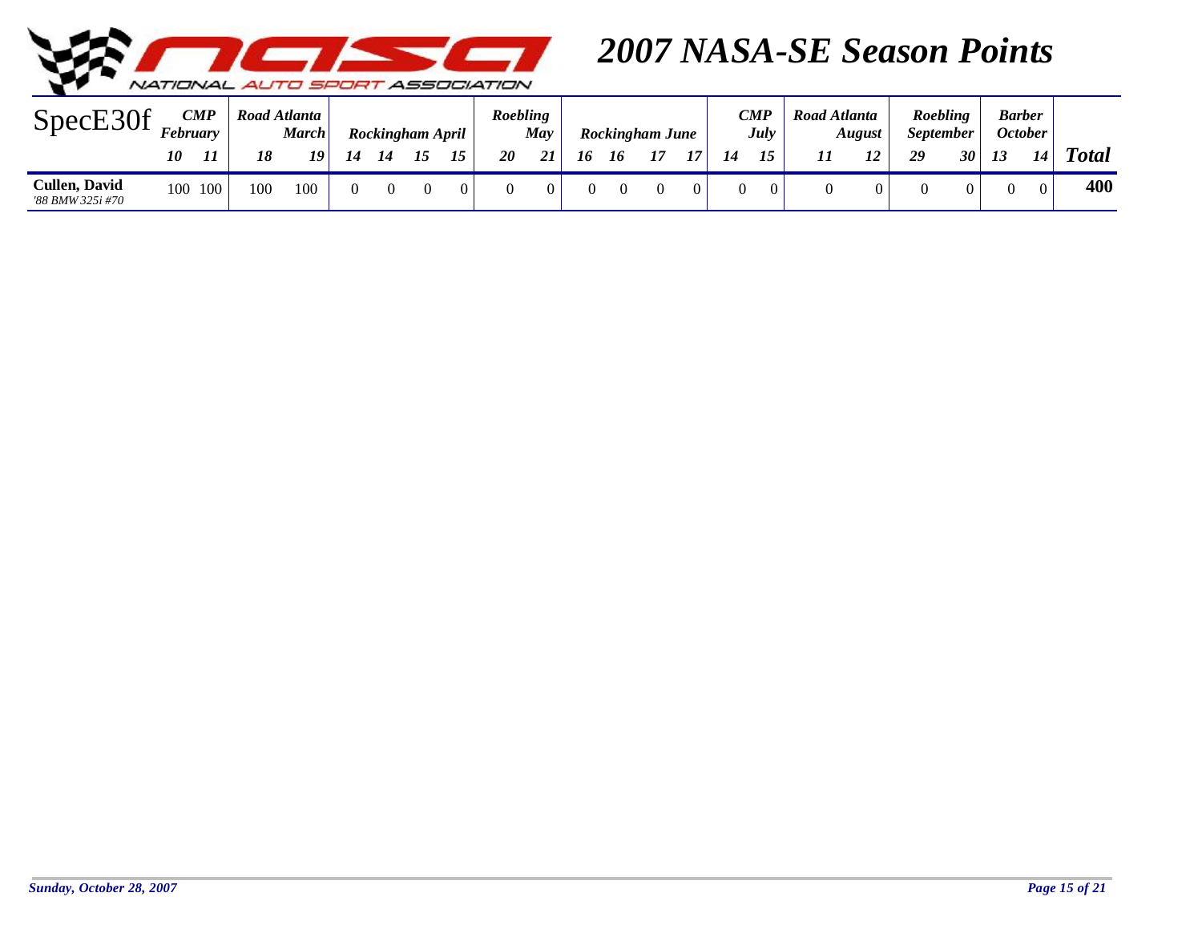

| $\Gamma$<br>SpecE30               | February | $\boldsymbol{CMP}$ | Road Atlanta | <b>March</b> |  | Rockingham April |              | Roebling  | May |    |    | Rockingham June |    |    | CMP<br><b>July</b> | Road Atlanta | August | <i>September</i> | <b>Roebling</b> |    | <b>Barber</b><br>October |              |
|-----------------------------------|----------|--------------------|--------------|--------------|--|------------------|--------------|-----------|-----|----|----|-----------------|----|----|--------------------|--------------|--------|------------------|-----------------|----|--------------------------|--------------|
|                                   | 10       | 11                 | 18           | 10           |  |                  | $\mathbf{r}$ | <b>20</b> |     | 16 | 10 | 15              | 17 | 14 | 15                 |              | 12     | 29               | 30              | 13 | 14                       | <b>Total</b> |
| Cullen, David<br>'88 BMW 325i #70 | 100      | 100                | 100          | 100          |  |                  |              |           |     |    |    |                 |    |    |                    |              |        |                  |                 |    |                          | 400          |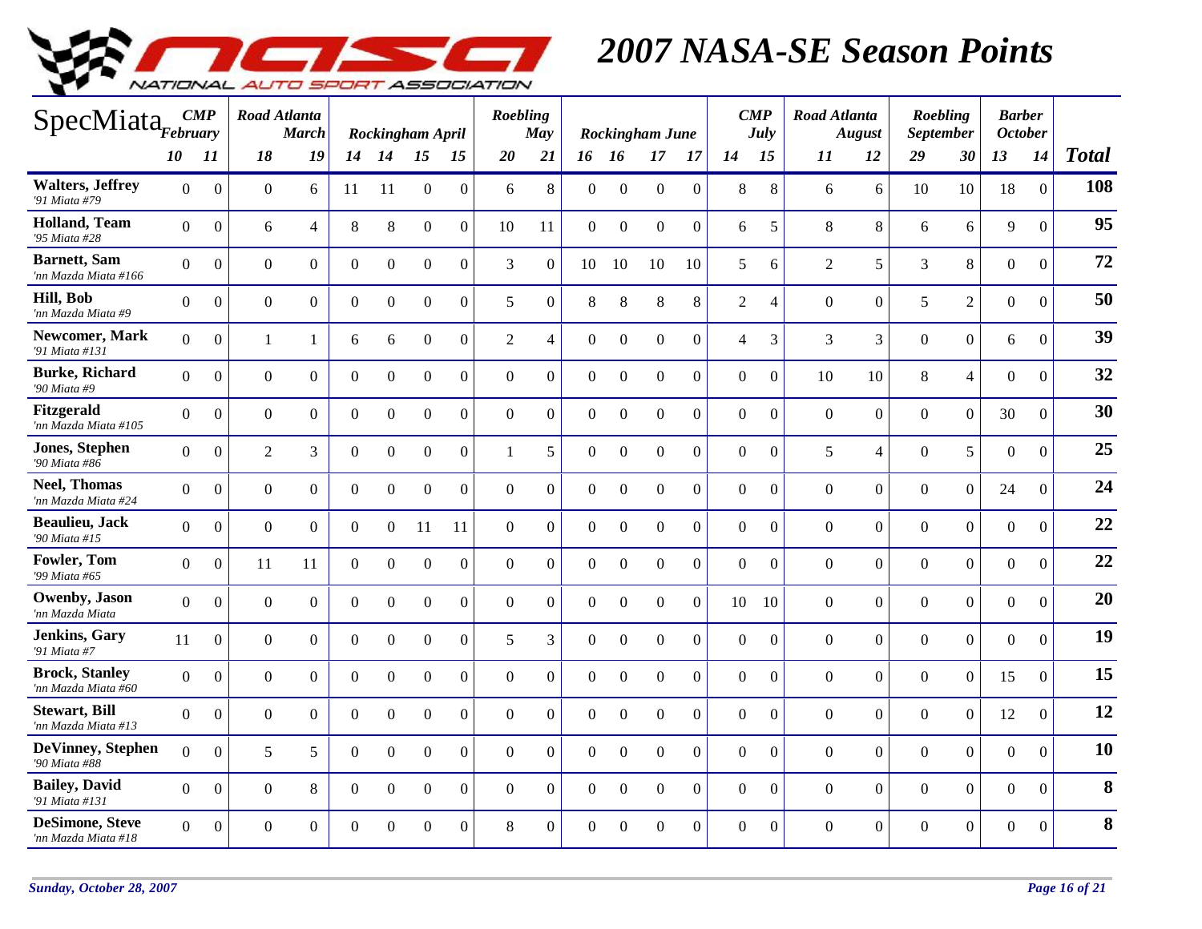

| SpecMiata <sub>February</sub>                 |                |                  | Road Atlanta   | <b>March</b>   |                | Rockingham April |                  |                | Roebling       | May              |                  |                  | Rockingham June  |                  |                | $\boldsymbol{CMP}$<br>July | Road Atlanta     | <b>August</b>    | <b>September</b> | Roebling         | <b>Barber</b><br><b>October</b> |                  |              |
|-----------------------------------------------|----------------|------------------|----------------|----------------|----------------|------------------|------------------|----------------|----------------|------------------|------------------|------------------|------------------|------------------|----------------|----------------------------|------------------|------------------|------------------|------------------|---------------------------------|------------------|--------------|
|                                               | 10             | 11               | 18             | 19             | 14             | 14               | 15               | 15             | 20             | 21               | 16 16            |                  | 17               | 17               | 14             | 15                         | 11               | 12               | 29               | 30               | 13                              | 14               | <b>Total</b> |
| <b>Walters, Jeffrey</b><br>'91 Miata #79      | $\Omega$       | $\Omega$         | $\Omega$       | 6              | 11             | -11              | $\Omega$         | $\Omega$       | 6              | 8                | $\Omega$         | $\Omega$         | $\Omega$         | $\Omega$         | 8              | 8                          | 6                | 6                | 10               | 10               | 18                              | $\overline{0}$   | 108          |
| <b>Holland</b> , Team<br>'95 Miata #28        | $\overline{0}$ | $\Omega$         | 6              | $\overline{4}$ | 8              | 8                | $\boldsymbol{0}$ | $\overline{0}$ | 10             | 11               | $\boldsymbol{0}$ | $\Omega$         | $\overline{0}$   | $\Omega$         | 6              | 5                          | 8                | 8                | 6                | 6                | 9                               | $\overline{0}$   | 95           |
| <b>Barnett</b> , Sam<br>'nn Mazda Miata #166  | $\overline{0}$ | $\Omega$         | $\overline{0}$ | $\Omega$       | $\overline{0}$ | $\overline{0}$   | $\overline{0}$   | $\overline{0}$ | $\overline{3}$ | $\mathbf{0}$     | 10               | 10               | 10               | 10               | 5              | 6                          | $\overline{2}$   | 5                | 3                | 8                | $\boldsymbol{0}$                | $\overline{0}$   | 72           |
| Hill, Bob<br>'nn Mazda Miata #9               | $\Omega$       | $\boldsymbol{0}$ | $\mathbf{0}$   | $\overline{0}$ | $\overline{0}$ | $\boldsymbol{0}$ | $\boldsymbol{0}$ | $\overline{0}$ | 5              | $\boldsymbol{0}$ | 8                | 8                | $\,8\,$          | 8                | $\overline{2}$ | $\overline{4}$             | $\boldsymbol{0}$ | $\boldsymbol{0}$ | 5                | $\overline{2}$   | $\boldsymbol{0}$                | $\boldsymbol{0}$ | 50           |
| Newcomer, Mark<br>'91 Miata #131              | $\overline{0}$ | $\boldsymbol{0}$ | $\mathbf{1}$   | $\mathbf{1}$   | 6              | 6                | $\boldsymbol{0}$ | $\overline{0}$ | 2              | $\overline{4}$   | $\mathbf{0}$     | $\boldsymbol{0}$ | $\boldsymbol{0}$ | $\overline{0}$   | $\overline{4}$ | 3                          | 3                | $\overline{3}$   | $\overline{0}$   | $\overline{0}$   | 6                               | $\boldsymbol{0}$ | 39           |
| <b>Burke, Richard</b><br>'90 Miata #9         | $\overline{0}$ | $\mathbf{0}$     | $\Omega$       | $\overline{0}$ | $\overline{0}$ | $\overline{0}$   | $\overline{0}$   | $\overline{0}$ | $\overline{0}$ | $\overline{0}$   | $\overline{0}$   | $\mathbf{0}$     | $\overline{0}$   | $\overline{0}$   | $\overline{0}$ | $\mathbf{0}$               | 10               | 10               | $8\,$            | $\overline{4}$   | $\overline{0}$                  | $\Omega$         | 32           |
| Fitzgerald<br>'nn Mazda Miata #105            | $\Omega$       | $\boldsymbol{0}$ | $\overline{0}$ | $\Omega$       | $\overline{0}$ | $\overline{0}$   | $\boldsymbol{0}$ | $\overline{0}$ | $\overline{0}$ | $\boldsymbol{0}$ | $\overline{0}$   | $\mathbf{0}$     | $\boldsymbol{0}$ | $\boldsymbol{0}$ | $\overline{0}$ | $\overline{0}$             | $\overline{0}$   | $\overline{0}$   | $\overline{0}$   | $\overline{0}$   | 30                              | $\boldsymbol{0}$ | 30           |
| <b>Jones, Stephen</b><br>'90 Miata #86        | $\Omega$       | $\Omega$         | $\overline{2}$ | 3              | $\overline{0}$ | $\Omega$         | $\overline{0}$   | $\overline{0}$ | $\mathbf{1}$   | 5                | $\Omega$         | $\mathbf{0}$     | $\overline{0}$   | $\Omega$         | $\Omega$       | $\mathbf{0}$               | 5                | $\overline{4}$   | $\overline{0}$   | 5                | $\mathbf{0}$                    | $\overline{0}$   | 25           |
| <b>Neel, Thomas</b><br>'nn Mazda Miata #24    | $\overline{0}$ | $\Omega$         | $\mathbf{0}$   | $\overline{0}$ | $\overline{0}$ | $\overline{0}$   | $\boldsymbol{0}$ | $\overline{0}$ | $\mathbf{0}$   | $\theta$         | $\mathbf{0}$     | $\Omega$         | $\overline{0}$   | $\Omega$         | $\overline{0}$ | $\theta$                   | $\theta$         | $\overline{0}$   | $\overline{0}$   | $\mathbf{0}$     | 24                              | $\overline{0}$   | 24           |
| <b>Beaulieu</b> , Jack<br>'90 Miata #15       | $\overline{0}$ | $\Omega$         | $\overline{0}$ | $\Omega$       | $\mathbf{0}$   | $\overline{0}$   | 11               | 11             | $\overline{0}$ | $\overline{0}$   | $\mathbf{0}$     | $\mathbf{0}$     | $\overline{0}$   | $\overline{0}$   | $\overline{0}$ | $\overline{0}$             | $\overline{0}$   | $\overline{0}$   | $\overline{0}$   | $\mathbf{0}$     | $\boldsymbol{0}$                | $\overline{0}$   | 22           |
| Fowler, Tom<br>'99 Miata #65                  | $\Omega$       | $\Omega$         | 11             | 11             | $\Omega$       | $\Omega$         | $\Omega$         | $\Omega$       | $\Omega$       | $\theta$         | $\Omega$         | $\Omega$         | $\Omega$         | $\Omega$         | $\Omega$       | $\Omega$                   | $\Omega$         | $\boldsymbol{0}$ | $\Omega$         | $\boldsymbol{0}$ | $\Omega$                        | $\overline{0}$   | 22           |
| Owenby, Jason<br>'nn Mazda Miata              | $\overline{0}$ | $\mathbf{0}$     | $\mathbf{0}$   | $\overline{0}$ | $\overline{0}$ | $\overline{0}$   | $\boldsymbol{0}$ | $\Omega$       | $\overline{0}$ | $\theta$         | $\Omega$         | $\boldsymbol{0}$ | $\mathbf{0}$     | $\Omega$         | 10             | 10                         | $\theta$         | $\overline{0}$   | $\boldsymbol{0}$ | $\mathbf{0}$     | $\boldsymbol{0}$                | $\boldsymbol{0}$ | 20           |
| <b>Jenkins</b> , Gary<br>'91 Miata #7         | 11             | $\overline{0}$   | $\overline{0}$ | $\overline{0}$ | $\overline{0}$ | $\overline{0}$   | $\mathbf{0}$     | $\overline{0}$ | 5              | $\overline{3}$   | $\mathbf{0}$     | $\boldsymbol{0}$ | $\overline{0}$   | $\overline{0}$   | $\overline{0}$ | $\mathbf{0}$               | $\overline{0}$   | $\overline{0}$   | $\overline{0}$   | $\overline{0}$   | $\overline{0}$                  | $\overline{0}$   | 19           |
| <b>Brock, Stanley</b><br>'nn Mazda Miata #60  | $\Omega$       | $\boldsymbol{0}$ | $\mathbf{0}$   | $\overline{0}$ | $\overline{0}$ | $\boldsymbol{0}$ | $\boldsymbol{0}$ | $\overline{0}$ | $\mathbf{0}$   | $\overline{0}$   | $\mathbf{0}$     | $\mathbf{0}$     | $\boldsymbol{0}$ | $\overline{0}$   | $\overline{0}$ | $\mathbf{0}$               | $\overline{0}$   | $\overline{0}$   | $\overline{0}$   | $\boldsymbol{0}$ | 15                              | $\boldsymbol{0}$ | 15           |
| <b>Stewart</b> , Bill<br>'nn Mazda Miata #13  | $\Omega$       | $\Omega$         | $\overline{0}$ | $\Omega$       | $\overline{0}$ | $\overline{0}$   | $\boldsymbol{0}$ | $\Omega$       | $\Omega$       | $\theta$         | $\Omega$         | $\Omega$         | $\overline{0}$   | $\Omega$         | $\Omega$       | $\mathbf{0}$               | $\Omega$         | $\overline{0}$   | $\overline{0}$   | $\overline{0}$   | 12                              | $\mathbf{0}$     | 12           |
| <b>DeVinney</b> , Stephen<br>'90 Miata #88    | $\Omega$       | $\Omega$         | 5              | 5              | $\Omega$       | $\Omega$         | $\Omega$         | $\Omega$       | $\Omega$       | $\Omega$         | $\Omega$         | $\Omega$         | $\Omega$         | $\Omega$         | $\Omega$       | $\Omega$                   | $\Omega$         | $\Omega$         | $\Omega$         | $\overline{0}$   | $\Omega$                        | $\Omega$         | 10           |
| <b>Bailey</b> , David<br>'91 Miata #131       | $\overline{0}$ | $\Omega$         | $\overline{0}$ | 8              | $\overline{0}$ | $\mathbf{0}$     | $\overline{0}$   | $\Omega$       | $\overline{0}$ | $\theta$         | $\Omega$         | $\mathbf{0}$     | $\overline{0}$   | $\Omega$         | $\overline{0}$ | $\Omega$                   | $\overline{0}$   | $\overline{0}$   | $\overline{0}$   | $\mathbf{0}$     | $\boldsymbol{0}$                | $\boldsymbol{0}$ | 8            |
| <b>DeSimone, Steve</b><br>'nn Mazda Miata #18 | $\Omega$       | $\mathbf{0}$     | $\overline{0}$ | $\overline{0}$ | $\overline{0}$ | $\Omega$         | $\overline{0}$   | $\overline{0}$ | 8              | $\overline{0}$   | $\overline{0}$   | $\mathbf{0}$     | $\overline{0}$   | $\overline{0}$   | $\Omega$       | $\overline{0}$             | $\Omega$         | $\overline{0}$   | $\overline{0}$   | $\mathbf{0}$     | $\overline{0}$                  | $\boldsymbol{0}$ | 8            |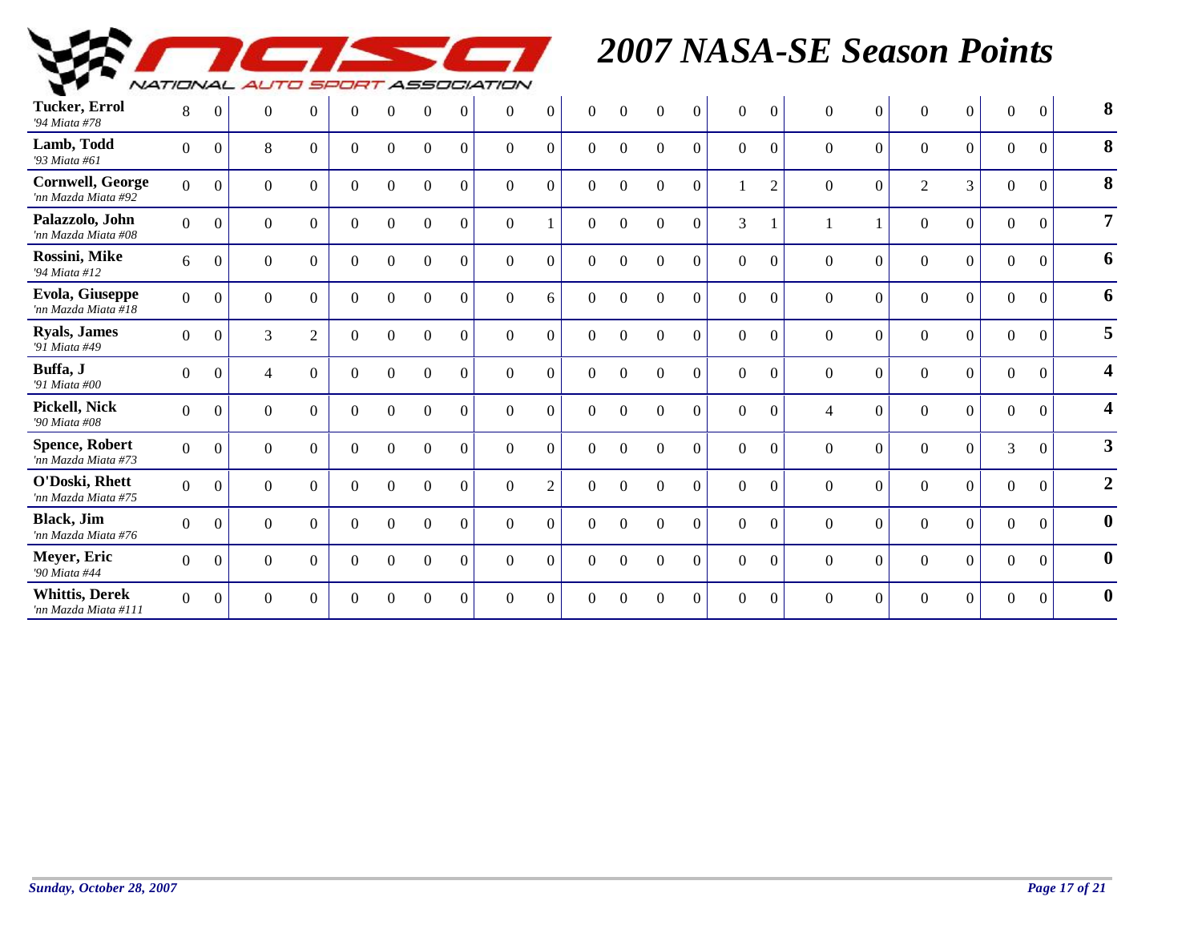

| <b>Tucker, Errol</b><br>'94 Miata #78          | 8              | $\Omega$       | $\theta$       | $\Omega$       | $\overline{0}$ | $\Omega$         | $\Omega$         | $\Omega$       | $\Omega$ | $\theta$         | $\Omega$       | $\Omega$         | $\Omega$         | $\theta$         | $\Omega$       | $\Omega$       | $\theta$       | $\overline{0}$ | $\Omega$       | $\Omega$         | $\Omega$         | $\theta$         | 8                       |
|------------------------------------------------|----------------|----------------|----------------|----------------|----------------|------------------|------------------|----------------|----------|------------------|----------------|------------------|------------------|------------------|----------------|----------------|----------------|----------------|----------------|------------------|------------------|------------------|-------------------------|
| Lamb, Todd<br>'93 Miata #61                    | $\Omega$       | $\theta$       | 8              | $\Omega$       | $\overline{0}$ | $\overline{0}$   | $\overline{0}$   | $\theta$       | $\theta$ | $\theta$         | $\Omega$       | $\boldsymbol{0}$ | $\overline{0}$   | $\overline{0}$   | $\Omega$       | $\Omega$       | $\Omega$       | $\overline{0}$ | $\overline{0}$ | $\boldsymbol{0}$ | $\boldsymbol{0}$ | $\overline{0}$   | 8                       |
| <b>Cornwell, George</b><br>'nn Mazda Miata #92 | $\Omega$       | $\overline{0}$ | $\theta$       | $\Omega$       | $\overline{0}$ | $\Omega$         | $\Omega$         | $\Omega$       | $\theta$ | $\theta$         | $\Omega$       | $\Omega$         | $\mathbf{0}$     | $\theta$         |                | $\overline{2}$ | $\Omega$       | $\overline{0}$ | $\overline{2}$ | 3                | $\mathbf{0}$     | $\Omega$         | 8                       |
| Palazzolo, John<br>'nn Mazda Miata #08         | $\Omega$       | $\Omega$       | $\Omega$       | $\Omega$       | $\Omega$       | $\Omega$         | $\Omega$         | $\Omega$       | $\Omega$ |                  | $\Omega$       | $\Omega$         | $\Omega$         | $\Omega$         | 3              |                |                |                | $\theta$       | $\overline{0}$   | $\boldsymbol{0}$ | $\mathbf{0}$     | $\overline{7}$          |
| Rossini, Mike<br>'94 Miata #12                 | 6              | $\theta$       | $\theta$       | $\theta$       | $\overline{0}$ | $\theta$         | $\boldsymbol{0}$ | $\Omega$       | $\theta$ | $\theta$         | $\theta$       | $\boldsymbol{0}$ | $\boldsymbol{0}$ | $\overline{0}$   | $\overline{0}$ | $\Omega$       | $\theta$       | $\overline{0}$ | $\mathbf{0}$   | $\boldsymbol{0}$ | $\mathbf{0}$     | $\mathbf{0}$     | 6                       |
| Evola, Giuseppe<br>'nn Mazda Miata #18         | $\Omega$       | $\theta$       | $\Omega$       | $\Omega$       | $\Omega$       | $\Omega$         | $\Omega$         | $\Omega$       | $\theta$ | 6                | $\Omega$       | $\theta$         | $\Omega$         | $\theta$         | $\Omega$       | $\Omega$       | $\theta$       | $\overline{0}$ | $\theta$       | $\overline{0}$   | $\mathbf{0}$     | $\mathbf{0}$     | 6                       |
| <b>Ryals, James</b><br>'91 Miata #49           | $\Omega$       | $\theta$       | 3              | $\overline{2}$ | $\Omega$       | $\Omega$         | $\Omega$         | $\Omega$       | $\Omega$ | $\Omega$         | $\Omega$       | $\Omega$         | $\Omega$         | $\Omega$         | $\Omega$       | $\Omega$       | $\Omega$       | $\Omega$       | $\theta$       | $\mathbf{0}$     | $\boldsymbol{0}$ | $\Omega$         | 5                       |
| Buffa, J<br>'91 Miata #00                      | $\Omega$       | $\theta$       | $\overline{4}$ | $\overline{0}$ | $\overline{0}$ | $\boldsymbol{0}$ | $\overline{0}$   | $\overline{0}$ | $\Omega$ | $\boldsymbol{0}$ | $\theta$       | $\boldsymbol{0}$ | $\boldsymbol{0}$ | $\overline{0}$   | $\overline{0}$ | $\mathbf{0}$   | $\overline{0}$ | $\overline{0}$ | $\mathbf{0}$   | $\boldsymbol{0}$ | $\mathbf{0}$     | $\overline{0}$   | 4                       |
| Pickell, Nick<br>'90 Miata #08                 | $\Omega$       | $\overline{0}$ | $\overline{0}$ | $\Omega$       | $\overline{0}$ | $\Omega$         | $\theta$         | $\Omega$       | $\theta$ | $\overline{0}$   | $\Omega$       | $\overline{0}$   | $\overline{0}$   | $\overline{0}$   | $\Omega$       | $\theta$       | $\overline{4}$ | $\overline{0}$ | $\overline{0}$ | $\boldsymbol{0}$ | $\boldsymbol{0}$ | $\theta$         | 4                       |
| <b>Spence, Robert</b><br>'nn Mazda Miata #73   | $\Omega$       | $\theta$       | $\Omega$       | $\Omega$       | $\Omega$       | $\Omega$         | $\Omega$         | $\Omega$       | $\Omega$ | $\Omega$         | $\Omega$       | $\Omega$         | $\Omega$         | $\Omega$         | $\Omega$       | $\Omega$       | $\Omega$       | $\overline{0}$ | $\overline{0}$ | $\Omega$         | $\overline{3}$   | $\Omega$         | $\overline{\mathbf{3}}$ |
| O'Doski, Rhett<br>'nn Mazda Miata #75          | $\overline{0}$ | $\theta$       | $\overline{0}$ | $\Omega$       | $\overline{0}$ | $\overline{0}$   | $\overline{0}$   | $\overline{0}$ | $\Omega$ | $\overline{2}$   | $\overline{0}$ | $\mathbf{0}$     | $\mathbf{0}$     | $\boldsymbol{0}$ | $\overline{0}$ | $\overline{0}$ | $\overline{0}$ | $\overline{0}$ | $\mathbf{0}$   | $\boldsymbol{0}$ | $\mathbf{0}$     | $\boldsymbol{0}$ | $\overline{2}$          |
| <b>Black</b> , Jim<br>'nn Mazda Miata #76      | $\Omega$       | $\overline{0}$ | $\Omega$       | $\Omega$       | $\Omega$       | $\Omega$         | $\Omega$         | $\Omega$       | $\theta$ | $\theta$         | $\Omega$       | $\theta$         | $\Omega$         | $\theta$         | $\Omega$       | $\Omega$       | $\theta$       | $\overline{0}$ | $\theta$       | $\mathbf{0}$     | $\mathbf{0}$     | $\mathbf{0}$     | $\bf{0}$                |
| Meyer, Eric<br>'90 Miata #44                   | $\Omega$       | $\theta$       | $\Omega$       | $\Omega$       | $\Omega$       | $\Omega$         | $\Omega$         | $\Omega$       | $\Omega$ | $\Omega$         | $\Omega$       | $\Omega$         | $\Omega$         | $\Omega$         | $\Omega$       | $\Omega$       | $\Omega$       | $\Omega$       | $\mathbf{0}$   | $\Omega$         | $\overline{0}$   | $\Omega$         | $\bf{0}$                |
| <b>Whittis, Derek</b><br>'nn Mazda Miata #111  | $\overline{0}$ | $\overline{0}$ | $\Omega$       | $\Omega$       | $\overline{0}$ | $\theta$         | $\boldsymbol{0}$ | $\overline{0}$ | $\Omega$ | $\theta$         | $\Omega$       | $\theta$         | $\boldsymbol{0}$ | $\boldsymbol{0}$ | $\Omega$       | $\mathbf{0}$   | $\Omega$       | $\overline{0}$ | $\overline{0}$ | $\boldsymbol{0}$ | $\mathbf{0}$     | $\boldsymbol{0}$ | $\mathbf{0}$            |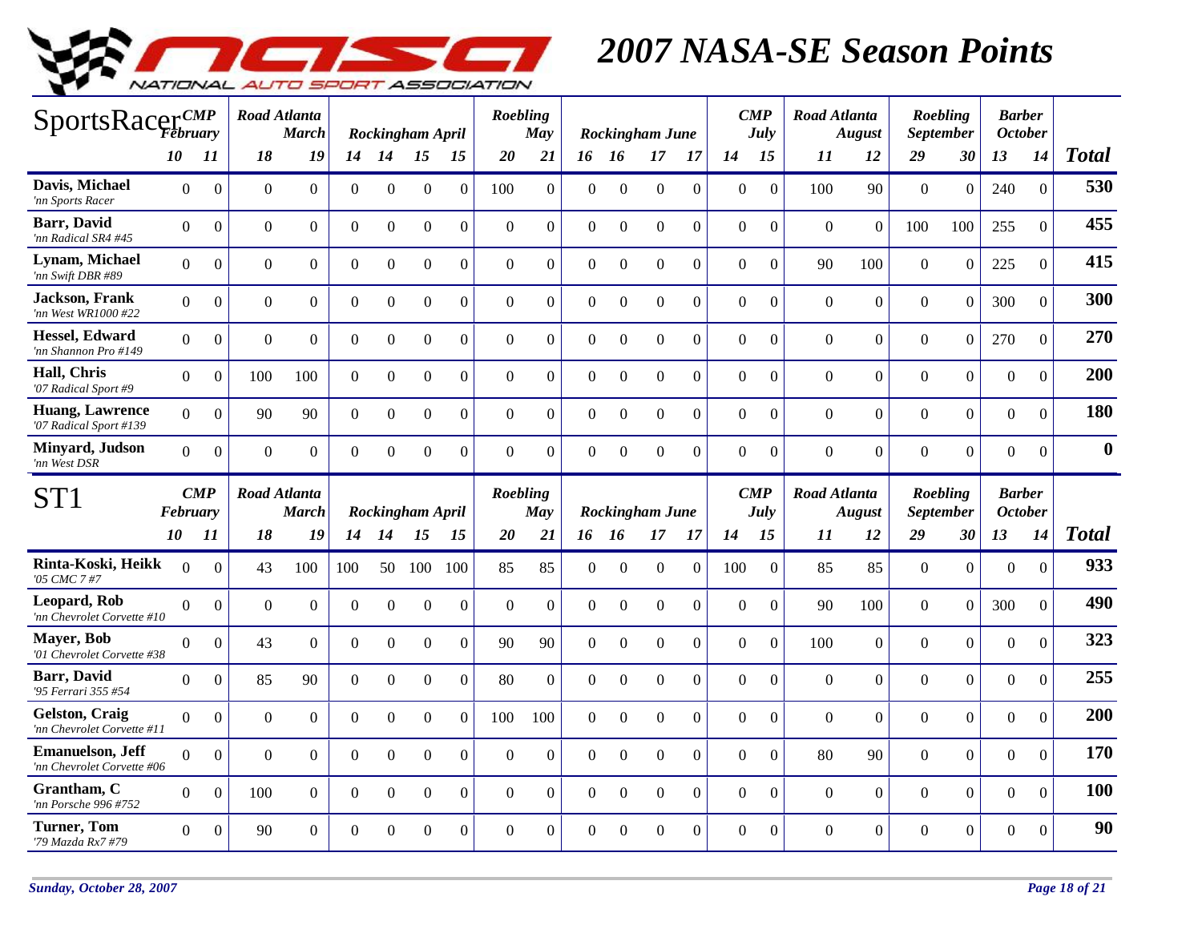

| SportsRacerCMP                                        |                |                    | Road Atlanta        | <b>March</b>     |                |                | Rockingham April |                  | Roebling     | <b>May</b>     |                |                  | <b>Rockingham June</b> |                | $\boldsymbol{CMP}$ | <b>July</b>      | Road Atlanta     | <b>August</b>  |                  | Roebling<br><b>September</b> | <b>Barber</b><br><b>October</b> |                  |                  |
|-------------------------------------------------------|----------------|--------------------|---------------------|------------------|----------------|----------------|------------------|------------------|--------------|----------------|----------------|------------------|------------------------|----------------|--------------------|------------------|------------------|----------------|------------------|------------------------------|---------------------------------|------------------|------------------|
|                                                       | <i>10</i>      | 11                 | 18                  | 19               | 14             | 14             | 15               | 15               | <b>20</b>    | 21             | 16 16          |                  | 17                     | -17            | 14                 | 15               | 11               | 12             | 29               | 30                           | 13                              | 14               | <b>Total</b>     |
| Davis, Michael<br>'nn Sports Racer                    | $\Omega$       | $\overline{0}$     | $\mathbf{0}$        | $\Omega$         | $\Omega$       | $\Omega$       | $\Omega$         | $\Omega$         | 100          | $\Omega$       | $\theta$       | $\Omega$         | $\Omega$               | $\theta$       | $\Omega$           | $\overline{0}$   | 100              | 90             | $\overline{0}$   | $\overline{0}$               | 240                             | $\mathbf{0}$     | 530              |
| <b>Barr</b> , David<br>'nn Radical SR4 #45            | $\overline{0}$ | $\boldsymbol{0}$   | $\boldsymbol{0}$    | $\boldsymbol{0}$ | $\Omega$       | $\overline{0}$ | $\Omega$         | $\Omega$         | $\Omega$     | $\overline{0}$ | $\Omega$       | $\Omega$         | $\Omega$               | $\Omega$       | $\overline{0}$     | $\overline{0}$   | $\mathbf{0}$     | $\mathbf{0}$   | 100              | 100                          | 255                             | $\boldsymbol{0}$ | 455              |
| Lynam, Michael<br>'nn Swift DBR #89                   | $\Omega$       | $\overline{0}$     | $\mathbf{0}$        | $\overline{0}$   | $\overline{0}$ | $\Omega$       | $\overline{0}$   | $\overline{0}$   | $\mathbf{0}$ | $\overline{0}$ | $\overline{0}$ | $\Omega$         | $\overline{0}$         | $\mathbf{0}$   | $\overline{0}$     | $\overline{0}$   | 90               | 100            | $\mathbf{0}$     | $\overline{0}$               | 225                             | $\overline{0}$   | 415              |
| <b>Jackson</b> , Frank<br>'nn West WR1000 #22         | $\Omega$       | $\overline{0}$     | $\boldsymbol{0}$    | $\overline{0}$   | $\Omega$       | $\overline{0}$ | $\Omega$         | $\Omega$         | $\Omega$     | $\overline{0}$ | $\Omega$       | $\theta$         | $\mathbf{0}$           | $\mathbf{0}$   | $\Omega$           | $\overline{0}$   | $\mathbf{0}$     | $\mathbf{0}$   | $\mathbf{0}$     | $\boldsymbol{0}$             | 300                             | $\mathbf{0}$     | 300              |
| Hessel, Edward<br>'nn Shannon Pro #149                | $\Omega$       | $\boldsymbol{0}$   | $\boldsymbol{0}$    | $\overline{0}$   | $\overline{0}$ | $\overline{0}$ | $\mathbf{0}$     | $\overline{0}$   | $\Omega$     | $\overline{0}$ | $\overline{0}$ | $\boldsymbol{0}$ | $\boldsymbol{0}$       | $\overline{0}$ | $\overline{0}$     | $\overline{0}$   | $\boldsymbol{0}$ | $\overline{0}$ | $\boldsymbol{0}$ | $\overline{0}$               | 270                             | $\Omega$         | 270              |
| Hall, Chris<br>'07 Radical Sport #9                   | $\overline{0}$ | $\Omega$           | 100                 | 100              | $\Omega$       | $\overline{0}$ | $\overline{0}$   | $\overline{0}$   | $\mathbf{0}$ | $\Omega$       | $\Omega$       | $\mathbf{0}$     | $\overline{0}$         | $\overline{0}$ | $\overline{0}$     | $\overline{0}$   | $\overline{0}$   | $\overline{0}$ | $\overline{0}$   | $\overline{0}$               | $\boldsymbol{0}$                | $\mathbf{0}$     | 200              |
| <b>Huang, Lawrence</b><br>'07 Radical Sport #139      | $\overline{0}$ | $\overline{0}$     | 90                  | 90               | $\overline{0}$ | $\Omega$       | $\Omega$         | $\overline{0}$   | $\Omega$     | $\overline{0}$ | $\Omega$       | $\Omega$         | $\overline{0}$         | $\overline{0}$ | $\Omega$           | $\overline{0}$   | $\overline{0}$   | $\mathbf{0}$   | $\overline{0}$   | $\mathbf{0}$                 | $\mathbf{0}$                    | $\overline{0}$   | 180              |
| Minyard, Judson<br>'nn West DSR                       | $\Omega$       | $\overline{0}$     | $\mathbf{0}$        | $\Omega$         | $\Omega$       | $\Omega$       | $\Omega$         | $\Omega$         | $\Omega$     | $\Omega$       | $\Omega$       | $\Omega$         | $\Omega$               | $\Omega$       | $\Omega$           | $\overline{0}$   | $\Omega$         | $\Omega$       | $\Omega$         | $\overline{0}$               | $\overline{0}$                  | $\mathbf{0}$     | $\boldsymbol{0}$ |
|                                                       |                |                    |                     |                  |                |                |                  |                  |              |                |                |                  |                        |                |                    |                  |                  |                |                  |                              |                                 |                  |                  |
| ST1                                                   | February       | $\boldsymbol{CMP}$ | <b>Road Atlanta</b> | <b>March</b>     |                |                | Rockingham April |                  | Roebling     | May            |                |                  | Rockingham June        |                | $\boldsymbol{CMP}$ | July             | Road Atlanta     | <b>August</b>  |                  | Roebling<br><b>September</b> | <b>Barber</b><br><b>October</b> |                  |                  |
|                                                       | 10             | 11                 | 18                  | 19               | 14             | 14             | 15               | 15               | 20           | 21             | 16 16          |                  | 17                     | 17             | 14                 | 15               | 11               | 12             | 29               | 30                           | 13                              | 14               | <b>Total</b>     |
| Rinta-Koski, Heikk<br>'05 CMC 7 #7                    | $\Omega$       | $\overline{0}$     | 43                  | 100              | 100            | 50             | 100              | 100              | 85           | 85             | $\Omega$       | $\Omega$         | $\boldsymbol{0}$       | $\theta$       | 100                | $\boldsymbol{0}$ | 85               | 85             | $\boldsymbol{0}$ | $\mathbf{0}$                 | $\boldsymbol{0}$                | $\boldsymbol{0}$ | 933              |
| Leopard, Rob<br>'nn Chevrolet Corvette #10            | $\Omega$       | $\boldsymbol{0}$   | $\boldsymbol{0}$    | $\boldsymbol{0}$ | $\Omega$       | $\Omega$       | $\boldsymbol{0}$ | $\boldsymbol{0}$ | $\Omega$     | $\overline{0}$ | $\Omega$       | $\boldsymbol{0}$ | $\boldsymbol{0}$       | $\overline{0}$ | $\Omega$           | $\mathbf{0}$     | 90               | 100            | $\overline{0}$   | $\mathbf{0}$                 | 300                             | $\boldsymbol{0}$ | 490              |
| Mayer, Bob<br>'01 Chevrolet Corvette #38              | $\overline{0}$ | $\Omega$           | 43                  | $\Omega$         | $\Omega$       | $\overline{0}$ | $\Omega$         | $\theta$         | 90           | 90             | $\Omega$       | $\boldsymbol{0}$ | $\Omega$               | $\Omega$       | $\overline{0}$     | $\boldsymbol{0}$ | 100              | $\Omega$       | $\Omega$         | $\mathbf{0}$                 | $\boldsymbol{0}$                | $\theta$         | 323              |
| <b>Barr</b> , David<br>'95 Ferrari 355 #54            | $\overline{0}$ | $\boldsymbol{0}$   | 85                  | 90               | $\overline{0}$ | $\overline{0}$ | $\boldsymbol{0}$ | $\overline{0}$   | 80           | $\overline{0}$ | $\mathbf{0}$   | $\boldsymbol{0}$ | $\boldsymbol{0}$       | $\Omega$       | $\overline{0}$     | $\boldsymbol{0}$ | $\mathbf{0}$     | $\mathbf{0}$   | $\boldsymbol{0}$ | $\mathbf{0}$                 | $\mathbf{0}$                    | $\boldsymbol{0}$ | 255              |
| Gelston, Craig<br>'nn Chevrolet Corvette #11          | $\Omega$       | $\overline{0}$     | $\mathbf{0}$        | $\overline{0}$   | $\overline{0}$ | $\overline{0}$ | $\overline{0}$   | $\overline{0}$   | 100          | 100            | $\Omega$       | $\mathbf{0}$     | $\overline{0}$         | $\overline{0}$ | $\overline{0}$     | $\overline{0}$   | $\overline{0}$   | $\overline{0}$ | $\overline{0}$   | $\mathbf{0}$                 | $\overline{0}$                  | $\overline{0}$   | 200              |
| <b>Emanuelson, Jeff</b><br>'nn Chevrolet Corvette #06 | $\Omega$       | $\Omega$           | $\mathbf{0}$        | $\Omega$         | $\Omega$       | $\Omega$       | $\overline{0}$   | $\Omega$         | $\Omega$     | $\overline{0}$ | $\Omega$       | $\mathbf{0}$     | $\mathbf{0}$           | $\Omega$       | $\Omega$           | $\overline{0}$   | 80               | 90             | $\Omega$         | $\mathbf{0}$                 | $\overline{0}$                  | $\mathbf{0}$     | 170              |
| Grantham, C<br>'nn Porsche 996 #752                   | $\Omega$       | $\boldsymbol{0}$   | 100                 | $\Omega$         | $\Omega$       | $\Omega$       | $\Omega$         | $\Omega$         | $\Omega$     | $\Omega$       | $\Omega$       | $\Omega$         | $\Omega$               | $\Omega$       | $\overline{0}$     | $\mathbf{0}$     | $\mathbf{0}$     | $\overline{0}$ | $\overline{0}$   | $\boldsymbol{0}$             | $\mathbf{0}$                    | $\mathbf{0}$     | 100              |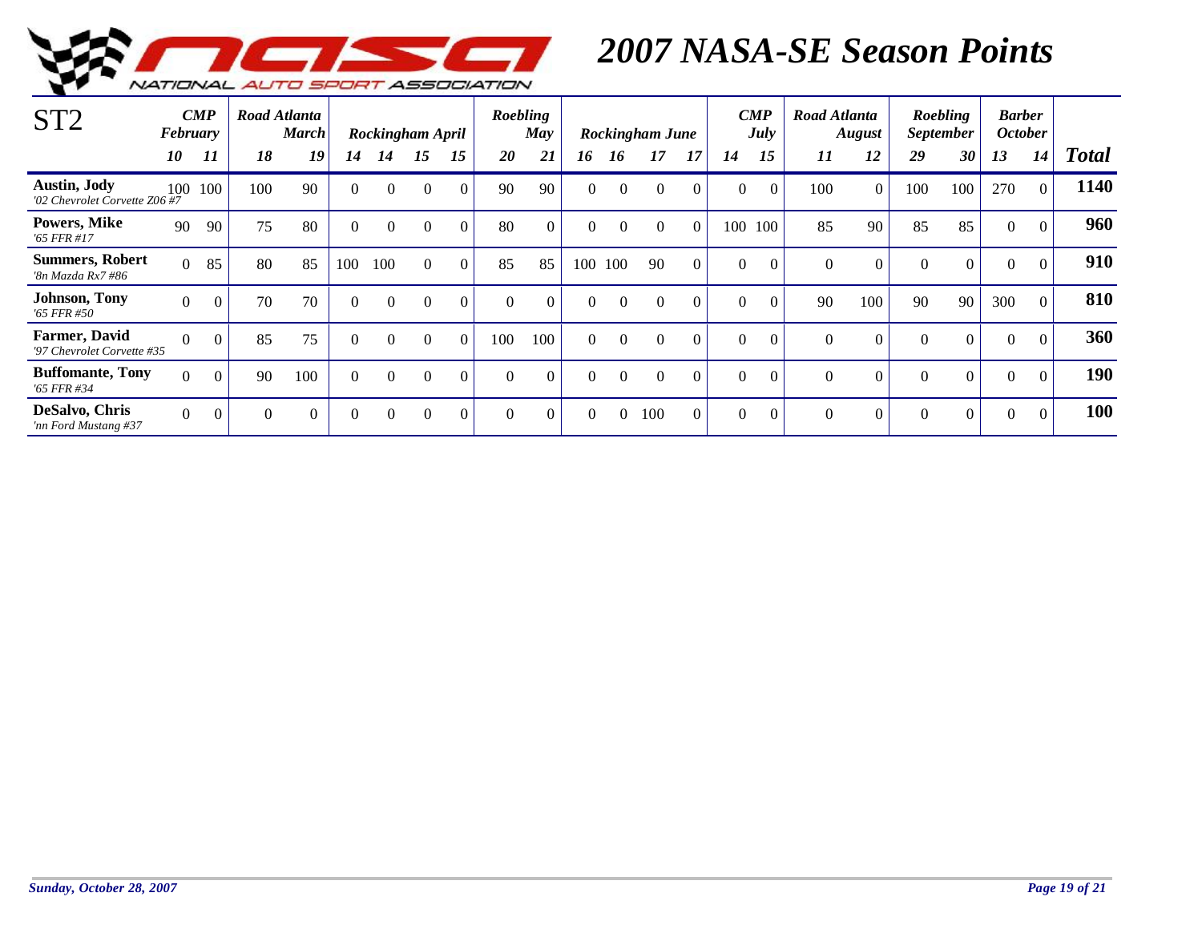

| ST <sub>2</sub>                                      | <b>February</b> | $\boldsymbol{CMP}$ |          | Road Atlanta<br><b>March</b> |          |          | Rockingham April |          | Roebling | May      |          |          | Rockingham June |          |          | $\boldsymbol{CMP}$<br>July | Road Atlanta | <b>August</b>    |          | Roebling<br><i>September</i> | <b>Barber</b><br><b>October</b> |          |              |
|------------------------------------------------------|-----------------|--------------------|----------|------------------------------|----------|----------|------------------|----------|----------|----------|----------|----------|-----------------|----------|----------|----------------------------|--------------|------------------|----------|------------------------------|---------------------------------|----------|--------------|
|                                                      | 10              | 11                 | 18       | 19                           | 14       | 14       | 15               | 15       | 20       | 21       | 16       | 16       | 17              | 17       | 14       | 15                         | 11           | 12               | 29       | 30                           | 13                              | 14       | <b>Total</b> |
| <b>Austin, Jody</b><br>'02 Chevrolet Corvette Z06 #7 | 100             | 100                | 100      | 90                           | $\Omega$ | $\Omega$ | $\Omega$         | $\Omega$ | 90       | 90       | $\Omega$ | $\Omega$ | $\theta$        | $\theta$ | $\Omega$ | $\Omega$                   | 100          | $\overline{0}$   | 100      | 100                          | 270                             | $\Omega$ | 1140         |
| Powers, Mike<br>$'65$ FFR #17                        | 90              | -90                | 75       | 80                           | $\Omega$ | $\Omega$ | $\Omega$         | $\theta$ | 80       | $\theta$ | $\Omega$ | $\Omega$ | $\Omega$        | $\Omega$ | 100      | 100                        | 85           | 90               | 85       | 85                           | $\boldsymbol{0}$                | $\Omega$ | 960          |
| <b>Summers, Robert</b><br>'8n Mazda Rx7 #86          | $\Omega$        | 85                 | 80       | 85                           | 100      | 100      | $\Omega$         | $\theta$ | 85       | 85       | 100      | 100      | 90              | $\Omega$ | $\Omega$ | $\Omega$                   | $\Omega$     | $\boldsymbol{0}$ | $\Omega$ | $\mathbf{0}$                 | $\boldsymbol{0}$                | $\Omega$ | 910          |
| Johnson, Tony<br>'65 FFR #50                         | $\Omega$        | $\Omega$           | 70       | 70                           | $\Omega$ | $\Omega$ | $\Omega$         | $\Omega$ | $\Omega$ | $\Omega$ | $\Omega$ | $\Omega$ | $\Omega$        | $\Omega$ | $\Omega$ | $\Omega$                   | 90           | 100              | 90       | 90                           | 300                             | $\Omega$ | 810          |
| Farmer, David<br>'97 Chevrolet Corvette #35          | $\Omega$        | $\Omega$           | 85       | 75                           | 0        | $\Omega$ | $\Omega$         | $\Omega$ | 100      | 100      | $\Omega$ | $\Omega$ | $\Omega$        | $\Omega$ | $\Omega$ | $\Omega$                   | $\Omega$     | $\Omega$         | $\Omega$ | $\Omega$                     | $\Omega$                        | $\Omega$ | 360          |
| <b>Buffomante, Tony</b><br>'65 FFR #34               | $\Omega$        | $\Omega$           | 90       | 100                          | $\Omega$ | $\theta$ | $\theta$         | $\Omega$ | $\Omega$ | $\Omega$ | $\Omega$ | $\Omega$ | $\Omega$        | $\Omega$ | $\Omega$ | $\Omega$                   | $\Omega$     | $\Omega$         | $\Omega$ | $\Omega$                     | $\theta$                        | $\Omega$ | <b>190</b>   |
| DeSalvo, Chris<br>'nn Ford Mustang #37               | $\Omega$        | $\overline{0}$     | $\theta$ | $\overline{0}$               | $\Omega$ | $\Omega$ | $\Omega$         | $\theta$ | $\theta$ | $\theta$ | $\Omega$ | $\Omega$ | 100             | $\Omega$ | $\Omega$ | $\theta$                   |              | $\theta$         | $\Omega$ | $\overline{0}$               | $\boldsymbol{0}$                | $\Omega$ | 100          |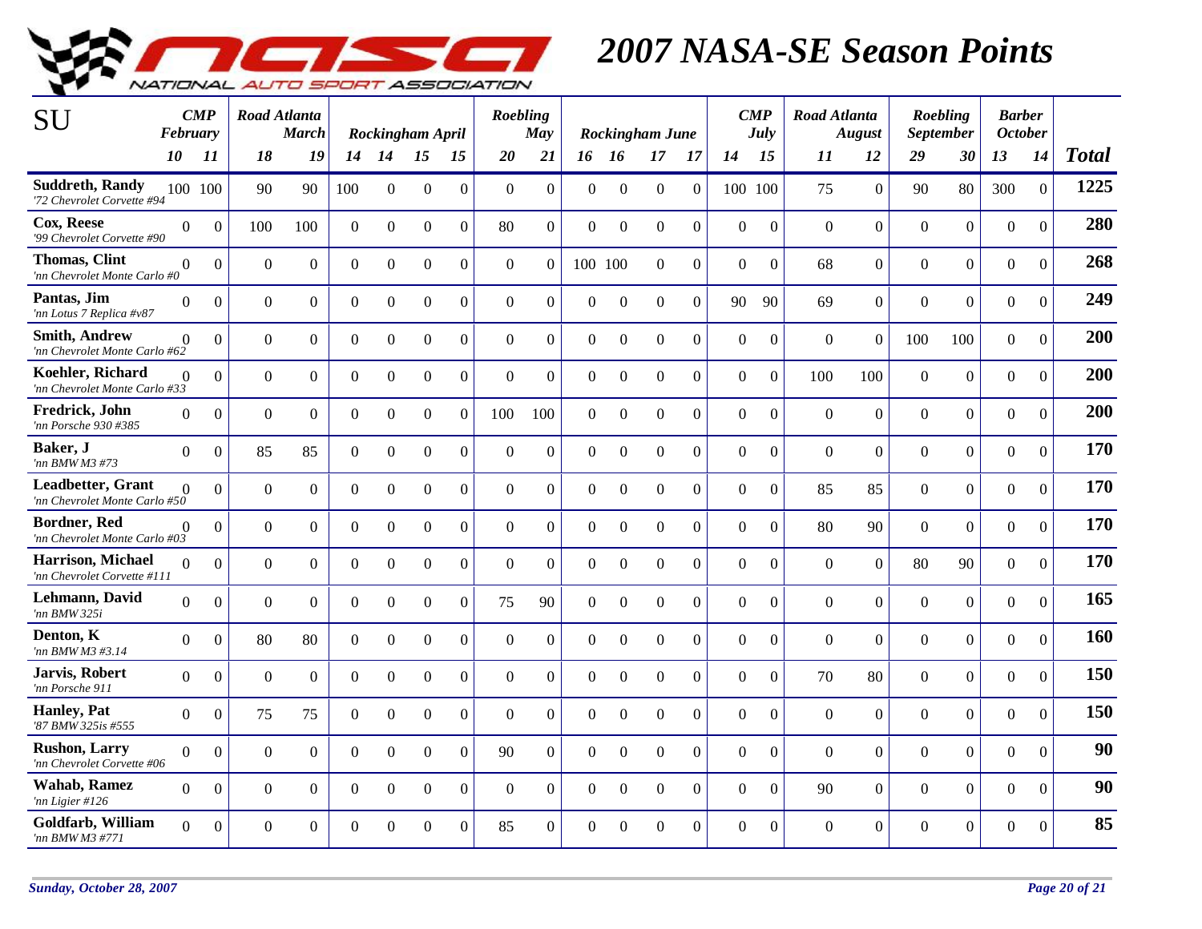

| SU                                                    | February       | $\boldsymbol{CMP}$ |                | <b>Road Atlanta</b><br><b>March</b> |                | Rockingham April |                  |                | Roebling       | May              |                  |                  | Rockingham June  |                  |                | $\boldsymbol{CMP}$<br><b>July</b> | <b>Road Atlanta</b> | <b>August</b>    |                  | <b>Roebling</b><br><b>September</b> | <b>Barber</b><br><b>October</b> |                  |              |
|-------------------------------------------------------|----------------|--------------------|----------------|-------------------------------------|----------------|------------------|------------------|----------------|----------------|------------------|------------------|------------------|------------------|------------------|----------------|-----------------------------------|---------------------|------------------|------------------|-------------------------------------|---------------------------------|------------------|--------------|
|                                                       | <i>10</i>      | -11                | 18             | 19                                  | 14             | 14               | 15               | 15             | 20             | 21               |                  | 16 16            | 17               | 17               | 14             | 15                                | 11                  | 12               | 29               | 30                                  | 13                              | 14               | <b>Total</b> |
| <b>Suddreth, Randy</b><br>'72 Chevrolet Corvette #94  |                | 100 100            | 90             | 90                                  | 100            | $\Omega$         | $\boldsymbol{0}$ | $\Omega$       | $\Omega$       | $\theta$         | $\Omega$         | $\Omega$         | $\Omega$         | $\Omega$         | 100 100        |                                   | 75                  | $\overline{0}$   | 90               | 80                                  | 300                             | $\mathbf{0}$     | 1225         |
| Cox, Reese<br>'99 Chevrolet Corvette #90              | $\Omega$       | $\Omega$           | 100            | 100                                 | $\overline{0}$ | $\Omega$         | $\boldsymbol{0}$ | $\Omega$       | 80             | $\Omega$         | $\Omega$         | $\Omega$         | $\Omega$         | $\Omega$         | $\Omega$       | $\boldsymbol{0}$                  | $\Omega$            | $\overline{0}$   | $\overline{0}$   | $\overline{0}$                      | $\boldsymbol{0}$                | $\boldsymbol{0}$ | 280          |
| <b>Thomas, Clint</b><br>'nn Chevrolet Monte Carlo #0  | $\Omega$       | $\Omega$           | $\overline{0}$ | $\Omega$                            | $\overline{0}$ | $\mathbf{0}$     | $\boldsymbol{0}$ | $\Omega$       | $\theta$       | $\Omega$         |                  | 100 100          | $\Omega$         | $\Omega$         | $\Omega$       | $\theta$                          | 68                  | $\overline{0}$   | $\overline{0}$   | $\boldsymbol{0}$                    | $\mathbf{0}$                    | $\mathbf{0}$     | 268          |
| Pantas, Jim<br>'nn Lotus 7 Replica #v87               | $\Omega$       | $\boldsymbol{0}$   | $\mathbf{0}$   | $\overline{0}$                      | $\overline{0}$ | $\boldsymbol{0}$ | $\overline{0}$   | $\overline{0}$ | $\overline{0}$ | $\boldsymbol{0}$ | $\boldsymbol{0}$ | $\mathbf{0}$     | $\boldsymbol{0}$ | $\overline{0}$   | 90             | 90                                | 69                  | $\overline{0}$   | $\overline{0}$   | $\boldsymbol{0}$                    | $\boldsymbol{0}$                | $\boldsymbol{0}$ | 249          |
| <b>Smith, Andrew</b><br>'nn Chevrolet Monte Carlo #62 | $\Omega$       | $\overline{0}$     | $\mathbf{0}$   | $\overline{0}$                      | $\overline{0}$ | $\overline{0}$   | $\boldsymbol{0}$ | $\Omega$       | $\overline{0}$ | $\theta$         | $\Omega$         | $\boldsymbol{0}$ | $\mathbf{0}$     | $\Omega$         | $\overline{0}$ | $\boldsymbol{0}$                  | $\theta$            | $\overline{0}$   | 100              | 100                                 | $\mathbf{0}$                    | $\boldsymbol{0}$ | 200          |
| Koehler, Richard<br>'nn Chevrolet Monte Carlo #33     | $\Omega$       | $\overline{0}$     | $\mathbf{0}$   | $\overline{0}$                      | $\overline{0}$ | $\boldsymbol{0}$ | $\boldsymbol{0}$ | $\overline{0}$ | $\mathbf{0}$   | $\overline{0}$   | $\mathbf{0}$     | $\boldsymbol{0}$ | $\overline{0}$   | $\overline{0}$   | $\overline{0}$ | $\mathbf{0}$                      | 100                 | 100              | $\boldsymbol{0}$ | $\overline{0}$                      | $\mathbf{0}$                    | $\mathbf{0}$     | 200          |
| Fredrick, John<br>'nn Porsche 930 #385                | $\Omega$       | $\mathbf{0}$       | $\mathbf{0}$   | $\Omega$                            | $\overline{0}$ | $\Omega$         | $\boldsymbol{0}$ | $\overline{0}$ | 100            | 100              | $\mathbf{0}$     | $\boldsymbol{0}$ | $\overline{0}$   | $\Omega$         | $\overline{0}$ | $\mathbf{0}$                      | $\theta$            | $\overline{0}$   | $\overline{0}$   | $\mathbf{0}$                        | $\mathbf{0}$                    | $\mathbf{0}$     | 200          |
| Baker, J<br>'nn BMW M3 #73                            | $\Omega$       | $\Omega$           | 85             | 85                                  | $\overline{0}$ | $\overline{0}$   | $\overline{0}$   | $\overline{0}$ | $\mathbf{0}$   | $\Omega$         | $\mathbf{0}$     | $\Omega$         | $\Omega$         | $\Omega$         | $\Omega$       | $\mathbf{0}$                      | $\Omega$            | $\overline{0}$   | $\overline{0}$   | $\overline{0}$                      | $\mathbf{0}$                    | $\overline{0}$   | 170          |
| Leadbetter, Grant<br>'nn Chevrolet Monte Carlo #50    | $\Omega$       | $\Omega$           | $\overline{0}$ | $\Omega$                            | $\overline{0}$ | $\mathbf{0}$     | $\overline{0}$   | $\overline{0}$ | $\overline{0}$ | $\theta$         | $\Omega$         | $\mathbf{0}$     | $\overline{0}$   | $\Omega$         | $\Omega$       | $\overline{0}$                    | 85                  | 85               | $\overline{0}$   | $\overline{0}$                      | $\overline{0}$                  | $\mathbf{0}$     | 170          |
| <b>Bordner, Red</b><br>'nn Chevrolet Monte Carlo #03  | $\Omega$       | $\Omega$           | $\Omega$       | $\Omega$                            | $\overline{0}$ | $\Omega$         | $\Omega$         | $\Omega$       | $\Omega$       | $\overline{0}$   | $\Omega$         | $\Omega$         | $\Omega$         | $\Omega$         | $\Omega$       | $\Omega$                          | 80                  | 90               | $\Omega$         | $\overline{0}$                      | $\overline{0}$                  | $\Omega$         | 170          |
| Harrison, Michael<br>'nn Chevrolet Corvette #111      | $\theta$       | $\overline{0}$     | $\overline{0}$ | $\Omega$                            | $\overline{0}$ | $\overline{0}$   | $\boldsymbol{0}$ | $\overline{0}$ | $\mathbf{0}$   | $\theta$         | $\mathbf{0}$     | $\boldsymbol{0}$ | $\overline{0}$   | $\Omega$         | $\Omega$       | $\overline{0}$                    | $\theta$            | $\overline{0}$   | 80               | 90                                  | $\mathbf{0}$                    | $\overline{0}$   | 170          |
| Lehmann, David<br>'nn BMW 325i                        | $\Omega$       | $\Omega$           | $\Omega$       | $\Omega$                            | $\Omega$       | $\theta$         | $\Omega$         | $\Omega$       | 75             | 90               | $\Omega$         | $\Omega$         | $\Omega$         | $\theta$         | $\Omega$       | $\theta$                          | $\Omega$            | $\boldsymbol{0}$ | $\Omega$         | $\overline{0}$                      | $\Omega$                        | $\theta$         | 165          |
| Denton, K<br>'nn BMW M3 #3.14                         | $\overline{0}$ | $\boldsymbol{0}$   | 80             | 80                                  | $\overline{0}$ | $\boldsymbol{0}$ | $\boldsymbol{0}$ | $\overline{0}$ | $\mathbf{0}$   | $\theta$         | $\mathbf{0}$     | $\boldsymbol{0}$ | $\mathbf{0}$     | $\boldsymbol{0}$ | $\overline{0}$ | $\mathbf{0}$                      | $\mathbf{0}$        | $\overline{0}$   | $\boldsymbol{0}$ | $\mathbf{0}$                        | $\boldsymbol{0}$                | $\mathbf{0}$     | 160          |
| Jarvis, Robert<br>'nn Porsche 911                     | $\overline{0}$ | $\mathbf{0}$       | $\overline{0}$ | $\Omega$                            | $\overline{0}$ | $\mathbf{0}$     | $\overline{0}$   | $\overline{0}$ | $\overline{0}$ | $\overline{0}$   | $\mathbf{0}$     | $\mathbf{0}$     | $\overline{0}$   | $\overline{0}$   | $\overline{0}$ | $\overline{0}$                    | 70                  | 80               | $\overline{0}$   | $\mathbf{0}$                        | $\overline{0}$                  | $\overline{0}$   | 150          |
| <b>Hanley</b> , Pat<br>'87 BMW 325is #555             | $\Omega$       | $\boldsymbol{0}$   | 75             | 75                                  | $\overline{0}$ | $\Omega$         | $\boldsymbol{0}$ | $\overline{0}$ | $\overline{0}$ | $\overline{0}$   | $\Omega$         | $\Omega$         | $\overline{0}$   | $\Omega$         | $\Omega$       | $\mathbf{0}$                      | $\overline{0}$      | $\overline{0}$   | $\overline{0}$   | $\mathbf{0}$                        | $\mathbf{0}$                    | $\overline{0}$   | 150          |
| <b>Rushon, Larry</b><br>'nn Chevrolet Corvette #06    | $\Omega$       | $\Omega$           | $\overline{0}$ | $\Omega$                            | $\overline{0}$ | $\Omega$         | $\Omega$         | $\Omega$       | 90             | $\Omega$         | $\Omega$         | $\mathbf{0}$     | $\Omega$         | $\Omega$         | $\Omega$       | $\Omega$                          | $\Omega$            | $\overline{0}$   | $\overline{0}$   | $\overline{0}$                      | $\mathbf{0}$                    | $\Omega$         | 90           |
| <b>Wahab, Ramez</b><br>'nn Ligier #126                | $\Omega$       | $\Omega$           | $\overline{0}$ | $\Omega$                            | $\Omega$       | $\Omega$         | $\overline{0}$   | $\Omega$       | $\Omega$       | $\theta$         | $\Omega$         | $\Omega$         | $\overline{0}$   | $\Omega$         | $\Omega$       | $\Omega$                          | 90                  | $\overline{0}$   | $\overline{0}$   | $\overline{0}$                      | $\mathbf{0}$                    | $\mathbf{0}$     | 90           |
| Goldfarb, William<br>'nn BMW M3 #771                  | $\Omega$       | $\Omega$           | $\Omega$       | $\Omega$                            | $\Omega$       | $\Omega$         | $\Omega$         | $\overline{0}$ | 85             | $\overline{0}$   | $\Omega$         | $\Omega$         | $\Omega$         | $\overline{0}$   | $\Omega$       | $\overline{0}$                    | $\Omega$            | $\overline{0}$   | $\overline{0}$   | $\overline{0}$                      | $\Omega$                        | $\overline{0}$   | 85           |